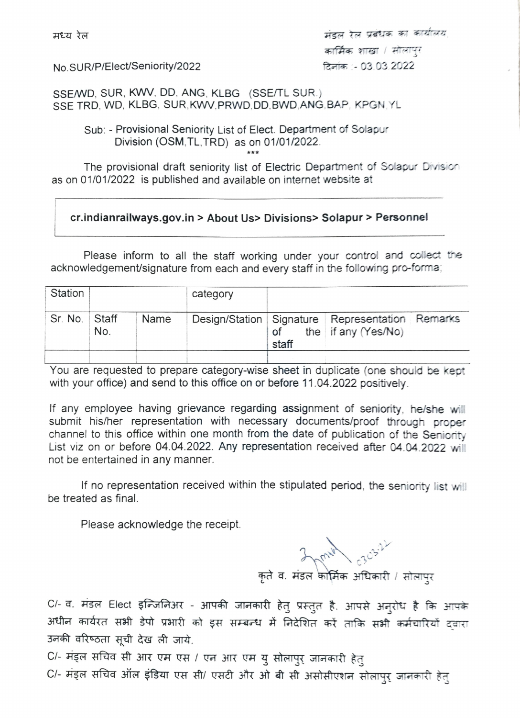मंडल रेल प्रबंधक का कार्यालय No.SUR/P/Elec/Seniority/2022 T-03 03 2022

sSEWD, SUR, KWw, DD. ANG, KLBG (SSE/TL SUR.) SSE TRD, WD, KLBG, SUR, KWV, PRWD, DD, BWD, ANG, BAP, KPGN, YL

Sub: - Provisional Seniority List of Elect. Department of Solapur Division (OSM, TL, TRD) as on 01/01/2022.

The provisional draft seniority list of Electric Department of Solapur Division as on 01/01/2022 is published and available on internet website at

## cr.indianrailways.gov.in> About Us> Divisions> Solapur> Personnel

Please inform to all the staff working under your control and collect the acknowledgement/signature from each and every staff in the following pro-forma

| Station       |     |      | category |       |                                                                                 |  |
|---------------|-----|------|----------|-------|---------------------------------------------------------------------------------|--|
| Sr. No. Staff | No. | Name |          | staff | Design/Station   Signature   Representation   Remarks<br>of the if any (Yes/No) |  |
|               |     |      |          |       |                                                                                 |  |

You are requested to prepare category-wise sheet in duplicate (one should be kept with your office) and send to this office on or before 11.04.2022 positively.

If any employee having grievance regarding assignment of seniority, he/she will submit his/her representation with necessary documents/proof through proper channel to this office within one month from the date of publication of the Seniority List viz on or before 04.04.2022. Any representation received after 04.04.2022 will not be entertained in any manner

If no representation received within the stipulated period, the seniority list will be treated as final.

Please acknowledge the receipt.

**hun**  $\gamma$ 

C/- व. मंडल Elect इन्जिनिअर - आपकी जानकारी हेतु प्रस्तुत है. आपसे अन्**रोध है कि आ**पके अधीन कार्यरत सभी डेपो प्रभारी को इस सम्बन्ध में निदेशित करें ताकि सभी कर्मचारियों द्वारा उनकी वरिष्ठता सुची देख ली जाये.

C/- मंड्ल सचिव सी आर एम एस / एन आर एम यु सोलापुर् जानकारी हेतु C/- मंड्ल सचिव ऑल इंडिया एस सी/ एसटी और ओ बी सी असोसीएशन सोलापुर् जानकारी हेतु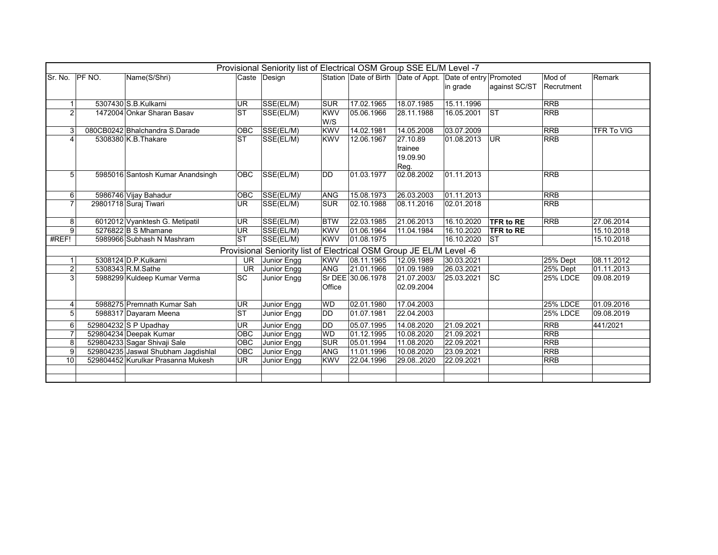|                         | Provisional Seniority list of Electrical OSM Group SSE EL/M Level -7<br>Station Date of Birth Date of Appt. Date of entry Promoted<br>Name(S/Shri)<br>Caste Design<br>Mod of<br>Remark |                                     |            |                                                                     |            |                   |             |            |               |                 |                   |
|-------------------------|----------------------------------------------------------------------------------------------------------------------------------------------------------------------------------------|-------------------------------------|------------|---------------------------------------------------------------------|------------|-------------------|-------------|------------|---------------|-----------------|-------------------|
| Sr. No.                 | <b>PF NO.</b>                                                                                                                                                                          |                                     |            |                                                                     |            |                   |             |            |               |                 |                   |
|                         |                                                                                                                                                                                        |                                     |            |                                                                     |            |                   |             | in grade   | against SC/ST | Recrutment      |                   |
|                         |                                                                                                                                                                                        |                                     |            |                                                                     |            |                   |             |            |               |                 |                   |
| $\mathbf{1}$            |                                                                                                                                                                                        | 5307430 S.B.Kulkarni                | <b>UR</b>  | SSE(EL/M)                                                           | <b>SUR</b> | 17.02.1965        | 18.07.1985  | 15.11.1996 |               | <b>RRB</b>      |                   |
| $\overline{2}$          |                                                                                                                                                                                        | 1472004 Onkar Sharan Basay          | <b>ST</b>  | SSE(EL/M)                                                           | <b>KWV</b> | 05.06.1966        | 28.11.1988  | 16.05.2001 | <b>ST</b>     | <b>RRB</b>      |                   |
|                         |                                                                                                                                                                                        |                                     |            |                                                                     | W/S        |                   |             |            |               |                 |                   |
| 3                       |                                                                                                                                                                                        | 080CB0242 Bhalchandra S.Darade      | <b>OBC</b> | SSE(EL/M)                                                           | <b>KWV</b> | 14.02.1981        | 14.05.2008  | 03.07.2009 |               | <b>RRB</b>      | <b>TFR To VIG</b> |
| $\overline{\mathbf{A}}$ |                                                                                                                                                                                        | 5308380 K.B. Thakare                | <b>ST</b>  | SSE(EL/M)                                                           | <b>KWV</b> | 12.06.1967        | 27.10.89    | 01.08.2013 | UR            | <b>RRB</b>      |                   |
|                         |                                                                                                                                                                                        |                                     |            |                                                                     |            |                   | trainee     |            |               |                 |                   |
|                         |                                                                                                                                                                                        |                                     |            |                                                                     |            |                   | 19.09.90    |            |               |                 |                   |
|                         |                                                                                                                                                                                        |                                     |            |                                                                     |            |                   | Reg.        |            |               |                 |                   |
| 5                       |                                                                                                                                                                                        | 5985016 Santosh Kumar Anandsingh    | <b>OBC</b> | SSE(EL/M)                                                           | <b>DD</b>  | 01.03.1977        | 02.08.2002  | 01.11.2013 |               | <b>RRB</b>      |                   |
|                         |                                                                                                                                                                                        |                                     |            |                                                                     |            |                   |             |            |               |                 |                   |
| 6                       |                                                                                                                                                                                        | 5986746 Vijay Bahadur               | <b>OBC</b> | SSE(EL/M)/                                                          | <b>ANG</b> | 15.08.1973        | 26.03.2003  | 01.11.2013 |               | <b>RRB</b>      |                   |
| $\overline{7}$          |                                                                                                                                                                                        | 29801718 Suraj Tiwari               | UR.        | SSE(EL/M)                                                           | <b>SUR</b> | 02.10.1988        | 08.11.2016  | 02.01.2018 |               | <b>RRB</b>      |                   |
|                         |                                                                                                                                                                                        |                                     |            |                                                                     |            |                   |             |            |               |                 |                   |
| 8                       |                                                                                                                                                                                        | 6012012 Vyanktesh G. Metipatil      | UR         | SSE(EL/M)                                                           | <b>BTW</b> | 22.03.1985        | 21.06.2013  | 16.10.2020 | TFR to RE     | <b>RRB</b>      | 27.06.2014        |
| 9                       |                                                                                                                                                                                        | $5276822$ B S Mhamane               | <b>UR</b>  | SSE(EL/M)                                                           | <b>KWV</b> | 01.06.1964        | 11.04.1984  | 16.10.2020 | TFR to RE     |                 | 15.10.2018        |
| #REF!                   |                                                                                                                                                                                        | 5989966 Subhash N Mashram           | <b>ST</b>  | SSE(EL/M)                                                           | <b>KWV</b> | 01.08.1975        |             | 16.10.2020 | <b>ST</b>     |                 | 15.10.2018        |
|                         |                                                                                                                                                                                        |                                     |            | Provisional Seniority list of Electrical OSM Group JE EL/M Level -6 |            |                   |             |            |               |                 |                   |
|                         |                                                                                                                                                                                        | 5308124 D.P.Kulkarni                | UR.        | Junior Engg                                                         | <b>KWV</b> | 08.11.1965        | 12.09.1989  | 30.03.2021 |               | 25% Dept        | 08.11.2012        |
| $\overline{2}$          |                                                                                                                                                                                        | 5308343 R.M.Sathe                   | <b>UR</b>  | Junior Engg                                                         | <b>ANG</b> | 21.01.1966        | 01.09.1989  | 26.03.2021 |               | 25% Dept        | 01.11.2013        |
| 3                       |                                                                                                                                                                                        | 5988299 Kuldeep Kumar Verma         | <b>SC</b>  | Junior Engg                                                         |            | Sr DEE 30.06.1978 | 21.07.2003/ | 25.03.2021 | <b>SC</b>     | <b>25% LDCE</b> | 09.08.2019        |
|                         |                                                                                                                                                                                        |                                     |            |                                                                     | Office     |                   | 02.09.2004  |            |               |                 |                   |
|                         |                                                                                                                                                                                        |                                     |            |                                                                     |            |                   |             |            |               |                 |                   |
| $\overline{4}$          |                                                                                                                                                                                        | 5988275 Premnath Kumar Sah          | <b>UR</b>  | Junior Engg                                                         | <b>WD</b>  | 02.01.1980        | 17.04.2003  |            |               | <b>25% LDCE</b> | 01.09.2016        |
| 5                       |                                                                                                                                                                                        | 5988317 Dayaram Meena               | <b>ST</b>  | Junior Engg                                                         | <b>DD</b>  | 01.07.1981        | 22.04.2003  |            |               | <b>25% LDCE</b> | 09.08.2019        |
| 6                       |                                                                                                                                                                                        | 529804232 S P Upadhay               | <b>UR</b>  | Junior Engg                                                         | <b>DD</b>  | 05.07.1995        | 14.08.2020  | 21.09.2021 |               | <b>RRB</b>      | 441/2021          |
| $\overline{7}$          |                                                                                                                                                                                        | 529804234 Deepak Kumar              | <b>OBC</b> | Junior Engg                                                         | <b>WD</b>  | 01.12.1995        | 10.08.2020  | 21.09.2021 |               | <b>RRB</b>      |                   |
| 8                       |                                                                                                                                                                                        | 529804233 Sagar Shivaji Sale        | OBC        | Junior Engg                                                         | <b>SUR</b> | 05.01.1994        | 11.08.2020  | 22.09.2021 |               | <b>RRB</b>      |                   |
| 9                       |                                                                                                                                                                                        | 529804235 Jaswal Shubham Jagdishlal | OBC        | Junior Engg                                                         | <b>ANG</b> | 11.01.1996        | 10.08.2020  | 23.09.2021 |               | <b>RRB</b>      |                   |
| 10                      |                                                                                                                                                                                        | 529804452 Kurulkar Prasanna Mukesh  | <b>UR</b>  | Junior Engg                                                         | <b>KWV</b> | 22.04.1996        | 29.08.2020  | 22.09.2021 |               | <b>RRB</b>      |                   |
|                         |                                                                                                                                                                                        |                                     |            |                                                                     |            |                   |             |            |               |                 |                   |
|                         |                                                                                                                                                                                        |                                     |            |                                                                     |            |                   |             |            |               |                 |                   |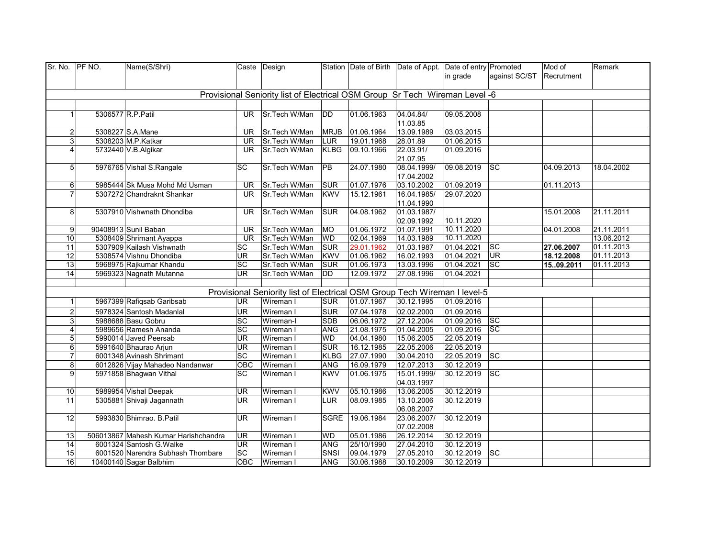| Sr. No.          | PF NO. | Name(S/Shri)                                    |                  | Caste Design                                                                |             |            | Station Date of Birth Date of Appt. Date of entry Promoted |                          |                        | Mod of     | Remark                   |
|------------------|--------|-------------------------------------------------|------------------|-----------------------------------------------------------------------------|-------------|------------|------------------------------------------------------------|--------------------------|------------------------|------------|--------------------------|
|                  |        |                                                 |                  |                                                                             |             |            |                                                            | in grade                 | against SC/ST          | Recrutment |                          |
|                  |        |                                                 |                  |                                                                             |             |            |                                                            |                          |                        |            |                          |
|                  |        |                                                 |                  | Provisional Seniority list of Electrical OSM Group Sr Tech Wireman Level -6 |             |            |                                                            |                          |                        |            |                          |
|                  |        |                                                 |                  |                                                                             |             |            |                                                            |                          |                        |            |                          |
| $\mathbf{1}$     |        | 5306577 R.P. Patil                              | UR.              | Sr.Tech W/Man                                                               | <b>DD</b>   | 01.06.1963 | 04.04.84/                                                  | 09.05.2008               |                        |            |                          |
|                  |        |                                                 |                  |                                                                             |             |            | 11.03.85                                                   |                          |                        |            |                          |
| $\overline{2}$   |        | 5308227 S.A.Mane                                | UR               | Sr.Tech W/Man                                                               | <b>MRJB</b> | 01.06.1964 | 13.09.1989                                                 | 03.03.2015               |                        |            |                          |
| 3 <sup>1</sup>   |        | 5308203 M.P.Katkar                              | <b>UR</b>        | Sr.Tech W/Man                                                               | LUR         | 19.01.1968 | 28.01.89                                                   | 01.06.2015               |                        |            |                          |
| 4                |        | 5732440 V.B.Algikar                             | UR.              | Sr.Tech W/Man                                                               | <b>KLBG</b> | 09.10.1966 | 22.03.91/                                                  | 01.09.2016               |                        |            |                          |
|                  |        |                                                 |                  |                                                                             |             |            | 21.07.95                                                   |                          |                        |            |                          |
| 5 <sup>1</sup>   |        | 5976765 Vishal S.Rangale                        | SC               | Sr.Tech W/Man                                                               | <b>PB</b>   | 24.07.1980 | 08.04.1999/                                                | 09.08.2019               | <b>SC</b>              | 04.09.2013 | 18.04.2002               |
|                  |        |                                                 |                  |                                                                             |             |            | 17.04.2002                                                 |                          |                        |            |                          |
| $6 \overline{6}$ |        | 5985444 Sk Musa Mohd Md Usman                   | <b>UR</b>        | Sr.Tech W/Man                                                               | <b>SUR</b>  | 01.07.1976 | 03.10.2002                                                 | 01.09.2019               |                        | 01.11.2013 |                          |
| $\overline{7}$   |        | 5307272 Chandraknt Shankar                      | UR.              | Sr.Tech W/Man                                                               | <b>KWV</b>  | 15.12.1961 | 16.04.1985/                                                | 29.07.2020               |                        |            |                          |
|                  |        |                                                 |                  |                                                                             |             |            | 11.04.1990                                                 |                          |                        |            |                          |
| 8 <sup>1</sup>   |        | 5307910 Vishwnath Dhondiba                      | UR.              | Sr.Tech W/Man                                                               | <b>SUR</b>  | 04.08.1962 | 01.03.1987/                                                |                          |                        | 15.01.2008 | 21.11.2011               |
|                  |        |                                                 |                  |                                                                             | <b>MO</b>   | 01.06.1972 | 02.09.1992<br>01.07.1991                                   | 10.11.2020<br>10.11.2020 |                        |            |                          |
| 9<br>10          |        | 90408913 Sunil Baban<br>5308409 Shrimant Ayappa | <b>UR</b><br>UR. | Sr.Tech W/Man<br>Sr.Tech W/Man                                              | <b>WD</b>   | 02.04.1969 | 14.03.1989                                                 | 10.11.2020               |                        | 04.01.2008 | 21.11.2011<br>13.06.2012 |
| 11               |        | 5307909 Kailash Vishwnath                       | SC               | Sr.Tech W/Man                                                               | <b>SUR</b>  | 29.01.1962 | 01.03.1987                                                 | 01.04.2021               | SC                     | 27.06.2007 | 01.11.2013               |
| 12               |        | 5308574 Vishnu Dhondiba                         | UR               | Sr.Tech W/Man                                                               | <b>KWV</b>  | 01.06.1962 | 16.02.1993                                                 | 01.04.2021               | <b>UR</b>              | 18.12.2008 | 01.11.2013               |
| 13               |        | 5968975 Rajkumar Khandu                         | <b>SC</b>        | Sr.Tech W/Man                                                               | <b>SUR</b>  | 01.06.1973 | 13.03.1996                                                 | 01.04.2021               | $ \mathrm{sc} $        | 1509.2011  | 01.11.2013               |
| 14               |        | 5969323 Nagnath Mutanna                         | <b>UR</b>        | Sr.Tech W/Man                                                               | <b>DD</b>   | 12.09.1972 | 27.08.1996                                                 | 01.04.2021               |                        |            |                          |
|                  |        |                                                 |                  |                                                                             |             |            |                                                            |                          |                        |            |                          |
|                  |        |                                                 |                  | Provisional Seniority list of Electrical OSM Group Tech Wireman I level-5   |             |            |                                                            |                          |                        |            |                          |
| 1                |        | 5967399 Rafiqsab Garibsab                       | UR               | Wireman I                                                                   | <b>SUR</b>  | 01.07.1967 | 30.12.1995                                                 | 01.09.2016               |                        |            |                          |
| $\overline{2}$   |        | 5978324 Santosh Madanlal                        | <b>UR</b>        | Wireman I                                                                   | <b>SUR</b>  | 07.04.1978 | 02.02.2000                                                 | 01.09.2016               |                        |            |                          |
| 3                |        | 5988688 Basu Gobru                              | SC               | Wireman-I                                                                   | <b>SDB</b>  | 06.06.1972 | 27.12.2004                                                 | 01.09.2016               | SC                     |            |                          |
| 4                |        | 5989656 Ramesh Ananda                           | $\overline{SC}$  | Wireman I                                                                   | <b>ANG</b>  | 21.08.1975 | 01.04.2005                                                 | 01.09.2016               | <b>SC</b>              |            |                          |
| 5 <sup>1</sup>   |        | 5990014 Javed Peersab                           | <b>UR</b>        | Wireman I                                                                   | <b>WD</b>   | 04.04.1980 | 15.06.2005                                                 | 22.05.2019               |                        |            |                          |
| 6                |        | 5991640 Bhaurao Arjun                           | <b>UR</b>        | Wireman I                                                                   | <b>SUR</b>  | 16.12.1985 | 22.05.2006                                                 | 22.05.2019               |                        |            |                          |
| $\overline{7}$   |        | 6001348 Avinash Shrimant                        | SC               | Wireman I                                                                   | <b>KLBG</b> | 27.07.1990 | 30.04.2010                                                 | 22.05.2019               | $ \mathrm{SC} $        |            |                          |
| $\bf 8$          |        | 6012826 Vijay Mahadeo Nandanwar                 | OBC              | Wireman I                                                                   | ANG         | 16.09.1979 | 12.07.2013                                                 | 30.12.2019               |                        |            |                          |
| 9                |        | 5971858 Bhagwan Vithal                          | SC               | Wireman I                                                                   | <b>KWV</b>  | 01.06.1975 | 15.01.1999/                                                | 30.12.2019               | SC                     |            |                          |
|                  |        |                                                 |                  |                                                                             |             |            | 04.03.1997                                                 |                          |                        |            |                          |
| 10               |        | 5989954 Vishal Deepak                           | UR               | Wireman I                                                                   | <b>KWV</b>  | 05.10.1986 | 13.06.2005                                                 | 30.12.2019               |                        |            |                          |
| 11               |        | 5305881 Shivaji Jagannath                       | <b>UR</b>        | Wireman I                                                                   | LUR         | 08.09.1985 | 13.10.2006                                                 | 30.12.2019               |                        |            |                          |
|                  |        |                                                 |                  |                                                                             |             |            | 06.08.2007                                                 |                          |                        |            |                          |
| 12               |        | 5993830 Bhimrao. B.Patil                        | <b>UR</b>        | Wireman I                                                                   | <b>SGRE</b> | 19.06.1984 | 23.06.2007/                                                | 30.12.2019               |                        |            |                          |
|                  |        |                                                 |                  |                                                                             |             |            | 07.02.2008                                                 |                          |                        |            |                          |
| 13               |        | 506013867 Mahesh Kumar Harishchandra            | <b>UR</b>        | Wireman I                                                                   | <b>WD</b>   | 05.01.1986 | 26.12.2014                                                 | 30.12.2019               |                        |            |                          |
| 14               |        | 6001324 Santosh G. Walke                        | <b>UR</b>        | Wireman I                                                                   | ANG         | 25/10/1990 | 27.04.2010                                                 | 30.12.2019               |                        |            |                          |
| 15               |        | 6001520 Narendra Subhash Thombare               | $\overline{SC}$  | Wireman I                                                                   | SNSI        | 09.04.1979 | 27.05.2010                                                 | 30.12.2019               | $\overline{\text{sc}}$ |            |                          |
| 16               |        | 10400140 Sagar Balbhim                          | <b>OBC</b>       | Wireman I                                                                   | <b>ANG</b>  | 30.06.1988 | 30.10.2009                                                 | 30.12.2019               |                        |            |                          |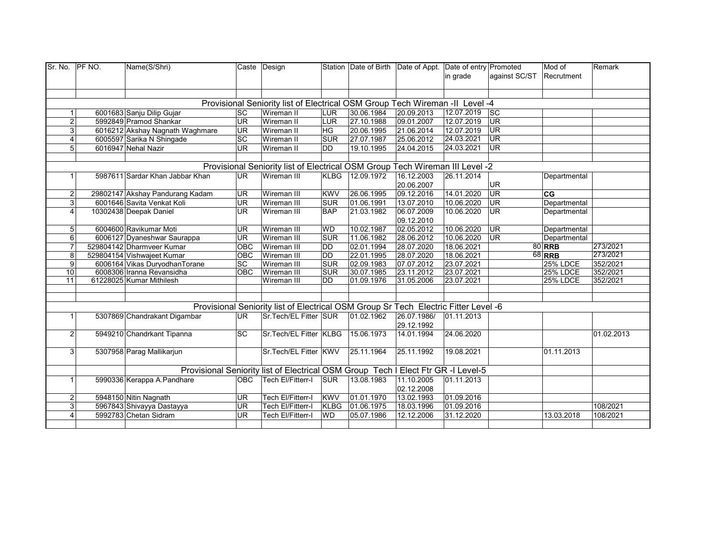| Sr. No.          | PF NO. | Name(S/Shri)                    |                 | Caste Design                                                                        |             |                 | Station Date of Birth Date of Appt. Date of entry Promoted |            |               | Mod of          | Remark     |
|------------------|--------|---------------------------------|-----------------|-------------------------------------------------------------------------------------|-------------|-----------------|------------------------------------------------------------|------------|---------------|-----------------|------------|
|                  |        |                                 |                 |                                                                                     |             |                 |                                                            | in grade   | against SC/ST | Recrutment      |            |
|                  |        |                                 |                 |                                                                                     |             |                 |                                                            |            |               |                 |            |
|                  |        |                                 |                 |                                                                                     |             |                 |                                                            |            |               |                 |            |
|                  |        |                                 |                 | Provisional Seniority list of Electrical OSM Group Tech Wireman -II Level -4        |             |                 |                                                            |            |               |                 |            |
| $\mathbf 1$      |        | 6001683 Sanju Dilip Gujar       | <b>SC</b>       | Wireman II                                                                          | <b>LUR</b>  | 30.06.1984      | 20.09.2013                                                 | 12.07.2019 | <b>SC</b>     |                 |            |
| $\overline{2}$   |        | 5992849 Pramod Shankar          | <b>UR</b>       | Wireman II                                                                          | LUR         | 27.10.1988      | 09.01.2007                                                 | 12.07.2019 | <b>UR</b>     |                 |            |
| 3                |        | 6016212 Akshay Nagnath Waghmare | <b>UR</b>       | Wireman II                                                                          | HG          | 20.06.1995      | 21.06.2014                                                 | 12.07.2019 | <b>UR</b>     |                 |            |
| 4                |        | 6005597 Sarika N Shingade       | $\overline{SC}$ | Wireman II                                                                          | <b>SUR</b>  | 27.07.1987      | 25.06.2012                                                 | 24.03.2021 | UR            |                 |            |
| 5                |        | 6016947 Nehal Nazir             | <b>UR</b>       | Wireman II                                                                          | DD          | 19.10.1995      | 24.04.2015                                                 | 24.03.2021 | <b>UR</b>     |                 |            |
|                  |        |                                 |                 |                                                                                     |             |                 |                                                            |            |               |                 |            |
|                  |        |                                 |                 | Provisional Seniority list of Electrical OSM Group Tech Wireman III Level -2        |             |                 |                                                            |            |               |                 |            |
|                  |        | 5987611 Sardar Khan Jabbar Khan | <b>UR</b>       | Wireman III                                                                         |             | KLBG 12.09.1972 | 16.12.2003                                                 | 26.11.2014 |               | Departmental    |            |
|                  |        |                                 |                 |                                                                                     |             |                 | 20.06.2007                                                 |            | UR            |                 |            |
| 2                |        | 29802147 Akshay Pandurang Kadam | <b>UR</b>       | Wireman III                                                                         | <b>KWV</b>  | 26.06.1995      | 09.12.2016                                                 | 14.01.2020 | UR            | CG              |            |
| 3 <sup>1</sup>   |        | 6001646 Savita Venkat Koli      | <b>UR</b>       | Wireman III                                                                         | <b>SUR</b>  | 01.06.1991      | 13.07.2010                                                 | 10.06.2020 | <b>UR</b>     | Departmental    |            |
| 4                |        | 10302438 Deepak Daniel          | <b>UR</b>       | Wireman III                                                                         | <b>BAP</b>  | 21.03.1982      | 06.07.2009                                                 | 10.06.2020 | UR            | Departmental    |            |
|                  |        |                                 |                 |                                                                                     |             |                 | 09.12.2010                                                 |            |               |                 |            |
| 5                |        | 6004600 Ravikumar Moti          | <b>UR</b>       | Wireman III                                                                         | <b>WD</b>   | 10.02.1987      | 02.05.2012                                                 | 10.06.2020 | <b>UR</b>     | Departmental    |            |
| $6 \overline{6}$ |        | 6006127 Dyaneshwar Saurappa     | UR              | Wireman III                                                                         | SUR         | 11.06.1982      | 28.06.2012                                                 | 10.06.2020 | UR            | Departmental    |            |
| $\overline{7}$   |        | 529804142 Dharmveer Kumar       | OBC             | Wireman III                                                                         | DD          | 02.01.1994      | 28.07.2020                                                 | 18.06.2021 |               | <b>80 RRB</b>   | 273/2021   |
| 8                |        | 529804154 Vishwajeet Kumar      | <b>OBC</b>      | Wireman III                                                                         | <b>DD</b>   | 22.01.1995      | 28.07.2020                                                 | 18.06.2021 |               | <b>68 RRB</b>   | 273/2021   |
| 9 <sup>1</sup>   |        | 6006164 Vikas DuryodhanTorane   | SC              | Wireman III                                                                         | <b>SUR</b>  | 02.09.1983      | 07.07.2012                                                 | 23.07.2021 |               | <b>25% LDCE</b> | 352/2021   |
| 10               |        | 6008306 Iranna Revansidha       | <b>OBC</b>      | Wireman III                                                                         | SUR         | 30.07.1985      | 23.11.2012                                                 | 23.07.2021 |               | <b>25% LDCE</b> | 352/2021   |
| 11               |        | 61228025 Kumar Mithilesh        |                 | Wireman III                                                                         | DD          | 01.09.1976      | 31.05.2006                                                 | 23.07.2021 |               | <b>25% LDCE</b> | 352/2021   |
|                  |        |                                 |                 |                                                                                     |             |                 |                                                            |            |               |                 |            |
|                  |        |                                 |                 |                                                                                     |             |                 |                                                            |            |               |                 |            |
|                  |        |                                 |                 | Provisional Seniority list of Electrical OSM Group Sr Tech Electric Fitter Level -6 |             |                 |                                                            |            |               |                 |            |
|                  |        | 5307869 Chandrakant Digambar    | <b>UR</b>       | Sr.Tech/EL Fitter SUR                                                               |             | 01.02.1962      | 26.07.1986/                                                | 01.11.2013 |               |                 |            |
|                  |        |                                 |                 |                                                                                     |             |                 | 29.12.1992                                                 |            |               |                 |            |
| $\overline{2}$   |        | 5949210 Chandrkant Tipanna      | <b>SC</b>       | Sr.Tech/EL Fitter KLBG                                                              |             | 15.06.1973      | 14.01.1994                                                 | 24.06.2020 |               |                 | 01.02.2013 |
|                  |        |                                 |                 |                                                                                     |             |                 |                                                            |            |               |                 |            |
| 3 <sup>1</sup>   |        | 5307958 Parag Mallikarjun       |                 | Sr.Tech/EL Fitter KWV                                                               |             | 25.11.1964      | 25.11.1992                                                 | 19.08.2021 |               | 01.11.2013      |            |
|                  |        |                                 |                 |                                                                                     |             |                 |                                                            |            |               |                 |            |
|                  |        |                                 |                 | Provisional Seniority list of Electrical OSM Group Tech I Elect Ftr GR -I Level-5   |             |                 |                                                            |            |               |                 |            |
| 1                |        | 5990336 Kerappa A.Pandhare      | <b>OBC</b>      | Tech El/Fitterr-I                                                                   | <b>SUR</b>  | 13.08.1983      | 11.10.2005                                                 | 01.11.2013 |               |                 |            |
|                  |        |                                 |                 |                                                                                     |             |                 | 02.12.2008                                                 |            |               |                 |            |
| $\overline{2}$   |        | 5948150 Nitin Nagnath           | <b>UR</b>       | Tech El/Fitterr-I                                                                   | <b>KWV</b>  | 01.01.1970      | 13.02.1993                                                 | 01.09.2016 |               |                 |            |
| 3                |        | 5967843 Shivayya Dastayya       | <b>UR</b>       | Tech El/Fitterr-I                                                                   | <b>KLBG</b> | 01.06.1975      | 18.03.1996                                                 | 01.09.2016 |               |                 | 108/2021   |
| 4                |        | 5992783 Chetan Sidram           | <b>UR</b>       | Tech El/Fitterr-I                                                                   | <b>WD</b>   | 05.07.1986      | 12.12.2006                                                 | 31.12.2020 |               | 13.03.2018      | 108/2021   |
|                  |        |                                 |                 |                                                                                     |             |                 |                                                            |            |               |                 |            |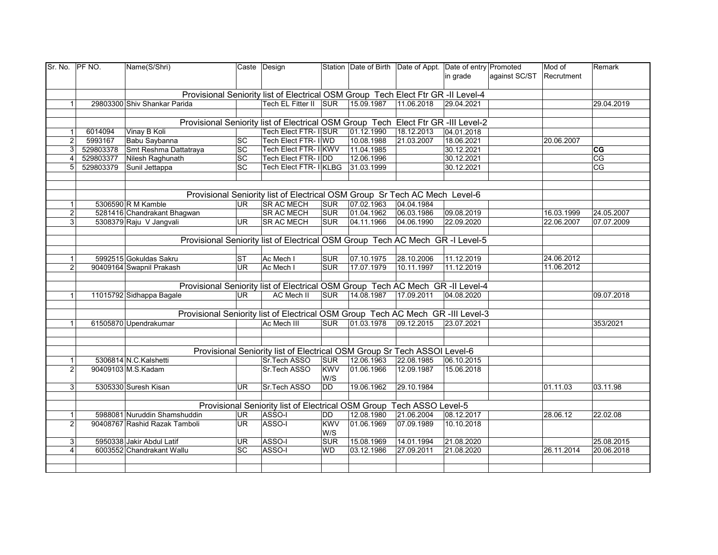| Sr. No. PF NO.              | Name(S/Shri)                  |                 | Caste Design                                                                      |            |            |            | Station Date of Birth Date of Appt. Date of entry Promoted | Mod of     | Remark     |
|-----------------------------|-------------------------------|-----------------|-----------------------------------------------------------------------------------|------------|------------|------------|------------------------------------------------------------|------------|------------|
|                             |                               |                 |                                                                                   |            |            |            | in grade<br>against SC/ST                                  | Recrutment |            |
|                             |                               |                 | Provisional Seniority list of Electrical OSM Group Tech Elect Ftr GR -II Level-4  |            |            |            |                                                            |            |            |
|                             |                               |                 | Tech EL Fitter II SUR                                                             |            | 15.09.1987 | 11.06.2018 | 29.04.2021                                                 |            |            |
| $\mathbf{1}$                | 29803300 Shiv Shankar Parida  |                 |                                                                                   |            |            |            |                                                            |            | 29.04.2019 |
|                             |                               |                 | Provisional Seniority list of Electrical OSM Group Tech Elect Ftr GR -III Level-2 |            |            |            |                                                            |            |            |
| 6014094<br>$\mathbf{1}$     | Vinay B Koli                  |                 | Tech Elect FTR- IISUR                                                             |            | 01.12.1990 | 18.12.2013 | 04.01.2018                                                 |            |            |
| 5993167<br>$\overline{2}$   | Babu Saybanna                 | SC              | Tech Elect FTR- I WD                                                              |            | 10.08.1988 | 21.03.2007 | 18.06.2021                                                 | 20.06.2007 |            |
| 3 <sup>1</sup><br>529803378 | Smt Reshma Dattatraya         | $\overline{SC}$ | <b>Tech Elect FTR- IIKWV</b>                                                      |            | 11.04.1985 |            | 30.12.2021                                                 |            | CG         |
| 529803377<br>$\overline{4}$ | Nilesh Raghunath              | $\overline{SC}$ | Tech Elect FTR- IDD                                                               |            | 12.06.1996 |            | 30.12.2021                                                 |            | CG         |
| 5 <sup>1</sup>              |                               | $\overline{SC}$ | Tech Elect FTR- IIKLBG                                                            |            |            |            |                                                            |            |            |
| 529803379                   | Sunil Jettappa                |                 |                                                                                   |            | 31.03.1999 |            | 30.12.2021                                                 |            | CG         |
|                             |                               |                 |                                                                                   |            |            |            |                                                            |            |            |
|                             |                               |                 |                                                                                   |            |            |            |                                                            |            |            |
|                             |                               |                 | Provisional Seniority list of Electrical OSM Group Sr Tech AC Mech Level-6        |            |            |            |                                                            |            |            |
| $\mathbf{1}$                | 5306590 R M Kamble            | <b>UR</b>       | <b>SR AC MECH</b>                                                                 | <b>SUR</b> | 07.02.1963 | 04.04.1984 |                                                            |            |            |
| $\overline{2}$              | 5281416 Chandrakant Bhagwan   |                 | <b>SR AC MECH</b>                                                                 | <b>SUR</b> | 01.04.1962 | 06.03.1986 | 09.08.2019                                                 | 16.03.1999 | 24.05.2007 |
| 3 <sup>1</sup>              | 5308379 Raju V Jangvali       | UR.             | <b>SR AC MECH</b>                                                                 | <b>SUR</b> | 04.11.1966 | 04.06.1990 | 22.09.2020                                                 | 22.06.2007 | 07.07.2009 |
|                             |                               |                 |                                                                                   |            |            |            |                                                            |            |            |
|                             |                               |                 | Provisional Seniority list of Electrical OSM Group Tech AC Mech GR -I Level-5     |            |            |            |                                                            |            |            |
|                             |                               |                 |                                                                                   |            |            |            |                                                            |            |            |
| $\mathbf{1}$                | 5992515 Gokuldas Sakru        | <b>ST</b>       | Ac Mech I                                                                         | <b>SUR</b> | 07.10.1975 | 28.10.2006 | 11.12.2019                                                 | 24.06.2012 |            |
| $\overline{2}$              | 90409164 Swapnil Prakash      | UR <sup></sup>  | Ac Mech I                                                                         | <b>SUR</b> | 17.07.1979 | 10.11.1997 | 11.12.2019                                                 | 11.06.2012 |            |
|                             |                               |                 |                                                                                   |            |            |            |                                                            |            |            |
|                             |                               |                 | Provisional Seniority list of Electrical OSM Group Tech AC Mech GR -II Level-4    |            |            |            |                                                            |            |            |
| $\vert$                     | 11015792 Sidhappa Bagale      | UR.             | <b>AC Mech II</b>                                                                 | <b>SUR</b> | 14.08.1987 | 17.09.2011 | 04.08.2020                                                 |            | 09.07.2018 |
|                             |                               |                 |                                                                                   |            |            |            |                                                            |            |            |
|                             |                               |                 | Provisional Seniority list of Electrical OSM Group Tech AC Mech GR -III Level-3   |            |            |            |                                                            |            |            |
| $\mathbf{1}$                |                               |                 | Ac Mech III                                                                       | <b>SUR</b> | 01.03.1978 | 09.12.2015 | 23.07.2021                                                 |            |            |
|                             | 61505870 Upendrakumar         |                 |                                                                                   |            |            |            |                                                            |            | 353/2021   |
|                             |                               |                 |                                                                                   |            |            |            |                                                            |            |            |
|                             |                               |                 |                                                                                   |            |            |            |                                                            |            |            |
|                             |                               |                 | Provisional Seniority list of Electrical OSM Group Sr Tech ASSOI Level-6          |            |            |            |                                                            |            |            |
| $\mathbf{1}$                | 5306814 N.C.Kalshetti         |                 | Sr.Tech ASSO                                                                      | <b>SUR</b> | 12.06.1963 | 22.08.1985 | 06.10.2015                                                 |            |            |
| $\overline{2}$              | 90409103 M.S.Kadam            |                 | Sr.Tech ASSO                                                                      | <b>KWV</b> | 01.06.1966 | 12.09.1987 | 15.06.2018                                                 |            |            |
|                             |                               |                 |                                                                                   | W/S        |            |            |                                                            |            |            |
| 3 <sup>1</sup>              | 5305330 Suresh Kisan          | <b>UR</b>       | Sr.Tech ASSO                                                                      | <b>DD</b>  | 19.06.1962 | 29.10.1984 |                                                            | 01.11.03   | 03.11.98   |
|                             |                               |                 |                                                                                   |            |            |            |                                                            |            |            |
|                             |                               |                 | Provisional Seniority list of Electrical OSM Group Tech ASSO Level-5              |            |            |            |                                                            |            |            |
| $\mathbf{1}$                | 5988081 Nuruddin Shamshuddin  | UR.             | ASSO-I                                                                            | <b>DD</b>  | 12.08.1980 | 21.06.2004 | 08.12.2017                                                 | 28.06.12   | 22.02.08   |
| $\overline{2}$              | 90408767 Rashid Razak Tamboli | UR.             | ASSO-I                                                                            | <b>KWV</b> | 01.06.1969 | 07.09.1989 | 10.10.2018                                                 |            |            |
|                             |                               |                 |                                                                                   | W/S        |            |            |                                                            |            |            |
| 3 <sup>1</sup>              | 5950338 Jakir Abdul Latif     | UR              | ASSO-I                                                                            | <b>SUR</b> | 15.08.1969 | 14.01.1994 | 21.08.2020                                                 |            | 25.08.2015 |
| $\overline{4}$              | 6003552 Chandrakant Wallu     | <b>SC</b>       | ASSO-I                                                                            | <b>WD</b>  | 03.12.1986 | 27.09.2011 | 21.08.2020                                                 | 26.11.2014 | 20.06.2018 |
|                             |                               |                 |                                                                                   |            |            |            |                                                            |            |            |
|                             |                               |                 |                                                                                   |            |            |            |                                                            |            |            |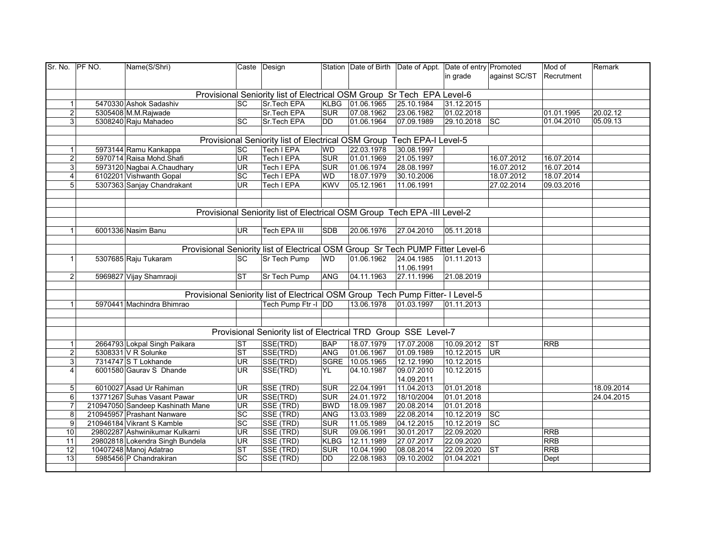| Sr. No. PF NO. | Name(S/Shri)                     |                 | Caste Design                                                                   |             |                       | Station Date of Birth Date of Appt. Date of entry Promoted |            |                        | Mod of     | Remark     |
|----------------|----------------------------------|-----------------|--------------------------------------------------------------------------------|-------------|-----------------------|------------------------------------------------------------|------------|------------------------|------------|------------|
|                |                                  |                 |                                                                                |             |                       |                                                            | in grade   | against SC/ST          | Recrutment |            |
|                |                                  |                 |                                                                                |             |                       |                                                            |            |                        |            |            |
|                |                                  |                 | Provisional Seniority list of Electrical OSM Group Sr Tech EPA Level-6         |             |                       |                                                            |            |                        |            |            |
| $\mathbf{1}$   | 5470330 Ashok Sadashiv           | <b>SC</b>       | Sr.Tech EPA                                                                    |             | KLBG 01.06.1965       | 25.10.1984                                                 | 31.12.2015 |                        |            |            |
| $\overline{2}$ | 5305408 M.M.Rajwade              |                 | Sr.Tech EPA                                                                    | <b>SUR</b>  | 07.08.1962            | 23.06.1982                                                 | 01.02.2018 |                        | 01.01.1995 | 20.02.12   |
| $\mathbf{3}$   | 5308240 Raju Mahadeo             | <b>SC</b>       | Sr.Tech EPA                                                                    | DD          | 01.06.1964            | 07.09.1989                                                 | 29.10.2018 | $\overline{\text{sc}}$ | 01.04.2010 | 05.09.13   |
|                |                                  |                 |                                                                                |             |                       |                                                            |            |                        |            |            |
|                |                                  |                 | Provisional Seniority list of Electrical OSM Group Tech EPA-I Level-5          |             |                       |                                                            |            |                        |            |            |
| $\mathbf{1}$   | 5973144 Ramu Kankappa            | <b>SC</b>       | Tech I EPA                                                                     | <b>WD</b>   | 22.03.1978            | 30.08.1997                                                 |            |                        |            |            |
| $\overline{2}$ | 5970714 Raisa Mohd.Shafi         | <b>UR</b>       | <b>Tech I EPA</b>                                                              | <b>SUR</b>  | 01.01.1969            | 21.05.1997                                                 |            | 16.07.2012             | 16.07.2014 |            |
| 3              | 5973120 Nagbai A.Chaudhary       | <b>UR</b>       | <b>Tech I EPA</b>                                                              | <b>SUR</b>  | 01.06.1974            | 28.08.1997                                                 |            | 16.07.2012             | 16.07.2014 |            |
| 4              | 6102201 Vishwanth Gopal          | <b>SC</b>       | Tech I EPA                                                                     | WD          | 18.07.1979            | 30.10.2006                                                 |            | 18.07.2012             | 18.07.2014 |            |
| 5 <sup>1</sup> | 5307363 Sanjay Chandrakant       | <b>UR</b>       | <b>Tech I EPA</b>                                                              | <b>KWV</b>  | 05.12.1961            | 11.06.1991                                                 |            | 27.02.2014             | 09.03.2016 |            |
|                |                                  |                 |                                                                                |             |                       |                                                            |            |                        |            |            |
|                |                                  |                 |                                                                                |             |                       |                                                            |            |                        |            |            |
|                |                                  |                 | Provisional Seniority list of Electrical OSM Group Tech EPA -III Level-2       |             |                       |                                                            |            |                        |            |            |
|                |                                  |                 |                                                                                |             |                       |                                                            |            |                        |            |            |
| 1              | 6001336 Nasim Banu               | <b>UR</b>       | <b>Tech EPA III</b>                                                            | <b>SDB</b>  | 20.06.1976            | 27.04.2010                                                 | 05.11.2018 |                        |            |            |
|                |                                  |                 |                                                                                |             |                       |                                                            |            |                        |            |            |
|                |                                  |                 | Provisional Seniority list of Electrical OSM Group Sr Tech PUMP Fitter Level-6 |             |                       |                                                            |            |                        |            |            |
| 1              | 5307685 Raju Tukaram             | <b>SC</b>       | Sr Tech Pump                                                                   | <b>WD</b>   | 01.06.1962            | 24.04.1985                                                 | 01.11.2013 |                        |            |            |
|                |                                  |                 |                                                                                |             |                       | 11.06.1991                                                 |            |                        |            |            |
| $\overline{2}$ | 5969827 Vijay Shamraoji          | <b>ST</b>       | Sr Tech Pump                                                                   | ANG         | 04.11.1963            | 27.11.1996                                                 | 21.08.2019 |                        |            |            |
|                |                                  |                 |                                                                                |             |                       |                                                            |            |                        |            |            |
|                |                                  |                 | Provisional Seniority list of Electrical OSM Group Tech Pump Fitter- I Level-5 |             |                       |                                                            |            |                        |            |            |
| 1              | 5970441 Machindra Bhimrao        |                 | Tech Pump Ftr -I DD                                                            |             | 13.06.1978 01.03.1997 |                                                            | 01.11.2013 |                        |            |            |
|                |                                  |                 |                                                                                |             |                       |                                                            |            |                        |            |            |
|                |                                  |                 |                                                                                |             |                       |                                                            |            |                        |            |            |
|                |                                  |                 | Provisional Seniority list of Electrical TRD Group SSE Level-7                 |             |                       |                                                            |            |                        |            |            |
| $\mathbf{1}$   | 2664793 Lokpal Singh Paikara     | <b>ST</b>       | SSE(TRD)                                                                       | <b>BAP</b>  | 18.07.1979            | 17.07.2008                                                 | 10.09.2012 | $\overline{\text{S}}$  | <b>RRB</b> |            |
| $\overline{2}$ | 5308331 V R Solunke              | <b>ST</b>       | SSE(TRD)                                                                       | <b>ANG</b>  | 01.06.1967            | 01.09.1989                                                 | 10.12.2015 | UR                     |            |            |
| 3              | 7314747 S T Lokhande             | <b>UR</b>       | SSE(TRD)                                                                       |             | SGRE 10.05.1965       | 12.12.1990                                                 | 10.12.2015 |                        |            |            |
| 4              | 6001580 Gaurav S Dhande          | UR.             | SSE(TRD)                                                                       | YL          | 04.10.1987            | 09.07.2010                                                 | 10.12.2015 |                        |            |            |
|                |                                  |                 |                                                                                |             |                       | 14.09.2011                                                 |            |                        |            |            |
| 5              | 6010027 Asad Ur Rahiman          | <b>UR</b>       | SSE (TRD)                                                                      | <b>SUR</b>  | 22.04.1991            | 11.04.2013                                                 | 01.01.2018 |                        |            | 18.09.2014 |
| 6              | 13771267 Suhas Vasant Pawar      | <b>UR</b>       | SSE(TRD)                                                                       | <b>SUR</b>  | 24.01.1972            | 18/10/2004                                                 | 01.01.2018 |                        |            | 24.04.2015 |
| $\overline{7}$ | 210947050 Sandeep Kashinath Mane | <b>UR</b>       | SSE (TRD)                                                                      | <b>BWD</b>  | 18.09.1987            | 20.08.2014                                                 | 01.01.2018 |                        |            |            |
| 8              | 210945957 Prashant Nanware       | $\overline{SC}$ | SSE (TRD)                                                                      | ANG         | 13.03.1989            | 22.08.2014                                                 | 10.12.2019 | $ \mathrm{sc} $        |            |            |
| 9              | 210946184 Vikrant S Kamble       | SC              | SSE (TRD)                                                                      | <b>SUR</b>  | 11.05.1989            | 04.12.2015                                                 | 10.12.2019 | $\overline{\text{sc}}$ |            |            |
| 10             | 29802287 Ashwinikumar Kulkarni   | UR              | SSE (TRD)                                                                      | <b>SUR</b>  | 09.06.1991            | 30.01.2017                                                 | 22.09.2020 |                        | <b>RRB</b> |            |
| 11             | 29802818 Lokendra Singh Bundela  | UR              | SSE (TRD)                                                                      | <b>KLBG</b> | 12.11.1989            | 27.07.2017                                                 | 22.09.2020 |                        | <b>RRB</b> |            |
| 12             | 10407248 Manoj Adatrao           | <b>ST</b>       | SSE (TRD)                                                                      | <b>SUR</b>  | 10.04.1990            | 08.08.2014                                                 | 22.09.2020 | <b>ST</b>              | <b>RRB</b> |            |
| 13             | 5985456 P Chandrakiran           | SC              | SSE (TRD)                                                                      | DD          | 22.08.1983            | 09.10.2002                                                 | 01.04.2021 |                        | Dept       |            |
|                |                                  |                 |                                                                                |             |                       |                                                            |            |                        |            |            |
|                |                                  |                 |                                                                                |             |                       |                                                            |            |                        |            |            |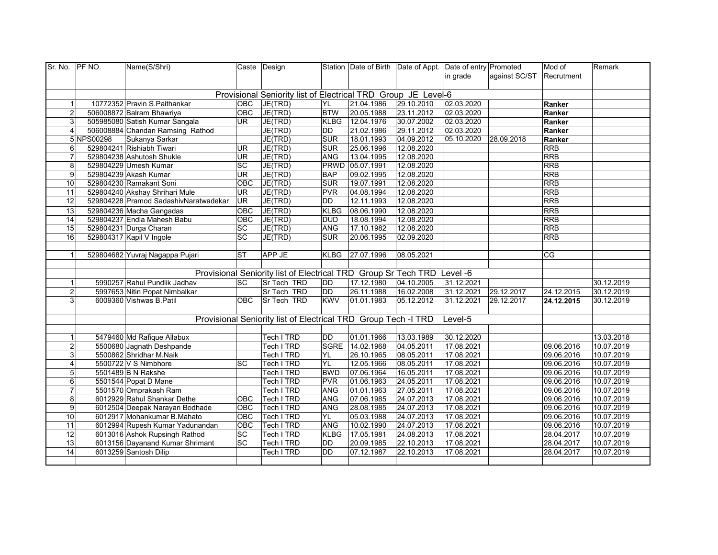| Sr. No.        | <b>PF NO.</b> | Name(S/Shri)                          |                        | Caste Design                                                            |             |                 | Station Date of Birth Date of Appt. Date of entry Promoted |            |               | Mod of     | Remark     |
|----------------|---------------|---------------------------------------|------------------------|-------------------------------------------------------------------------|-------------|-----------------|------------------------------------------------------------|------------|---------------|------------|------------|
|                |               |                                       |                        |                                                                         |             |                 |                                                            | in grade   | against SC/ST | Recrutment |            |
|                |               |                                       |                        |                                                                         |             |                 |                                                            |            |               |            |            |
|                |               |                                       |                        | Provisional Seniority list of Electrical TRD Group JE Level-6           |             |                 |                                                            |            |               |            |            |
| $\mathbf{1}$   |               | 10772352 Pravin S.Paithankar          | <b>OBC</b>             | JE(TRD)                                                                 | YL          | 21.04.1986      | 29.10.2010                                                 | 02.03.2020 |               | Ranker     |            |
| $\overline{c}$ |               | 506008872 Balram Bhawriya             | OBC                    | JE(TRD)                                                                 | <b>BTW</b>  | 20.05.1988      | 23.11.2012                                                 | 02.03.2020 |               | Ranker     |            |
| 3              |               | 505985080 Satish Kumar Sangala        | UR.                    | JE(TRD)                                                                 | <b>KLBG</b> | 12.04.1976      | 30.07.2002                                                 | 02.03.2020 |               | Ranker     |            |
| $\overline{4}$ |               | 506008884 Chandan Ramsing Rathod      |                        | JE(TRD)                                                                 | <b>DD</b>   | 21.02.1986      | 29.11.2012                                                 | 02.03.2020 |               | Ranker     |            |
|                | 5 NPS00298    | Sukanya Sarkar                        |                        | JE(TRD)                                                                 | <b>SUR</b>  | 18.01.1993      | 04.09.2012                                                 | 05.10.2020 | 28.09.2018    | Ranker     |            |
| 6              |               | 529804241 Rishiabh Tiwari             | UR                     | JE(TRD)                                                                 | <b>SUR</b>  | 25.06.1996      | 12.08.2020                                                 |            |               | <b>RRB</b> |            |
| $\overline{7}$ |               | 529804238 Ashutosh Shukle             | UR                     | JE(TRD)                                                                 | <b>ANG</b>  | 13.04.1995      | 12.08.2020                                                 |            |               | <b>RRB</b> |            |
| 8              |               | 529804229 Umesh Kumar                 | SC                     | JE(TRD)                                                                 |             | PRWD 05.07.1991 | 12.08.2020                                                 |            |               | <b>RRB</b> |            |
| 9              |               | 529804239 Akash Kumar                 | UR                     | JE(TRD)                                                                 | <b>BAP</b>  | 09.02.1995      | 12.08.2020                                                 |            |               | <b>RRB</b> |            |
| 10             |               | 529804230 Ramakant Soni               | OBC                    | JE(TRD)                                                                 | <b>SUR</b>  | 19.07.1991      | 12.08.2020                                                 |            |               | <b>RRB</b> |            |
| 11             |               | 529804240 Akshay Shrihari Mule        | UR                     | JE(TRD)                                                                 | PVR         | 04.08.1994      | 12.08.2020                                                 |            |               | RRB        |            |
| 12             |               | 529804228 Pramod SadashivNaratwadekar | <b>UR</b>              | JE(TRD)                                                                 | DD          | 12.11.1993      | 12.08.2020                                                 |            |               | <b>RRB</b> |            |
| 13             |               | 529804236 Macha Gangadas              | OBC                    | JE(TRD)                                                                 | <b>KLBG</b> | 08.06.1990      | 12.08.2020                                                 |            |               | <b>RRB</b> |            |
| 14             |               | 529804237 Endla Mahesh Babu           | OBC                    | JE(TRD)                                                                 | <b>DUD</b>  | 18.08.1994      | 12.08.2020                                                 |            |               | <b>RRB</b> |            |
| 15             |               | 529804231 Durga Charan                | <b>SC</b>              | JE(TRD)                                                                 | <b>ANG</b>  | 17.10.1982      | 12.08.2020                                                 |            |               | <b>RRB</b> |            |
| 16             |               | 529804317 Kapil V Ingole              | SC                     | JE(TRD)                                                                 | <b>SUR</b>  | 20.06.1995      | 02.09.2020                                                 |            |               | <b>RRB</b> |            |
|                |               |                                       |                        |                                                                         |             |                 |                                                            |            |               |            |            |
| $\mathbf{1}$   |               | 529804682 Yuvraj Nagappa Pujari       | $\overline{\text{ST}}$ | APP JE                                                                  | <b>KLBG</b> | 27.07.1996      | 08.05.2021                                                 |            |               | CG         |            |
|                |               |                                       |                        |                                                                         |             |                 |                                                            |            |               |            |            |
|                |               |                                       |                        | Provisional Seniority list of Electrical TRD Group Sr Tech TRD Level -6 |             |                 |                                                            |            |               |            |            |
| 1              |               | 5990257 Rahul Pundlik Jadhav          | <b>SC</b>              | Sr Tech TRD                                                             | <b>DD</b>   | 17.12.1980      | 04.10.2005                                                 | 31.12.2021 |               |            | 30.12.2019 |
| $\overline{2}$ |               | 5997653 Nitin Popat Nimbalkar         |                        | Sr Tech TRD                                                             | <b>DD</b>   | 26.11.1988      | 16.02.2008                                                 | 31.12.2021 | 29.12.2017    | 24.12.2015 | 30.12.2019 |
| 3              |               | 6009360 Vishwas B.Patil               | <b>OBC</b>             | Sr Tech TRD                                                             | <b>KWV</b>  | 01.01.1983      | 05.12.2012                                                 | 31.12.2021 | 29.12.2017    | 24.12.2015 | 30.12.2019 |
|                |               |                                       |                        |                                                                         |             |                 |                                                            |            |               |            |            |
|                |               |                                       |                        | Provisional Seniority list of Electrical TRD Group Tech -I TRD          |             |                 |                                                            | Level-5    |               |            |            |
|                |               |                                       |                        |                                                                         |             |                 |                                                            |            |               |            |            |
| $\overline{1}$ |               | 5479460 Md Rafique Allabux            |                        | Tech I TRD                                                              | DD          | 01.01.1966      | 13.03.1989                                                 | 30.12.2020 |               |            | 13.03.2018 |
| $\overline{2}$ |               | 5500680 Jagnath Deshpande             |                        | Tech I TRD                                                              |             | SGRE 14.02.1968 | 04.05.2011                                                 | 17.08.2021 |               | 09.06.2016 | 10.07.2019 |
| 3              |               | 5500862 Shridhar M.Naik               |                        | Tech I TRD                                                              | YL          | 26.10.1965      | 08.05.2011                                                 | 17.08.2021 |               | 09.06.2016 | 10.07.2019 |
| 4              |               | 5500722 V S Nimbhore                  | <b>SC</b>              | Tech I TRD                                                              | YL          | 12.05.1966      | 08.05.2011                                                 | 17.08.2021 |               | 09.06.2016 | 10.07.2019 |
| 5              |               | 5501489 B N Rakshe                    |                        | Tech I TRD                                                              | <b>BWD</b>  | 07.06.1964      | 16.05.2011                                                 | 17.08.2021 |               | 09.06.2016 | 10.07.2019 |
| 6              |               | 5501544 Popat D Mane                  |                        | Tech I TRD                                                              | <b>PVR</b>  | 01.06.1963      | 24.05.2011                                                 | 17.08.2021 |               | 09.06.2016 | 10.07.2019 |
| $\overline{7}$ |               | 5501570 Omprakash Ram                 |                        | Tech I TRD                                                              | ANG         | 01.01.1963      | 27.05.2011                                                 | 17.08.2021 |               | 09.06.2016 | 10.07.2019 |
| 8              |               | 6012929 Rahul Shankar Dethe           | <b>OBC</b>             | Tech I TRD                                                              | ANG         | 07.06.1985      | 24.07.2013                                                 | 17.08.2021 |               | 09.06.2016 | 10.07.2019 |
| 9              |               | 6012504 Deepak Narayan Bodhade        | OBC                    | Tech I TRD                                                              | ANG         | 28.08.1985      | 24.07.2013                                                 | 17.08.2021 |               | 09.06.2016 | 10.07.2019 |
| 10             |               | 6012917 Mohankumar B.Mahato           | OBC                    | <b>Tech I TRD</b>                                                       | <b>YL</b>   | 05.03.1988      | 24.07.2013                                                 | 17.08.2021 |               | 09.06.2016 | 10.07.2019 |
| 11             |               | 6012994 Rupesh Kumar Yadunandan       | OBC                    | Tech I TRD                                                              | ANG         | 10.02.1990      | 24.07.2013                                                 | 17.08.2021 |               | 09.06.2016 | 10.07.2019 |
| 12             |               | 6013016 Ashok Rupsingh Rathod         | <b>SC</b>              | <b>Tech I TRD</b>                                                       | <b>KLBG</b> | 17.05.1981      | 24.08.2013                                                 | 17.08.2021 |               | 28.04.2017 | 10.07.2019 |
| 13             |               | 6013156 Dayanand Kumar Shrimant       | SC                     | <b>Tech I TRD</b>                                                       | ldd.        | 20.09.1985      | 22.10.2013                                                 | 17.08.2021 |               | 28.04.2017 | 10.07.2019 |
| 14             |               | 6013259 Santosh Dilip                 |                        | Tech I TRD                                                              | DD          | 07.12.1987      | 22.10.2013                                                 | 17.08.2021 |               | 28.04.2017 | 10.07.2019 |
|                |               |                                       |                        |                                                                         |             |                 |                                                            |            |               |            |            |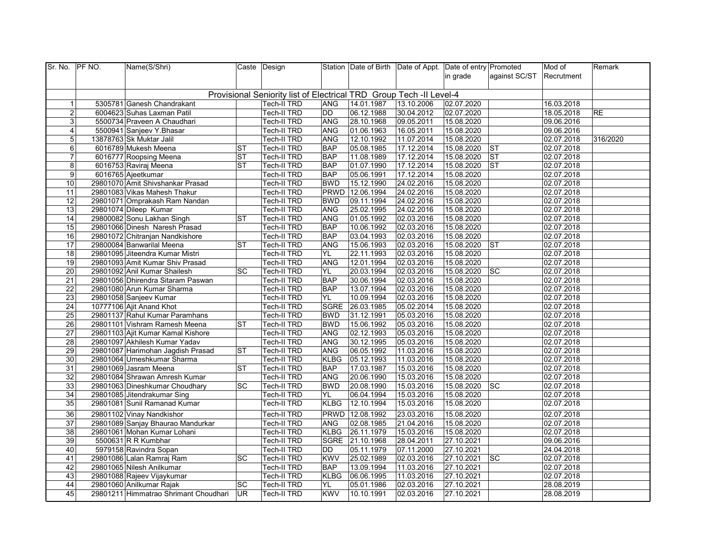| Sr. No. PF NO.  | Name(S/Shri)                          |           | Caste Design                                                        |             |                 | Station Date of Birth Date of Appt. Date of entry Promoted |            |                        | Mod of     | Remark    |
|-----------------|---------------------------------------|-----------|---------------------------------------------------------------------|-------------|-----------------|------------------------------------------------------------|------------|------------------------|------------|-----------|
|                 |                                       |           |                                                                     |             |                 |                                                            | in grade   | against SC/ST          | Recrutment |           |
|                 |                                       |           |                                                                     |             |                 |                                                            |            |                        |            |           |
|                 |                                       |           | Provisional Seniority list of Electrical TRD Group Tech -II Level-4 |             |                 |                                                            |            |                        |            |           |
| $\overline{1}$  | 5305781 Ganesh Chandrakant            |           | Tech-II TRD                                                         | ANG         | 14.01.1987      | 13.10.2006                                                 | 02.07.2020 |                        | 16.03.2018 |           |
| $\overline{2}$  | 6004623 Suhas Laxman Patil            |           | Tech-II TRD                                                         | <b>DD</b>   | 06.12.1988      | 30.04.2012                                                 | 02.07.2020 |                        | 18.05.2018 | <b>RE</b> |
| 3               | 5500734 Praveen A Chaudhari           |           | <b>Tech-II TRD</b>                                                  | <b>ANG</b>  | 28.10.1968      | 09.05.2011                                                 | 15.08.2020 |                        | 09.06.2016 |           |
| $\overline{4}$  | 5500941 Sanjeev Y. Bhasar             |           | <b>Tech-II TRD</b>                                                  | ANG         | 01.06.1963      | 16.05.2011                                                 | 15.08.2020 |                        | 09.06.2016 |           |
| 5               | 13878763 Sk Muktar Jalil              |           | Tech-II TRD                                                         | ANG         | 12.10.1992      | 11.07.2014                                                 | 15.08.2020 |                        | 02.07.2018 | 316/2020  |
| 6               | 6016789 Mukesh Meena                  | <b>ST</b> | Tech-II TRD                                                         | <b>BAP</b>  | 05.08.1985      | 17.12.2014                                                 | 15.08.2020 | $ \mathsf{ST} $        | 02.07.2018 |           |
| $\overline{7}$  | 6016777 Roopsing Meena                | <b>ST</b> | <b>Tech-II TRD</b>                                                  | <b>BAP</b>  | 11.08.1989      | 17.12.2014                                                 | 15.08.2020 | <b>ST</b>              | 02.07.2018 |           |
| 8               | 6016753 Raviraj Meena                 | <b>ST</b> | <b>Tech-II TRD</b>                                                  | <b>BAP</b>  | 01.07.1990      | 17.12.2014                                                 | 15.08.2020 | $\overline{\text{ST}}$ | 02.07.2018 |           |
| 9               | 6016765 Ajeetkumar                    |           | <b>Tech-II TRD</b>                                                  | <b>BAP</b>  | 05.06.1991      | 17.12.2014                                                 | 15.08.2020 |                        | 02.07.2018 |           |
| 10              | 29801070 Amit Shivshankar Prasad      |           | Tech-II TRD                                                         | <b>BWD</b>  | 15.12.1990      | 24.02.2016                                                 | 15.08.2020 |                        | 02.07.2018 |           |
| 11              | 29801083 Vikas Mahesh Thakur          |           | <b>Tech-II TRD</b>                                                  |             | PRWD 12.06.1994 | 24.02.2016                                                 | 15.08.2020 |                        | 02.07.2018 |           |
| 12              | 29801071 Omprakash Ram Nandan         |           | <b>Tech-II TRD</b>                                                  | <b>BWD</b>  | 09.11.1994      | 24.02.2016                                                 | 15.08.2020 |                        | 02.07.2018 |           |
| 13              | 29801074 Dileep Kumar                 |           | Tech-II TRD                                                         | ANG         | 25.02.1995      | 24.02.2016                                                 | 15.08.2020 |                        | 02.07.2018 |           |
| 14              | 29800082 Sonu Lakhan Singh            | <b>ST</b> | <b>Tech-II TRD</b>                                                  | <b>ANG</b>  | 01.05.1992      | 02.03.2016                                                 | 15.08.2020 |                        | 02.07.2018 |           |
| 15              | 29801066 Dinesh Naresh Prasad         |           | Tech-II TRD                                                         | <b>BAP</b>  | 10.06.1992      | 02.03.2016                                                 | 15.08.2020 |                        | 02.07.2018 |           |
| 16              | 29801072 Chitranjan Nandkishore       |           | <b>Tech-II TRD</b>                                                  | <b>BAP</b>  | 03.04.1993      | 02.03.2016                                                 | 15.08.2020 |                        | 02.07.2018 |           |
| $\overline{17}$ | 29800084 Banwarilal Meena             | <b>ST</b> | Tech-II TRD                                                         | <b>ANG</b>  | 15.06.1993      | 02.03.2016                                                 | 15.08.2020 | $\overline{\text{ST}}$ | 02.07.2018 |           |
| $\overline{18}$ | 29801095 Jiteendra Kumar Mistri       |           | Tech-II TRD                                                         | YL          | 22.11.1993      | 02.03.2016                                                 | 15.08.2020 |                        | 02.07.2018 |           |
| $\overline{19}$ | 29801093 Amit Kumar Shiv Prasad       |           | <b>Tech-II TRD</b>                                                  | <b>ANG</b>  | 12.01.1994      | 02.03.2016                                                 | 15.08.2020 |                        | 02.07.2018 |           |
| 20              | 29801092 Anil Kumar Shailesh          | <b>SC</b> | <b>Tech-II TRD</b>                                                  | YL.         | 20.03.1994      | 02.03.2016                                                 | 15.08.2020 | <b>SC</b>              | 02.07.2018 |           |
| 21              | 29801056 Dhirendra Sitaram Paswan     |           | <b>Tech-II TRD</b>                                                  | <b>BAP</b>  | 30.06.1994      | 02.03.2016                                                 | 15.08.2020 |                        | 02.07.2018 |           |
| 22              | 29801080 Arun Kumar Sharma            |           | Tech-II TRD                                                         | <b>BAP</b>  | 13.07.1994      | 02.03.2016                                                 | 15.08.2020 |                        | 02.07.2018 |           |
| 23              | 29801058 Sanjeev Kumar                |           | Tech-II TRD                                                         | YL.         | 10.09.1994      | 02.03.2016                                                 | 15.08.2020 |                        | 02.07.2018 |           |
| 24              | 10777106 Ajit Anand Khot              |           | Tech-II TRD                                                         | SGRE        | 26.03.1985      | 05.02.2014                                                 | 15.08.2020 |                        | 02.07.2018 |           |
| 25              | 29801137 Rahul Kumar Paramhans        |           | Tech-II TRD                                                         | <b>BWD</b>  | 31.12.1991      | 05.03.2016                                                 | 15.08.2020 |                        | 02.07.2018 |           |
| 26              | 29801101 Vishram Ramesh Meena         | ST        | <b>Tech-II TRD</b>                                                  | <b>BWD</b>  | 15.06.1992      | 05.03.2016                                                 | 15.08.2020 |                        | 02.07.2018 |           |
| 27              | 29801103 Ajit Kumar Kamal Kishore     |           | <b>Tech-II TRD</b>                                                  | <b>ANG</b>  | 02.12.1993      | 05.03.2016                                                 | 15.08.2020 |                        | 02.07.2018 |           |
| 28              | 29801097 Akhilesh Kumar Yadav         |           | <b>Tech-II TRD</b>                                                  | ANG         | 30.12.1995      | 05.03.2016                                                 | 15.08.2020 |                        | 02.07.2018 |           |
| 29              | 29801087 Harimohan Jagdish Prasad     | <b>ST</b> | <b>Tech-II TRD</b>                                                  | <b>ANG</b>  | 06.05.1992      | 11.03.2016                                                 | 15.08.2020 |                        | 02.07.2018 |           |
| 30              | 29801064 Umeshkumar Sharma            |           | Tech-II TRD                                                         | <b>KLBG</b> | 05.12.1993      | 11.03.2016                                                 | 15.08.2020 |                        | 02.07.2018 |           |
| 31              | 29801069 Jasram Meena                 | <b>ST</b> | Tech-II TRD                                                         | <b>BAP</b>  | 17.03.1987      | 15.03.2016                                                 | 15.08.2020 |                        | 02.07.2018 |           |
| 32              | 29801084 Shrawan Amresh Kumar         |           | <b>Tech-II TRD</b>                                                  | <b>ANG</b>  | 20.06.1990      | 15.03.2016                                                 | 15.08.2020 |                        | 02.07.2018 |           |
| 33              | 29801063 Dineshkumar Choudhary        | SC        | <b>Tech-II TRD</b>                                                  | <b>BWD</b>  | 20.08.1990      | 15.03.2016                                                 | 15.08.2020 | <b>SC</b>              | 02.07.2018 |           |
| 34              | 29801085 Jitendrakumar Sing           |           | <b>Tech-II TRD</b>                                                  | YL.         | 06.04.1994      | 15.03.2016                                                 | 15.08.2020 |                        | 02.07.2018 |           |
| 35              | 29801081 Sunil Ramanad Kumar          |           | Tech-II TRD                                                         | <b>KLBG</b> | 12.10.1994      | 15.03.2016                                                 | 15.08.2020 |                        | 02.07.2018 |           |
| 36              | 29801102 Vinay Nandkishor             |           | Tech-II TRD                                                         |             | PRWD 12.08.1992 | 23.03.2016                                                 | 15.08.2020 |                        | 02.07.2018 |           |
| 37              | 29801089 Sanjay Bhaurao Mandurkar     |           | Tech-II TRD                                                         | <b>ANG</b>  | 02.08.1985      | 21.04.2016                                                 | 15.08.2020 |                        | 02.07.2018 |           |
| 38              | 29801061 Mohan Kumar Lohani           |           | <b>Tech-II TRD</b>                                                  | <b>KLBG</b> | 26.11.1979      | 15.03.2016                                                 | 15.08.2020 |                        | 02.07.2018 |           |
| 39              | 5500631 R R Kumbhar                   |           | <b>Tech-II TRD</b>                                                  |             | SGRE 21.10.1968 | 28.04.2011                                                 | 27.10.2021 |                        | 09.06.2016 |           |
| 40              | 5979158 Ravindra Sopan                |           | Tech-II TRD                                                         | DD          | 05.11.1979      | 07.11.2000                                                 | 27.10.2021 |                        | 24.04.2018 |           |
| 41              | 29801086 Lalan Ramraj Ram             | <b>SC</b> | <b>Tech-II TRD</b>                                                  | <b>KWV</b>  | 25.02.1989      | 02.03.2016                                                 | 27.10.2021 | sc                     | 02.07.2018 |           |
| 42              | 29801065 Nilesh Anilkumar             |           | <b>Tech-II TRD</b>                                                  | <b>BAP</b>  | 13.09.1994      | 11.03.2016                                                 | 27.10.2021 |                        | 02.07.2018 |           |
| 43              | 29801088 Rajeev Vijaykumar            |           | Tech-II TRD                                                         | <b>KLBG</b> | 06.06.1995      | 11.03.2016                                                 | 27.10.2021 |                        | 02.07.2018 |           |
| 44              | 29801060 Anilkumar Rajak              | SC        | Tech-II TRD                                                         | <b>YL</b>   | 05.01.1986      | 02.03.2016                                                 | 27.10.2021 |                        | 28.08.2019 |           |
| 45              | 29801211 Himmatrao Shrimant Choudhari | <b>UR</b> | Tech-II TRD                                                         | <b>KWV</b>  | 10.10.1991      | 02.03.2016                                                 | 27.10.2021 |                        | 28.08.2019 |           |
|                 |                                       |           |                                                                     |             |                 |                                                            |            |                        |            |           |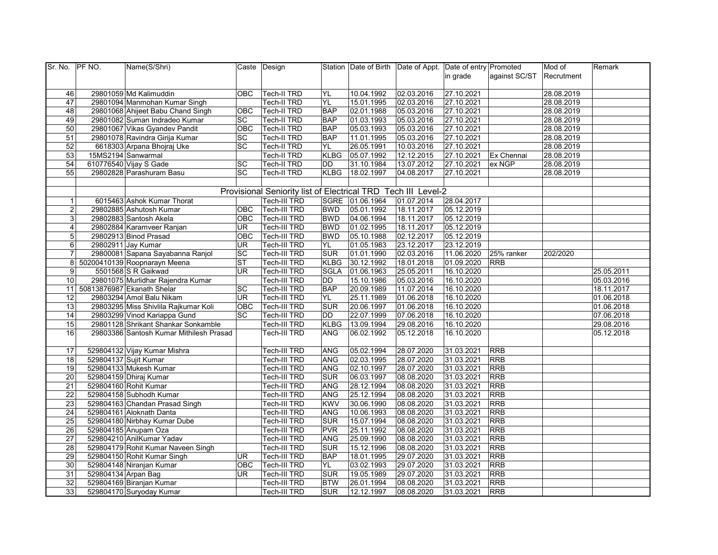| Sr. No. PF NO.  |                     | Name(S/Shri)                            |                 | Caste Design                                                  |             |                 | Station Date of Birth Date of Appt. Date of entry Promoted |            |               | Mod of     | Remark     |
|-----------------|---------------------|-----------------------------------------|-----------------|---------------------------------------------------------------|-------------|-----------------|------------------------------------------------------------|------------|---------------|------------|------------|
|                 |                     |                                         |                 |                                                               |             |                 |                                                            | in grade   | against SC/ST | Recrutment |            |
|                 |                     |                                         |                 |                                                               |             |                 |                                                            |            |               |            |            |
| 46              |                     | 29801059 Md Kalimuddin                  | <b>OBC</b>      | Tech-II TRD                                                   | YL          | 10.04.1992      | 02.03.2016                                                 | 27.10.2021 |               | 28.08.2019 |            |
| 47              |                     | 29801094 Manmohan Kumar Singh           |                 | Tech-II TRD                                                   | <b>YL</b>   | 15.01.1995      | 02.03.2016                                                 | 27.10.2021 |               | 28.08.2019 |            |
| 48              |                     | 29801068 Ahijeet Babu Chand Singh       | OBC             | <b>Tech-II TRD</b>                                            | <b>BAP</b>  | 02.01.1988      | 05.03.2016                                                 | 27.10.2021 |               | 28.08.2019 |            |
| 49              |                     | 29801082 Suman Indradeo Kumar           | SC              | <b>Tech-II TRD</b>                                            | <b>BAP</b>  | 01.03.1993      | 05.03.2016                                                 | 27.10.2021 |               | 28.08.2019 |            |
| 50              |                     | 29801067 Vikas Gyandev Pandit           | OBC             | <b>Tech-II TRD</b>                                            | <b>BAP</b>  | 05.03.1993      | 05.03.2016                                                 | 27.10.2021 |               | 28.08.2019 |            |
| 51              |                     | 29801078 Ravindra Girija Kumar          | <b>SC</b>       | <b>Tech-II TRD</b>                                            | <b>BAP</b>  | 11.01.1995      | 05.03.2016                                                 | 27.10.2021 |               | 28.08.2019 |            |
| 52              |                     | 6618303 Arpana Bhojraj Uke              | SC              | Tech-II TRD                                                   | YL.         | 26.05.1991      | 10.03.2016                                                 | 27.10.2021 |               | 28.08.2019 |            |
| 53              |                     | 15MS2194 Sanwarmal                      |                 | <b>Tech-II TRD</b>                                            | <b>KLBG</b> | 05.07.1992      | 12.12.2015                                                 | 27.10.2021 | Ex Chennai    | 28.08.2019 |            |
| $\overline{54}$ |                     | 610776540 Vijay S Gade                  | SC              | <b>Tech-II TRD</b>                                            | <b>DD</b>   | 31.10.1984      | 13.07.2012                                                 | 27.10.2021 | ex NGP        | 28.08.2019 |            |
| 55              |                     | 29802828 Parashuram Basu                | <b>SC</b>       | <b>Tech-II TRD</b>                                            | <b>KLBG</b> | 18.02.1997      | 04.08.2017                                                 | 27.10.2021 |               | 28.08.2019 |            |
|                 |                     |                                         |                 |                                                               |             |                 |                                                            |            |               |            |            |
|                 |                     |                                         |                 | Provisional Seniority list of Electrical TRD Tech III Level-2 |             |                 |                                                            |            |               |            |            |
| $\overline{1}$  |                     | 6015463 Ashok Kumar Thorat              |                 | Tech-III TRD                                                  |             | SGRE 01.06.1964 | 01.07.2014                                                 | 28.04.2017 |               |            |            |
| $\overline{a}$  |                     | 29802885 Ashutosh Kumar                 | OBC             | Tech-III TRD                                                  | <b>BWD</b>  | 05.01.1992      | 18.11.2017                                                 | 05.12.2019 |               |            |            |
| ω               |                     | 29802883 Santosh Akela                  | OBC             | Tech-III TRD                                                  | <b>BWD</b>  | 04.06.1994      | 18.11.2017                                                 | 05.12.2019 |               |            |            |
| 4               |                     | 29802884 Karamveer Ranjan               | <b>UR</b>       | Tech-III TRD                                                  | <b>BWD</b>  | 01.02.1995      | 18.11.2017                                                 | 05.12.2019 |               |            |            |
| 5               |                     | 29802913 Binod Prasad                   | OBC             | Tech-III TRD                                                  | <b>BWD</b>  | 05.10.1988      | 02.12.2017                                                 | 05.12.2019 |               |            |            |
| 6               |                     | 29802911 Jay Kumar                      | <b>UR</b>       | Tech-III TRD                                                  | <b>YL</b>   | 01.05.1983      | 23.12.2017                                                 | 23.12.2019 |               |            |            |
| $\overline{7}$  |                     | 29800081 Sapana Sayabanna Ranjol        | SC              | Tech-III TRD                                                  | SUR         | 01.01.1990      | 02.03.2016                                                 | 11.06.2020 | 25% ranker    | 202/2020   |            |
| 8 <sup>1</sup>  |                     | 50200410139 Roopnarayn Meena            | <b>ST</b>       | Tech-III TRD                                                  | <b>KLBG</b> | 30.12.1992      | 18.01.2018                                                 | 01.09.2020 | <b>RRB</b>    |            |            |
| 9               |                     | 5501568 S R Gaikwad                     | UR              | Tech-III TRD                                                  | <b>SGLA</b> | 01.06.1963      | 25.05.2011                                                 | 16.10.2020 |               |            | 25.05.2011 |
| 10              |                     | 29801075 Murlidhar Rajendra Kumar       |                 | Tech-III TRD                                                  | DD          | 15.10.1986      | 05.03.2016                                                 | 16.10.2020 |               |            | 05.03.2016 |
|                 |                     | 11 50813876987 Ekanath Shelar           | <b>SC</b>       | <b>Tech-III TRD</b>                                           | <b>BAP</b>  | 20.09.1989      | 11.07.2014                                                 | 16.10.2020 |               |            | 18.11.2017 |
| 12              |                     | 29803294 Amol Balu Nikam                | <b>UR</b>       | Tech-III TRD                                                  | YL          | 25.11.1989      | 01.06.2018                                                 | 16.10.2020 |               |            | 01.06.2018 |
| 13              |                     | 29803295 Miss Shivlila Rajkumar Koli    | OBC             | Tech-III TRD                                                  | <b>SUR</b>  | 20.06.1997      | 01.06.2018                                                 | 16.10.2020 |               |            | 01.06.2018 |
| 14              |                     | 29803299 Vinod Kariappa Gund            | $\overline{SC}$ | Tech-III TRD                                                  | <b>DD</b>   | 22.07.1999      | 07.06.2018                                                 | 16.10.2020 |               |            | 07.06.2018 |
| 15              |                     | 29801128 Shrikant Shankar Sonkamble     |                 | Tech-III TRD                                                  | <b>KLBG</b> | 13.09.1994      | 29.08.2016                                                 | 16.10.2020 |               |            | 29.08.2016 |
| 16              |                     | 29803386 Santosh Kumar Mithilesh Prasad |                 | Tech-III TRD                                                  | ANG         | 06.02.1992      | 05.12.2018                                                 | 16.10.2020 |               |            | 05.12.2018 |
|                 |                     |                                         |                 |                                                               |             |                 |                                                            |            |               |            |            |
| 17              |                     | 529804132 Vijay Kumar Mishra            |                 | Tech-III TRD                                                  | <b>ANG</b>  | 05.02.1994      | 28.07.2020                                                 | 31.03.2021 | <b>RRB</b>    |            |            |
| 18              |                     | 529804137 Sujit Kumar                   |                 | Tech-III TRD                                                  | ANG         | 02.03.1995      | 28.07.2020                                                 | 31.03.2021 | <b>RRB</b>    |            |            |
| 19              |                     | 529804133 Mukesh Kumar                  |                 | Tech-III TRD                                                  | ANG         | 02.10.1997      | 28.07.2020                                                 | 31.03.2021 | <b>RRB</b>    |            |            |
| 20              |                     | 529804159 Dhiraj Kumar                  |                 | Tech-III TRD                                                  | SUR         | 06.03.1997      | 08.08.2020                                                 | 31.03.2021 | <b>RRB</b>    |            |            |
| $\overline{21}$ |                     | 529804160 Rohit Kumar                   |                 | Tech-III TRD                                                  | ANG         | 28.12.1994      | 08.08.2020                                                 | 31.03.2021 | <b>RRB</b>    |            |            |
| $\overline{22}$ |                     | 529804158 Subhodh Kumar                 |                 | Tech-III TRD                                                  | ANG         | 25.12.1994      | 08.08.2020                                                 | 31.03.2021 | RRB           |            |            |
| $\overline{23}$ |                     | 529804163 Chandan Prasad Singh          |                 | Tech-III TRD                                                  | <b>KWV</b>  | 30.06.1990      | 08.08.2020                                                 | 31.03.2021 | <b>RRB</b>    |            |            |
| 24              |                     | 529804161 Aloknath Danta                |                 | Tech-III TRD                                                  | ANG         | 10.06.1993      | 08.08.2020                                                 | 31.03.2021 | <b>RRB</b>    |            |            |
| 25              |                     | 529804180 Nirbhay Kumar Dube            |                 | Tech-III TRD                                                  | <b>SUR</b>  | 15.07.1994      | 08.08.2020                                                 | 31.03.2021 | <b>RRB</b>    |            |            |
| $\overline{26}$ |                     | 529804185 Anupam Oza                    |                 | Tech-III TRD                                                  | PVR         | 25.11.1992      | 08.08.2020                                                 | 31.03.2021 | <b>RRB</b>    |            |            |
| 27              |                     | 529804210 AnilKumar Yadav               |                 | Tech-III TRD                                                  | <b>ANG</b>  | 25.09.1990      | 08.08.2020                                                 | 31.03.2021 | <b>RRB</b>    |            |            |
| 28              |                     | 529804179 Rohit Kumar Naveen Singh      |                 | Tech-III TRD                                                  | SUR         | 15.12.1996      | 08.08.2020                                                 | 31.03.2021 | <b>RRB</b>    |            |            |
| 29              |                     | 529804150 Rohit Kumar Singh             | UR              | Tech-III TRD                                                  | <b>BAP</b>  | 18.01.1995      | 29.07.2020                                                 | 31.03.2021 | <b>RRB</b>    |            |            |
| 30              |                     | 529804148 Niranjan Kumar                | <b>OBC</b>      | Tech-III TRD                                                  | YL.         | 03.02.1993      | 29.07.2020                                                 | 31.03.2021 | <b>RRB</b>    |            |            |
| 31              | 529804134 Arpan Bag |                                         | UR.             | Tech-III TRD                                                  | <b>SUR</b>  | 19.05.1989      | 29.07.2020                                                 | 31.03.2021 | <b>RRB</b>    |            |            |
| 32              |                     | 529804169 Biranjan Kumar                |                 | <b>Tech-III TRD</b>                                           | <b>BTW</b>  | 26.01.1994      | 08.08.2020                                                 | 31.03.2021 | <b>RRB</b>    |            |            |
| 33              |                     | 529804170 Suryoday Kumar                |                 | Tech-III TRD                                                  | <b>SUR</b>  | 12.12.1997      | 08.08.2020                                                 | 31.03.2021 | <b>RRB</b>    |            |            |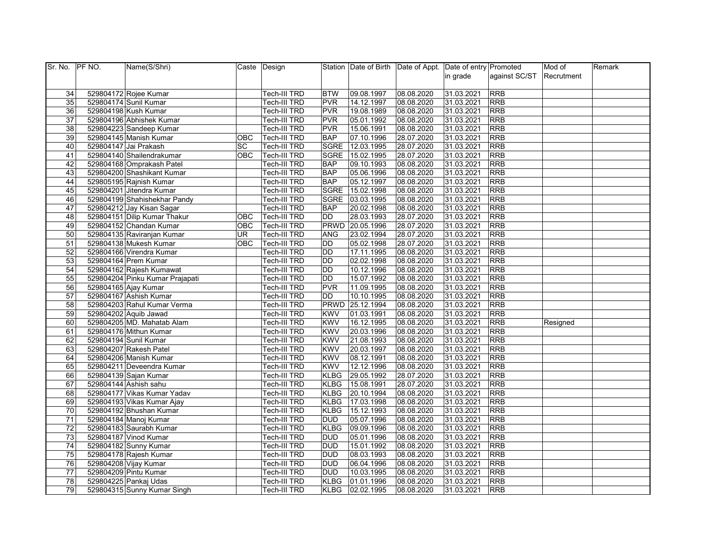| Sr. No. PF NO.  | Name(S/Shri)                    |            | Caste Design        |             |                 | Station Date of Birth Date of Appt. Date of entry Promoted |            |               | Mod of     | Remark |
|-----------------|---------------------------------|------------|---------------------|-------------|-----------------|------------------------------------------------------------|------------|---------------|------------|--------|
|                 |                                 |            |                     |             |                 |                                                            | in grade   | against SC/ST | Recrutment |        |
|                 |                                 |            |                     |             |                 |                                                            |            |               |            |        |
| 34              | 529804172 Rojee Kumar           |            | Tech-III TRD        | <b>BTW</b>  | 09.08.1997      | 08.08.2020                                                 | 31.03.2021 | <b>RRB</b>    |            |        |
| 35              | 529804174 Sunil Kumar           |            | Tech-III TRD        | <b>PVR</b>  | 14.12.1997      | 08.08.2020                                                 | 31.03.2021 | <b>RRB</b>    |            |        |
| 36              | 529804198 Kush Kumar            |            | Tech-III TRD        | <b>PVR</b>  | 19.08.1989      | 08.08.2020                                                 | 31.03.2021 | <b>RRB</b>    |            |        |
| 37              | 529804196 Abhishek Kumar        |            | Tech-III TRD        | <b>PVR</b>  | 05.01.1992      | 08.08.2020                                                 | 31.03.2021 | <b>RRB</b>    |            |        |
| 38              | 529804223 Sandeep Kumar         |            | Tech-III TRD        | <b>PVR</b>  | 15.06.1991      | 08.08.2020                                                 | 31.03.2021 | <b>RRB</b>    |            |        |
| 39              | 529804145 Manish Kumar          | <b>OBC</b> | Tech-III TRD        | <b>BAP</b>  | 07.10.1996      | 28.07.2020                                                 | 31.03.2021 | <b>RRB</b>    |            |        |
| 40              | 529804147 Jai Prakash           | SC         | Tech-III TRD        | SGRE        | 12.03.1995      | 28.07.2020                                                 | 31.03.2021 | <b>RRB</b>    |            |        |
| 41              | 529804140 Shailendrakumar       | <b>OBC</b> | Tech-III TRD        | <b>SGRE</b> | 15.02.1995      | 28.07.2020                                                 | 31.03.2021 | <b>RRB</b>    |            |        |
| 42              | 529804168 Omprakash Patel       |            | Tech-III TRD        | <b>BAP</b>  | 09.10.1993      | 08.08.2020                                                 | 31.03.2021 | <b>RRB</b>    |            |        |
| 43              | 529804200 Shashikant Kumar      |            | Tech-III TRD        | <b>BAP</b>  | 05.06.1996      | 08.08.2020                                                 | 31.03.2021 | <b>RRB</b>    |            |        |
| 44              | 529805195 Rajnish Kumar         |            | Tech-III TRD        | <b>BAP</b>  | 05.12.1997      | 08.08.2020                                                 | 31.03.2021 | <b>RRB</b>    |            |        |
| 45              | 529804201 Jitendra Kumar        |            | Tech-III TRD        | <b>SGRE</b> | 15.02.1998      | 08.08.2020                                                 | 31.03.2021 | <b>RRB</b>    |            |        |
| 46              | 529804199 Shahishekhar Pandy    |            | Tech-III TRD        | <b>SGRE</b> | 03.03.1995      | 08.08.2020                                                 | 31.03.2021 | <b>RRB</b>    |            |        |
| 47              | 529804212 Jay Kisan Sagar       |            | Tech-III TRD        | <b>BAP</b>  | 20.02.1998      | 08.08.2020                                                 | 31.03.2021 | <b>RRB</b>    |            |        |
| 48              | 529804151 Dilip Kumar Thakur    | OBC        | Tech-III TRD        | DD          | 28.03.1993      | 28.07.2020                                                 | 31.03.2021 | <b>RRB</b>    |            |        |
| 49              | 529804152 Chandan Kumar         | <b>OBC</b> | Tech-III TRD        |             | PRWD 20.05.1996 | 28.07.2020                                                 | 31.03.2021 | <b>RRB</b>    |            |        |
| 50              | 529804135 Raviranjan Kumar      | <b>UR</b>  | Tech-III TRD        | <b>ANG</b>  | 23.02.1994      | 28.07.2020                                                 | 31.03.2021 | <b>RRB</b>    |            |        |
| 51              | 529804138 Mukesh Kumar          | <b>OBC</b> | Tech-III TRD        | <b>DD</b>   | 05.02.1998      | 28.07.2020                                                 | 31.03.2021 | <b>RRB</b>    |            |        |
| 52              | 529804166 Virendra Kumar        |            | <b>Tech-III TRD</b> | DD          | 17.11.1995      | 08.08.2020                                                 | 31.03.2021 | <b>RRB</b>    |            |        |
| 53              | 529804164 Prem Kumar            |            | Tech-III TRD        | DD          | 02.02.1998      | 08.08.2020                                                 | 31.03.2021 | <b>RRB</b>    |            |        |
| 54              | 529804162 Rajesh Kumawat        |            | Tech-III TRD        | DD          | 10.12.1996      | 08.08.2020                                                 | 31.03.2021 | RRB           |            |        |
| 55              | 529804204 Pinku Kumar Prajapati |            | Tech-III TRD        | DD          | 15.07.1992      | 08.08.2020                                                 | 31.03.2021 | <b>RRB</b>    |            |        |
| $\overline{56}$ | 529804165 Ajay Kumar            |            | Tech-III TRD        | <b>PVR</b>  | 11.09.1995      | 08.08.2020                                                 | 31.03.2021 | <b>RRB</b>    |            |        |
| 57              | 529804167 Ashish Kumar          |            | Tech-III TRD        | DD          | 10.10.1995      | 08.08.2020                                                 | 31.03.2021 | <b>RRB</b>    |            |        |
| 58              | 529804203 Rahul Kumar Verma     |            | Tech-III TRD        | PRWD        | 25.12.1994      | 08.08.2020                                                 | 31.03.2021 | <b>RRB</b>    |            |        |
| 59              | 529804202 Aquib Jawad           |            | Tech-III TRD        | <b>KWV</b>  | 01.03.1991      | 08.08.2020                                                 | 31.03.2021 | <b>RRB</b>    |            |        |
| 60              | 529804205 MD. Mahatab Alam      |            | Tech-III TRD        | <b>KWV</b>  | 16.12.1995      | 08.08.2020                                                 | 31.03.2021 | <b>RRB</b>    | Resigned   |        |
| 61              | 529804176 Mithun Kumar          |            | Tech-III TRD        | <b>KWV</b>  | 20.03.1996      | 08.08.2020                                                 | 31.03.2021 | <b>RRB</b>    |            |        |
| 62              | 529804194 Sunil Kumar           |            | Tech-III TRD        | <b>KWV</b>  | 21.08.1993      | 08.08.2020                                                 | 31.03.2021 | <b>RRB</b>    |            |        |
| 63              | 529804207 Rakesh Patel          |            | Tech-III TRD        | <b>KWV</b>  | 20.03.1997      | 08.08.2020                                                 | 31.03.2021 | <b>RRB</b>    |            |        |
| 64              | 529804206 Manish Kumar          |            | Tech-III TRD        | <b>KWV</b>  | 08.12.1991      | 08.08.2020                                                 | 31.03.2021 | <b>RRB</b>    |            |        |
| 65              | 529804211 Deveendra Kumar       |            | Tech-III TRD        | <b>KWV</b>  | 12.12.1996      | 08.08.2020                                                 | 31.03.2021 | <b>RRB</b>    |            |        |
| 66              | 529804139 Sajan Kumar           |            | Tech-III TRD        | <b>KLBG</b> | 29.05.1992      | 28.07.2020                                                 | 31.03.2021 | <b>RRB</b>    |            |        |
| 67              | 529804144 Ashish sahu           |            | <b>Tech-III TRD</b> | <b>KLBG</b> | 15.08.1991      | 28.07.2020                                                 | 31.03.2021 | <b>RRB</b>    |            |        |
| 68              | 529804177 Vikas Kumar Yadav     |            | Tech-III TRD        | <b>KLBG</b> | 20.10.1994      | 08.08.2020                                                 | 31.03.2021 | <b>RRB</b>    |            |        |
| 69              | 529804193 Vikas Kumar Ajay      |            | <b>Tech-III TRD</b> | <b>KLBG</b> | 17.03.1998      | 08.08.2020                                                 | 31.03.2021 | <b>RRB</b>    |            |        |
| 70              | 529804192 Bhushan Kumar         |            | Tech-III TRD        | <b>KLBG</b> | 15.12.1993      | 08.08.2020                                                 | 31.03.2021 | <b>RRB</b>    |            |        |
| 71              | 529804184 Manoj Kumar           |            | Tech-III TRD        | <b>DUD</b>  | 05.07.1996      | 08.08.2020                                                 | 31.03.2021 | <b>RRB</b>    |            |        |
| 72              | 529804183 Saurabh Kumar         |            | Tech-III TRD        | <b>KLBG</b> | 09.09.1996      | 08.08.2020                                                 | 31.03.2021 | <b>RRB</b>    |            |        |
| 73              | 529804187 Vinod Kumar           |            | Tech-III TRD        | <b>DUD</b>  | 05.01.1996      | 08.08.2020                                                 | 31.03.2021 | <b>RRB</b>    |            |        |
| 74              | 529804182 Sunny Kumar           |            | Tech-III TRD        | <b>DUD</b>  | 15.01.1992      | 08.08.2020                                                 | 31.03.2021 | <b>RRB</b>    |            |        |
| 75              | 529804178 Rajesh Kumar          |            | Tech-III TRD        | <b>DUD</b>  | 08.03.1993      | 08.08.2020                                                 | 31.03.2021 | <b>RRB</b>    |            |        |
| 76              | 529804208 Vijay Kumar           |            | Tech-III TRD        | <b>DUD</b>  | 06.04.1996      | 08.08.2020                                                 | 31.03.2021 | <b>RRB</b>    |            |        |
| $\overline{77}$ | 529804209 Pintu Kumar           |            | Tech-III TRD        | <b>DUD</b>  | 10.03.1995      | 08.08.2020                                                 | 31.03.2021 | <b>RRB</b>    |            |        |
| 78              | 529804225 Pankaj Udas           |            | Tech-III TRD        | <b>KLBG</b> | 01.01.1996      | 08.08.2020                                                 | 31.03.2021 | <b>RRB</b>    |            |        |
| 79              | 529804315 Sunny Kumar Singh     |            | <b>Tech-III TRD</b> |             | KLBG 02.02.1995 | 08.08.2020                                                 | 31.03.2021 | <b>RRB</b>    |            |        |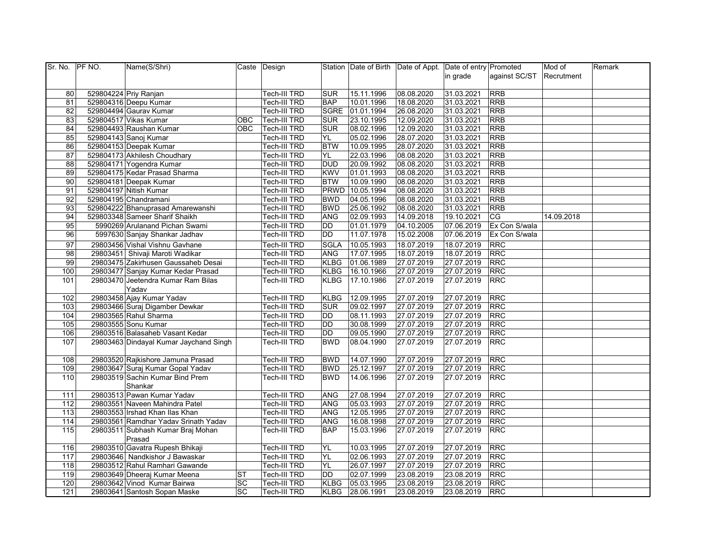| Sr. No. PF NO. | Name(S/Shri)                           |           | Caste Design        |             |                 | Station Date of Birth Date of Appt. Date of entry Promoted |            |               | Mod of     | Remark |
|----------------|----------------------------------------|-----------|---------------------|-------------|-----------------|------------------------------------------------------------|------------|---------------|------------|--------|
|                |                                        |           |                     |             |                 |                                                            | in grade   | against SC/ST | Recrutment |        |
|                |                                        |           |                     |             |                 |                                                            |            |               |            |        |
| 80             | 529804224 Priy Ranjan                  |           | Tech-III TRD        | <b>SUR</b>  | 15.11.1996      | 08.08.2020                                                 | 31.03.2021 | <b>RRB</b>    |            |        |
| 81             | 529804316 Deepu Kumar                  |           | <b>Tech-III TRD</b> | <b>BAP</b>  | 10.01.1996      | 18.08.2020                                                 | 31.03.2021 | <b>RRB</b>    |            |        |
| 82             | 529804494 Gaurav Kumar                 |           | Tech-III TRD        |             | SGRE 01.01.1994 | 26.08.2020                                                 | 31.03.2021 | <b>RRB</b>    |            |        |
| 83             | 529804517 Vikas Kumar                  | OBC       | Tech-III TRD        | <b>SUR</b>  | 23.10.1995      | 12.09.2020                                                 | 31.03.2021 | <b>RRB</b>    |            |        |
| 84             | 529804493 Raushan Kumar                | OBC       | Tech-III TRD        | <b>SUR</b>  | 08.02.1996      | 12.09.2020                                                 | 31.03.2021 | <b>RRB</b>    |            |        |
| 85             | 529804143 Sanoj Kumar                  |           | Tech-III TRD        | YL.         | 05.02.1996      | 28.07.2020                                                 | 31.03.2021 | <b>RRB</b>    |            |        |
| 86             | 529804153 Deepak Kumar                 |           | Tech-III TRD        | <b>BTW</b>  | 10.09.1995      | 28.07.2020                                                 | 31.03.2021 | <b>RRB</b>    |            |        |
| 87             | 529804173 Akhilesh Choudhary           |           | Tech-III TRD        | YL          | 22.03.1996      | 08.08.2020                                                 | 31.03.2021 | RRB           |            |        |
| 88             | 529804171 Yogendra Kumar               |           | Tech-III TRD        | <b>DUD</b>  | 20.09.1992      | 08.08.2020                                                 | 31.03.2021 | <b>RRB</b>    |            |        |
| 89             | 529804175 Kedar Prasad Sharma          |           | Tech-III TRD        | <b>KWV</b>  | 01.01.1993      | 08.08.2020                                                 | 31.03.2021 | <b>RRB</b>    |            |        |
| 90             | 529804181 Deepak Kumar                 |           | Tech-III TRD        | <b>BTW</b>  | 10.09.1990      | 08.08.2020                                                 | 31.03.2021 | <b>RRB</b>    |            |        |
| 91             | 529804197 Nitish Kumar                 |           | Tech-III TRD        |             | PRWD 10.05.1994 | 08.08.2020                                                 | 31.03.2021 | <b>RRB</b>    |            |        |
| 92             | 529804195 Chandramani                  |           | Tech-III TRD        | <b>BWD</b>  | 04.05.1996      | 08.08.2020                                                 | 31.03.2021 | <b>RRB</b>    |            |        |
| 93             | 529804222 Bhanuprasad Amarewanshi      |           | <b>Tech-III TRD</b> | <b>BWD</b>  | 25.06.1992      | 08.08.2020                                                 | 31.03.2021 | <b>RRB</b>    |            |        |
| 94             | 529803348 Sameer Sharif Shaikh         |           | Tech-III TRD        | <b>ANG</b>  | 02.09.1993      | 14.09.2018                                                 | 19.10.2021 | CG            | 14.09.2018 |        |
| 95             | 5990269 Arulanand Pichan Swami         |           | Tech-III TRD        | DD          | 01.01.1979      | 04.10.2005                                                 | 07.06.2019 | Ex Con S/wala |            |        |
| 96             | 5997630 Sanjay Shankar Jadhav          |           | <b>Tech-III TRD</b> | DD          | 11.07.1978      | 15.02.2008                                                 | 07.06.2019 | Ex Con S/wala |            |        |
| 97             | 29803456 Vishal Vishnu Gavhane         |           | Tech-III TRD        | SGLA        | 10.05.1993      | 18.07.2019                                                 | 18.07.2019 | <b>RRC</b>    |            |        |
| 98             | 29803451 Shivaji Maroti Wadikar        |           | Tech-III TRD        | ANG         | 17.07.1995      | 18.07.2019                                                 | 18.07.2019 | <b>RRC</b>    |            |        |
| 99             | 29803475 Zakirhusen Gaussaheb Desai    |           | Tech-III TRD        | <b>KLBG</b> | 01.06.1989      | 27.07.2019                                                 | 27.07.2019 | <b>RRC</b>    |            |        |
| 100            | 29803477 Sanjay Kumar Kedar Prasad     |           | Tech-III TRD        | <b>KLBG</b> | 16.10.1966      | 27.07.2019                                                 | 27.07.2019 | <b>RRC</b>    |            |        |
| 101            | 29803470 Jeetendra Kumar Ram Bilas     |           | <b>Tech-III TRD</b> | KLBG        | 17.10.1986      | 27.07.2019                                                 | 27.07.2019 | <b>RRC</b>    |            |        |
|                | Yadav                                  |           |                     |             |                 |                                                            |            |               |            |        |
| 102            | 29803458 Ajay Kumar Yadav              |           | Tech-III TRD        | <b>KLBG</b> | 12.09.1995      | 27.07.2019                                                 | 27.07.2019 | <b>RRC</b>    |            |        |
| 103            | 29803466 Suraj Digamber Dewkar         |           | <b>Tech-III TRD</b> | <b>SUR</b>  | 09.02.1997      | 27.07.2019                                                 | 27.07.2019 | <b>RRC</b>    |            |        |
| 104            | 29803565 Rahul Sharma                  |           | Tech-III TRD        | <b>DD</b>   | 08.11.1993      | 27.07.2019                                                 | 27.07.2019 | <b>RRC</b>    |            |        |
| 105            | 29803555 Sonu Kumar                    |           | Tech-III TRD        | DD          | 30.08.1999      | 27.07.2019                                                 | 27.07.2019 | <b>RRC</b>    |            |        |
| 106            | 29803516 Balasaheb Vasant Kedar        |           | Tech-III TRD        | <b>DD</b>   | 09.05.1990      | 27.07.2019                                                 | 27.07.2019 | <b>RRC</b>    |            |        |
| 107            | 29803463 Dindayal Kumar Jaychand Singh |           | Tech-III TRD        | <b>BWD</b>  | 08.04.1990      | 27.07.2019                                                 | 27.07.2019 | <b>RRC</b>    |            |        |
|                |                                        |           |                     |             |                 |                                                            |            |               |            |        |
| 108            | 29803520 Rajkishore Jamuna Prasad      |           | Tech-III TRD        | <b>BWD</b>  | 14.07.1990      | 27.07.2019                                                 | 27.07.2019 | <b>RRC</b>    |            |        |
| 109            | 29803647 Suraj Kumar Gopal Yadav       |           | Tech-III TRD        | <b>BWD</b>  | 25.12.1997      | 27.07.2019                                                 | 27.07.2019 | <b>RRC</b>    |            |        |
| 110            | 29803519 Sachin Kumar Bind Prem        |           | Tech-III TRD        | <b>BWD</b>  | 14.06.1996      | 27.07.2019                                                 | 27.07.2019 | <b>RRC</b>    |            |        |
|                | Shankar                                |           |                     |             |                 |                                                            |            |               |            |        |
| 111            | 29803513 Pawan Kumar Yadav             |           | Tech-III TRD        | ANG         | 27.08.1994      | 27.07.2019                                                 | 27.07.2019 | <b>RRC</b>    |            |        |
| 112            | 29803551 Naveen Mahindra Patel         |           | <b>Tech-III TRD</b> | ANG         | 05.03.1993      | 27.07.2019                                                 | 27.07.2019 | <b>RRC</b>    |            |        |
| 113            | 29803553 Irshad Khan Ilas Khan         |           | Tech-III TRD        | <b>ANG</b>  | 12.05.1995      | 27.07.2019                                                 | 27.07.2019 | <b>RRC</b>    |            |        |
| 114            | 29803561 Ramdhar Yadav Srinath Yadav   |           | Tech-III TRD        | <b>ANG</b>  | 16.08.1998      | 27.07.2019                                                 | 27.07.2019 | <b>RRC</b>    |            |        |
| 115            | 29803511 Subhash Kumar Braj Mohan      |           | Tech-III TRD        | <b>BAP</b>  | 15.03.1996      | 27.07.2019                                                 | 27.07.2019 | <b>RRC</b>    |            |        |
|                | Prasad                                 |           |                     |             |                 |                                                            |            |               |            |        |
| 116            | 29803510 Gavatra Rupesh Bhikaji        |           | Tech-III TRD        | YL          | 10.03.1995      | 27.07.2019                                                 | 27.07.2019 | <b>RRC</b>    |            |        |
| 117            | 29803646 Nandkishor J Bawaskar         |           | Tech-III TRD        | YL          | 02.06.1993      | 27.07.2019                                                 | 27.07.2019 | <b>RRC</b>    |            |        |
| 118            | 29803512 Rahul Ramhari Gawande         |           | Tech-III TRD        | YL.         | 26.07.1997      | 27.07.2019                                                 | 27.07.2019 | <b>RRC</b>    |            |        |
| 119            | 29803649 Dheeraj Kumar Meena           | <b>ST</b> | Tech-III TRD        | DD          | 02.07.1999      | 23.08.2019                                                 | 23.08.2019 | <b>RRC</b>    |            |        |
| 120            | 29803642 Vinod Kumar Bairwa            | SC        | Tech-III TRD        |             | KLBG 05.03.1995 | 23.08.2019                                                 | 23.08.2019 | <b>RRC</b>    |            |        |
| 121            | 29803641 Santosh Sopan Maske           | SC        | Tech-III TRD        |             | KLBG 28.06.1991 | 23.08.2019                                                 | 23.08.2019 | <b>RRC</b>    |            |        |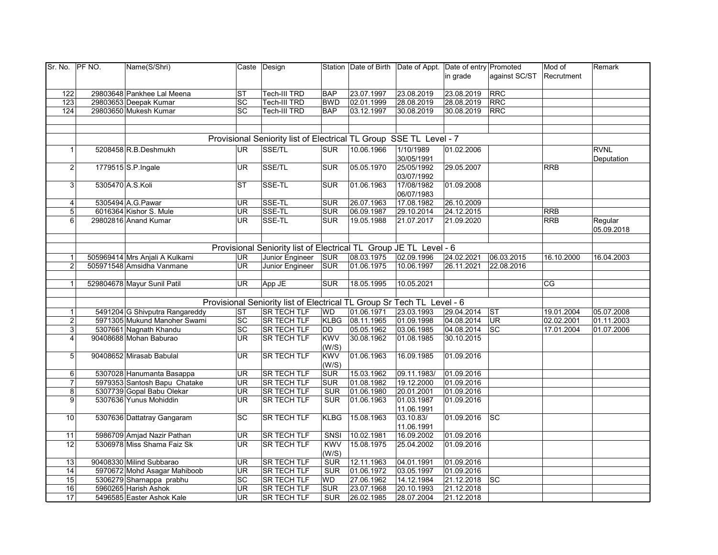| Sr. No. PF NO.  |                  | Name(S/Shri)                    |           | Caste Design                                                           |             |                 | Station Date of Birth Date of Appt. Date of entry Promoted |            |                       | Mod of     | Remark      |
|-----------------|------------------|---------------------------------|-----------|------------------------------------------------------------------------|-------------|-----------------|------------------------------------------------------------|------------|-----------------------|------------|-------------|
|                 |                  |                                 |           |                                                                        |             |                 |                                                            | in grade   | against SC/ST         | Recrutment |             |
|                 |                  |                                 |           |                                                                        |             |                 |                                                            |            |                       |            |             |
| 122             |                  | 29803648 Pankhee Lal Meena      | <b>ST</b> | Tech-III TRD                                                           | <b>BAP</b>  | 23.07.1997      | 23.08.2019                                                 | 23.08.2019 | <b>RRC</b>            |            |             |
| 123             |                  | 29803653 Deepak Kumar           | SC        | <b>Tech-III TRD</b>                                                    | <b>BWD</b>  | 02.01.1999      | 28.08.2019                                                 | 28.08.2019 | <b>RRC</b>            |            |             |
| 124             |                  | 29803650 Mukesh Kumar           | SC        | Tech-III TRD                                                           | <b>BAP</b>  | 03.12.1997      | 30.08.2019                                                 | 30.08.2019 | <b>RRC</b>            |            |             |
|                 |                  |                                 |           |                                                                        |             |                 |                                                            |            |                       |            |             |
|                 |                  |                                 |           |                                                                        |             |                 |                                                            |            |                       |            |             |
|                 |                  |                                 |           | Provisional Seniority list of Electrical TL Group SSE TL Level - 7     |             |                 |                                                            |            |                       |            |             |
| 1 <sup>1</sup>  |                  | 5208458 R.B.Deshmukh            | <b>UR</b> | SSE/TL                                                                 | <b>SUR</b>  | 10.06.1966      | 1/10/1989                                                  | 01.02.2006 |                       |            | <b>RVNL</b> |
|                 |                  |                                 |           |                                                                        |             |                 | 30/05/1991                                                 |            |                       |            | Deputation  |
| 2 <sup>1</sup>  |                  | 1779515 S.P. Ingale             | UR        | SSE/TL                                                                 | <b>SUR</b>  | 05.05.1970      | 25/05/1992                                                 | 29.05.2007 |                       | <b>RRB</b> |             |
|                 |                  |                                 |           |                                                                        |             |                 | 03/07/1992                                                 |            |                       |            |             |
| 3 <sup>1</sup>  | 5305470 A.S.Koli |                                 | <b>ST</b> | SSE-TL                                                                 | <b>SUR</b>  | 01.06.1963      | 17/08/1982                                                 | 01.09.2008 |                       |            |             |
|                 |                  |                                 |           |                                                                        |             |                 | 06/07/1983                                                 |            |                       |            |             |
| $\vert$         |                  | 5305494 A.G. Pawar              | UR        | SSE-TL                                                                 | <b>SUR</b>  | 26.07.1963      | 17.08.1982                                                 | 26.10.2009 |                       |            |             |
| 5 <sup>1</sup>  |                  | 6016364 Kishor S. Mule          | UR        | SSE-TL                                                                 | <b>SUR</b>  | 06.09.1987      | 29.10.2014                                                 | 24.12.2015 |                       | <b>RRB</b> |             |
| 6               |                  | 29802816 Anand Kumar            | UR        | SSE-TL                                                                 | <b>SUR</b>  | 19.05.1988      | 21.07.2017                                                 | 21.09.2020 |                       | <b>RRB</b> | Regular     |
|                 |                  |                                 |           |                                                                        |             |                 |                                                            |            |                       |            | 05.09.2018  |
|                 |                  |                                 |           |                                                                        |             |                 |                                                            |            |                       |            |             |
|                 |                  |                                 |           | Provisional Seniority list of Electrical TL Group JE TL Level - 6      |             |                 |                                                            |            |                       |            |             |
| $\mathbf{1}$    |                  | 505969414 Mrs Anjali A Kulkarni | <b>UR</b> | Junior Engineer                                                        | SUR         | 08.03.1975      | 02.09.1996                                                 | 24.02.2021 | 06.03.2015            | 16.10.2000 | 16.04.2003  |
| $\overline{2}$  |                  | 505971548 Amsidha Vanmane       | UR.       | Junior Engineer                                                        | <b>SUR</b>  | 01.06.1975      | 10.06.1997                                                 | 26.11.2021 | 22.08.2016            |            |             |
|                 |                  |                                 |           |                                                                        |             |                 |                                                            |            |                       |            |             |
| 1 <sup>1</sup>  |                  | 529804678 Mayur Sunil Patil     | <b>UR</b> | App JE                                                                 | <b>SUR</b>  | 18.05.1995      | 10.05.2021                                                 |            |                       | CG         |             |
|                 |                  |                                 |           |                                                                        |             |                 |                                                            |            |                       |            |             |
|                 |                  |                                 |           | Provisional Seniority list of Electrical TL Group Sr Tech TL Level - 6 |             |                 |                                                            |            |                       |            |             |
|                 |                  | 5491204 G Shivputra Rangareddy  | ST        | <b>SR TECH TLF</b>                                                     | <b>WD</b>   | 01.06.1971      | 23.03.1993                                                 | 29.04.2014 | $\overline{\text{S}}$ | 19.01.2004 | 05.07.2008  |
| $\overline{2}$  |                  | 5971305 Mukund Manoher Swami    | SC        | <b>SR TECH TLF</b>                                                     |             | KLBG 08.11.1965 | 01.09.1998                                                 | 04.08.2014 | UR                    | 02.02.2001 | 01.11.2003  |
| 3 <sup>1</sup>  |                  | 5307661 Nagnath Khandu          | SC        | <b>SR TECH TLF</b>                                                     | DD          | 05.05.1962      | 03.06.1985                                                 | 04.08.2014 | SC                    | 17.01.2004 | 01.07.2006  |
| $\overline{4}$  |                  | 90408688 Mohan Baburao          | UR.       | <b>SR TECH TLF</b>                                                     | <b>KWV</b>  | 30.08.1962      | 01.08.1985                                                 | 30.10.2015 |                       |            |             |
|                 |                  |                                 |           |                                                                        | (W/S)       |                 |                                                            |            |                       |            |             |
| 5 <sup>1</sup>  |                  | 90408652 Mirasab Babulal        | UR.       | <b>SR TECH TLF</b>                                                     | <b>KWV</b>  | 01.06.1963      | 16.09.1985                                                 | 01.09.2016 |                       |            |             |
|                 |                  |                                 |           |                                                                        | (W/S)       |                 |                                                            |            |                       |            |             |
| 6 <sup>1</sup>  |                  | 5307028 Hanumanta Basappa       | <b>UR</b> | <b>SR TECH TLF</b>                                                     | <b>SUR</b>  | 15.03.1962      | 09.11.1983/                                                | 01.09.2016 |                       |            |             |
| 71              |                  | 5979353 Santosh Bapu Chatake    | UR        | <b>SR TECH TLF</b>                                                     | <b>SUR</b>  | 01.08.1982      | 19.12.2000                                                 | 01.09.2016 |                       |            |             |
| 8 <sup>1</sup>  |                  | 5307739 Gopal Babu Olekar       | UR        | <b>SR TECH TLF</b>                                                     | <b>SUR</b>  | 01.06.1980      | 20.01.2001                                                 | 01.09.2016 |                       |            |             |
| 9 <sup>1</sup>  |                  | 5307636 Yunus Mohiddin          | UR        | <b>SR TECH TLF</b>                                                     | <b>SUR</b>  | 01.06.1963      | 01.03.1987                                                 | 01.09.2016 |                       |            |             |
|                 |                  |                                 |           |                                                                        |             |                 | 11.06.1991                                                 |            |                       |            |             |
| 10 <sup>1</sup> |                  | 5307636 Dattatray Gangaram      | SC        | <b>SR TECH TLF</b>                                                     | <b>KLBG</b> | 15.08.1963      | 03.10.83/                                                  | 01.09.2016 | $ \overline{SC} $     |            |             |
|                 |                  |                                 |           |                                                                        |             |                 | 11.06.1991                                                 |            |                       |            |             |
| 11              |                  | 5986709 Amjad Nazir Pathan      | UR        | SR TECH TLF                                                            | SNSI        | 10.02.1981      | 16.09.2002                                                 | 01.09.2016 |                       |            |             |
| 12              |                  | 5306978 Miss Shama Faiz Sk      | UR        | <b>SR TECH TLF</b>                                                     | <b>KWV</b>  | 15.08.1975      | 25.04.2002                                                 | 01.09.2016 |                       |            |             |
|                 |                  |                                 |           |                                                                        | (W/S)       |                 |                                                            |            |                       |            |             |
| 13              |                  | 90408330 Milind Subbarao        | UR        | <b>SR TECH TLF</b>                                                     | <b>SUR</b>  | 12.11.1963      | 04.01.1991                                                 | 01.09.2016 |                       |            |             |
| 14              |                  | 5970672 Mohd Asagar Mahiboob    | UR        | <b>SR TECH TLF</b>                                                     | <b>SUR</b>  | 01.06.1972      | 03.05.1997                                                 | 01.09.2016 |                       |            |             |
| 15              |                  | 5306279 Sharnappa prabhu        | SC        | <b>SR TECH TLF</b>                                                     | WD          | 27.06.1962      | 14.12.1984                                                 | 21.12.2018 | $ \overline{sc} $     |            |             |
| 16              |                  | 5960265 Harish Ashok            | <b>UR</b> | <b>SR TECH TLF</b>                                                     | <b>SUR</b>  | 23.07.1968      | 20.10.1993                                                 | 21.12.2018 |                       |            |             |
| 17              |                  | 5496585 Easter Ashok Kale       | UR        | <b>SR TECH TLF</b>                                                     | <b>SUR</b>  | 26.02.1985      | 28.07.2004                                                 | 21.12.2018 |                       |            |             |
|                 |                  |                                 |           |                                                                        |             |                 |                                                            |            |                       |            |             |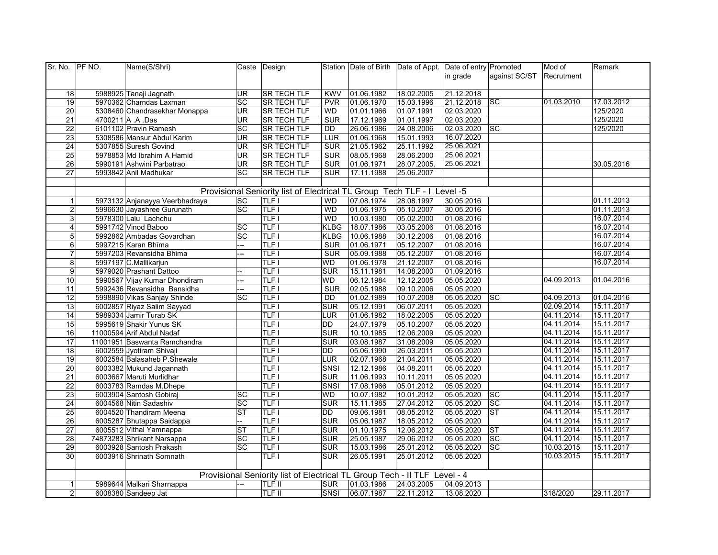| in grade<br>against SC/ST<br>Recrutment<br>5988925 Tanaji Jagnath<br><b>UR</b><br>SR TECH TLF<br>01.06.1982<br>18.02.2005<br>21.12.2018<br>18<br><b>KWV</b><br><b>SC</b><br>19<br>SC<br>21.12.2018<br>01.03.2010<br>17.03.2012<br>5970362 Charndas Laxman<br><b>SR TECH TLF</b><br><b>PVR</b><br>01.06.1970<br>15.03.1996<br>125/2020<br>$\overline{20}$<br>5308460 Chandrasekhar Monappa<br><b>UR</b><br><b>SR TECH TLF</b><br>01.01.1966<br>01.07.1991<br>02.03.2020<br>WD<br>125/2020<br>21<br>4700211 A .A .Das<br><b>SR TECH TLF</b><br>SUR<br>17.12.1969<br>02.03.2020<br><b>UR</b><br>01.01.1997<br>$\overline{22}$<br>6101102 Pravin Ramesh<br>SC<br><b>SR TECH TLF</b><br>24.08.2006<br>02.03.2020<br><b>SC</b><br>125/2020<br>26.06.1986<br><b>DD</b><br>23<br>16.07.2020<br>5308586 Mansur Abdul Karim<br><b>UR</b><br><b>SR TECH TLF</b><br>LUR<br>01.06.1968<br>15.01.1993<br>25.06.2021<br>$\overline{24}$<br>5307855 Suresh Govind<br><b>UR</b><br><b>SR TECH TLF</b><br>21.05.1962<br>25.11.1992<br><b>SUR</b><br>25.06.2021<br>$\overline{25}$<br>UR <sub></sub><br><b>SR TECH TLF</b><br>08.05.1968<br>28.06.2000<br>5978853 Md Ibrahim A Hamid<br><b>SUR</b><br>26<br><b>SR TECH TLF</b><br>28.07.2005.<br>25.06.2021<br>5990191 Ashwini Parbatrao<br><b>UR</b><br><b>SUR</b><br>01.06.1971<br>30.05.2016<br>27<br>5993842 Anil Madhukar<br>SC<br><b>SR TECH TLF</b><br>17.11.1988<br>25.06.2007<br><b>SUR</b><br>Provisional Seniority list of Electrical TL Group Tech TLF - I Level -5<br>01.11.2013<br>5973132 Anjanayya Veerbhadraya<br><b>SC</b><br><b>TLF1</b><br>07.08.1974<br>28.08.1997<br>30.05.2016<br><b>WD</b><br>$\mathbf{1}$<br>TLF I<br>$\overline{2}$<br><b>SC</b><br><b>WD</b><br>01.06.1975<br>05.10.2007<br>01.11.2013<br>5996630 Jayashree Gurunath<br>30.05.2016<br>5978300 Lalu Lachchu<br>3<br>TLF1<br>10.03.1980<br>16.07.2014<br><b>WD</b><br>05.02.2000<br>01.08.2016<br><b>TLF1</b><br>16.07.2014<br>$\overline{4}$<br>5991742 Vinod Baboo<br>SC<br><b>KLBG</b><br>18.07.1986<br>03.05.2006<br>01.08.2016<br><b>TLF1</b><br>16.07.2014<br>5<br>5992862 Ambadas Govardhan<br>SC<br><b>KLBG</b><br>10.06.1988<br>30.12.2006<br>01.08.2016<br>16.07.2014<br>$T \mathsf{L} \mathsf{F}$<br>01.06.1971<br>05.12.2007<br>6<br>5997215 Karan Bhīma<br><b>SUR</b><br>01.08.2016<br>---<br>16.07.2014<br>TLF I<br>$\overline{7}$<br>5997203 Revansidha Bhima<br><b>SUR</b><br>05.09.1988<br>05.12.2007<br>01.08.2016<br>…<br><b>TLF1</b><br>16.07.2014<br>8<br><b>WD</b><br>01.06.1978<br>21.12.2007<br>01.08.2016<br>5997197 C.Mallikarjun<br><b>TLF1</b><br>$\overline{9}$<br><b>SUR</b><br>14.08.2000<br>01.09.2016<br>5979020 Prashant Dattoo<br>15.11.1981<br>TLF I<br>06.12.1984<br>12.12.2005<br>04.09.2013<br>01.04.2016<br>$\overline{10}$<br>5990567 Vijay Kumar Dhondiram<br>WD<br>05.05.2020<br>---<br>$T \mathsf{LF}$<br>05.05.2020<br>11<br>5992436 Revansidha Bansidha<br><b>SUR</b><br>02.05.1988<br>09.10.2006<br>---<br><b>TLF1</b><br>01.04.2016<br>$\overline{12}$<br>5998890 Vikas Sanjay Shinde<br>SC<br><b>DD</b><br>01.02.1989<br>10.07.2008<br>05.05.2020<br><b>SC</b><br>04.09.2013<br><b>TLF1</b><br>02.09.2014<br>15.11.2017<br>13<br>6002857 Riyaz Salim Sayyad<br><b>SUR</b><br>05.12.1991<br>06.07.2011<br>05.05.2020<br><b>TLF</b> I<br>5989334 Jamir Turab SK<br>01.06.1982<br>18.02.2005<br>05.05.2020<br>04.11.2014<br>15.11.2017<br>$\overline{14}$<br><b>LUR</b><br>5995619 Shakir Yunus SK<br><b>TLF1</b><br>04.11.2014<br>15.11.2017<br>15<br>DD<br>24.07.1979<br>05.10.2007<br>05.05.2020<br><b>TLF</b> I<br>04.11.2014<br>15.11.2017<br>16<br>11000594 Arif Abdul Nadaf<br>SUR<br>10.10.1985<br>12.06.2009<br>05.05.2020<br>TLF I<br>04.11.2014<br>15.11.2017<br>17<br>11001951 Baswanta Ramchandra<br><b>SUR</b><br>03.08.1987<br>31.08.2009<br>05.05.2020<br>18<br><b>TLF1</b><br>26.03.2011<br>04.11.2014<br>15.11.2017<br>6002559 Jyotiram Shivaji<br>DD<br>05.06.1990<br>05.05.2020<br>6002584 Balasaheb P.Shewale<br>$T \overline{L} \overline{F}$<br>02.07.1968<br>21.04.2011<br>05.05.2020<br>04.11.2014<br>15.11.2017<br>19<br>LUR<br>6003382 Mukund Jagannath<br>$T \overline{L} \overline{F}$<br>04.11.2014<br>15.11.2017<br>20<br>SNSI<br>12.12.1986<br>04.08.2011<br>05.05.2020<br>21<br>6003667 Maruti Murlidhar<br><b>TLF</b> I<br>10.11.2011<br>05.05.2020<br>04.11.2014<br>15.11.2017<br><b>SUR</b><br>11.06.1993<br>22<br>6003783 Ramdas M.Dhepe<br><b>TLF1</b><br>05.01.2012<br>05.05.2020<br>04.11.2014<br>15.11.2017<br>SNSI<br>17.08.1966<br>23<br>6003904 Santosh Gobiraj<br><b>SC</b><br><b>TLF1</b><br>10.01.2012<br> sc<br>04.11.2014<br>15.11.2017<br><b>WD</b><br>10.07.1982<br>05.05.2020<br>24<br>6004568 Nitin Sadashiv<br>SC<br><b>TLF1</b><br><b>SUR</b><br>27.04.2012<br><b>SC</b><br>04.11.2014<br>15.11.2017<br>15.11.1985<br>05.05.2020<br>25<br><b>TLF1</b><br>08.05.2012<br><b>ST</b><br>04.11.2014<br>15.11.2017<br>6004520 Thandiram Meena<br><b>ST</b><br><b>DD</b><br>09.06.1981<br>05.05.2020<br><b>TLF1</b><br>04.11.2014<br>15.11.2017<br>26<br>6005287 Bhutappa Saidappa<br><b>SUR</b><br>05.06.1987<br>18.05.2012<br>05.05.2020<br>--<br><b>ST</b><br>15.11.2017<br>27<br>6005512 Vithal Yamnappa<br><b>TLF1</b><br><b>SUR</b><br>12.06.2012<br>04.11.2014<br><b>ST</b><br>01.10.1975<br>05.05.2020<br>28<br>74873283 Shrikant Narsappa<br>SC<br><b>TLF1</b><br><b>SUR</b><br>25.05.1987<br>29.06.2012<br>SC<br>04.11.2014<br>15.11.2017<br>05.05.2020<br>29<br><b>TLF1</b><br><b>SC</b><br>10.03.2015<br>15.11.2017<br>6003928 Santosh Prakash<br>SC<br><b>SUR</b><br>15.03.1986<br>25.01.2012<br>05.05.2020<br><b>TLF1</b><br>15.11.2017<br>30<br><b>SUR</b><br>26.05.1991<br>25.01.2012<br>10.03.2015<br>6003916 Shrinath Somnath<br>05.05.2020<br>Provisional Seniority list of Electrical TL Group Tech - II TLF Level - 4<br>5989644 Malkari Sharnappa<br><b>SUR</b><br>01.03.1986<br>24.03.2005<br>04.09.2013<br>$\mathbf{1}$<br>TLF II<br>---<br>2 <sub>l</sub><br>6008380 Sandeep Jat<br>SNSI<br>06.07.1987<br>318/2020<br>29.11.2017 | Sr. No. PF NO. | Name(S/Shri) | Caste Design  |  | Station Date of Birth Date of Appt. Date of entry Promoted |            | Mod of | Remark |
|-------------------------------------------------------------------------------------------------------------------------------------------------------------------------------------------------------------------------------------------------------------------------------------------------------------------------------------------------------------------------------------------------------------------------------------------------------------------------------------------------------------------------------------------------------------------------------------------------------------------------------------------------------------------------------------------------------------------------------------------------------------------------------------------------------------------------------------------------------------------------------------------------------------------------------------------------------------------------------------------------------------------------------------------------------------------------------------------------------------------------------------------------------------------------------------------------------------------------------------------------------------------------------------------------------------------------------------------------------------------------------------------------------------------------------------------------------------------------------------------------------------------------------------------------------------------------------------------------------------------------------------------------------------------------------------------------------------------------------------------------------------------------------------------------------------------------------------------------------------------------------------------------------------------------------------------------------------------------------------------------------------------------------------------------------------------------------------------------------------------------------------------------------------------------------------------------------------------------------------------------------------------------------------------------------------------------------------------------------------------------------------------------------------------------------------------------------------------------------------------------------------------------------------------------------------------------------------------------------------------------------------------------------------------------------------------------------------------------------------------------------------------------------------------------------------------------------------------------------------------------------------------------------------------------------------------------------------------------------------------------------------------------------------------------------------------------------------------------------------------------------------------------------------------------------------------------------------------------------------------------------------------------------------------------------------------------------------------------------------------------------------------------------------------------------------------------------------------------------------------------------------------------------------------------------------------------------------------------------------------------------------------------------------------------------------------------------------------------------------------------------------------------------------------------------------------------------------------------------------------------------------------------------------------------------------------------------------------------------------------------------------------------------------------------------------------------------------------------------------------------------------------------------------------------------------------------------------------------------------------------------------------------------------------------------------------------------------------------------------------------------------------------------------------------------------------------------------------------------------------------------------------------------------------------------------------------------------------------------------------------------------------------------------------------------------------------------------------------------------------------------------------------------------------------------------------------------------------------------------------------------------------------------------------------------------------------------------------------------------------------------------------------------------------------------------------------------------------------------------------------------------------------------------------------------------------------------------------------------------------------------------------------------------------------------------------------------------------------------------------------------------------------------------------------------------------------------------------------------------------------------------------------------------------------------------------------------------------------------------------------------------------------------------------------------------------------------------------------------------------------------------------------------------------------------------------------------------------------------------------------------------------------------------------------------------------------------------------------------------------------------------------------------------------------------------------------------|----------------|--------------|---------------|--|------------------------------------------------------------|------------|--------|--------|
|                                                                                                                                                                                                                                                                                                                                                                                                                                                                                                                                                                                                                                                                                                                                                                                                                                                                                                                                                                                                                                                                                                                                                                                                                                                                                                                                                                                                                                                                                                                                                                                                                                                                                                                                                                                                                                                                                                                                                                                                                                                                                                                                                                                                                                                                                                                                                                                                                                                                                                                                                                                                                                                                                                                                                                                                                                                                                                                                                                                                                                                                                                                                                                                                                                                                                                                                                                                                                                                                                                                                                                                                                                                                                                                                                                                                                                                                                                                                                                                                                                                                                                                                                                                                                                                                                                                                                                                                                                                                                                                                                                                                                                                                                                                                                                                                                                                                                                                                                                                                                                                                                                                                                                                                                                                                                                                                                                                                                                                                                                                                                                                                                                                                                                                                                                                                                                                                                                                                                                                                                                                                               |                |              |               |  |                                                            |            |        |        |
|                                                                                                                                                                                                                                                                                                                                                                                                                                                                                                                                                                                                                                                                                                                                                                                                                                                                                                                                                                                                                                                                                                                                                                                                                                                                                                                                                                                                                                                                                                                                                                                                                                                                                                                                                                                                                                                                                                                                                                                                                                                                                                                                                                                                                                                                                                                                                                                                                                                                                                                                                                                                                                                                                                                                                                                                                                                                                                                                                                                                                                                                                                                                                                                                                                                                                                                                                                                                                                                                                                                                                                                                                                                                                                                                                                                                                                                                                                                                                                                                                                                                                                                                                                                                                                                                                                                                                                                                                                                                                                                                                                                                                                                                                                                                                                                                                                                                                                                                                                                                                                                                                                                                                                                                                                                                                                                                                                                                                                                                                                                                                                                                                                                                                                                                                                                                                                                                                                                                                                                                                                                                               |                |              |               |  |                                                            |            |        |        |
|                                                                                                                                                                                                                                                                                                                                                                                                                                                                                                                                                                                                                                                                                                                                                                                                                                                                                                                                                                                                                                                                                                                                                                                                                                                                                                                                                                                                                                                                                                                                                                                                                                                                                                                                                                                                                                                                                                                                                                                                                                                                                                                                                                                                                                                                                                                                                                                                                                                                                                                                                                                                                                                                                                                                                                                                                                                                                                                                                                                                                                                                                                                                                                                                                                                                                                                                                                                                                                                                                                                                                                                                                                                                                                                                                                                                                                                                                                                                                                                                                                                                                                                                                                                                                                                                                                                                                                                                                                                                                                                                                                                                                                                                                                                                                                                                                                                                                                                                                                                                                                                                                                                                                                                                                                                                                                                                                                                                                                                                                                                                                                                                                                                                                                                                                                                                                                                                                                                                                                                                                                                                               |                |              |               |  |                                                            |            |        |        |
|                                                                                                                                                                                                                                                                                                                                                                                                                                                                                                                                                                                                                                                                                                                                                                                                                                                                                                                                                                                                                                                                                                                                                                                                                                                                                                                                                                                                                                                                                                                                                                                                                                                                                                                                                                                                                                                                                                                                                                                                                                                                                                                                                                                                                                                                                                                                                                                                                                                                                                                                                                                                                                                                                                                                                                                                                                                                                                                                                                                                                                                                                                                                                                                                                                                                                                                                                                                                                                                                                                                                                                                                                                                                                                                                                                                                                                                                                                                                                                                                                                                                                                                                                                                                                                                                                                                                                                                                                                                                                                                                                                                                                                                                                                                                                                                                                                                                                                                                                                                                                                                                                                                                                                                                                                                                                                                                                                                                                                                                                                                                                                                                                                                                                                                                                                                                                                                                                                                                                                                                                                                                               |                |              |               |  |                                                            |            |        |        |
|                                                                                                                                                                                                                                                                                                                                                                                                                                                                                                                                                                                                                                                                                                                                                                                                                                                                                                                                                                                                                                                                                                                                                                                                                                                                                                                                                                                                                                                                                                                                                                                                                                                                                                                                                                                                                                                                                                                                                                                                                                                                                                                                                                                                                                                                                                                                                                                                                                                                                                                                                                                                                                                                                                                                                                                                                                                                                                                                                                                                                                                                                                                                                                                                                                                                                                                                                                                                                                                                                                                                                                                                                                                                                                                                                                                                                                                                                                                                                                                                                                                                                                                                                                                                                                                                                                                                                                                                                                                                                                                                                                                                                                                                                                                                                                                                                                                                                                                                                                                                                                                                                                                                                                                                                                                                                                                                                                                                                                                                                                                                                                                                                                                                                                                                                                                                                                                                                                                                                                                                                                                                               |                |              |               |  |                                                            |            |        |        |
|                                                                                                                                                                                                                                                                                                                                                                                                                                                                                                                                                                                                                                                                                                                                                                                                                                                                                                                                                                                                                                                                                                                                                                                                                                                                                                                                                                                                                                                                                                                                                                                                                                                                                                                                                                                                                                                                                                                                                                                                                                                                                                                                                                                                                                                                                                                                                                                                                                                                                                                                                                                                                                                                                                                                                                                                                                                                                                                                                                                                                                                                                                                                                                                                                                                                                                                                                                                                                                                                                                                                                                                                                                                                                                                                                                                                                                                                                                                                                                                                                                                                                                                                                                                                                                                                                                                                                                                                                                                                                                                                                                                                                                                                                                                                                                                                                                                                                                                                                                                                                                                                                                                                                                                                                                                                                                                                                                                                                                                                                                                                                                                                                                                                                                                                                                                                                                                                                                                                                                                                                                                                               |                |              |               |  |                                                            |            |        |        |
|                                                                                                                                                                                                                                                                                                                                                                                                                                                                                                                                                                                                                                                                                                                                                                                                                                                                                                                                                                                                                                                                                                                                                                                                                                                                                                                                                                                                                                                                                                                                                                                                                                                                                                                                                                                                                                                                                                                                                                                                                                                                                                                                                                                                                                                                                                                                                                                                                                                                                                                                                                                                                                                                                                                                                                                                                                                                                                                                                                                                                                                                                                                                                                                                                                                                                                                                                                                                                                                                                                                                                                                                                                                                                                                                                                                                                                                                                                                                                                                                                                                                                                                                                                                                                                                                                                                                                                                                                                                                                                                                                                                                                                                                                                                                                                                                                                                                                                                                                                                                                                                                                                                                                                                                                                                                                                                                                                                                                                                                                                                                                                                                                                                                                                                                                                                                                                                                                                                                                                                                                                                                               |                |              |               |  |                                                            |            |        |        |
|                                                                                                                                                                                                                                                                                                                                                                                                                                                                                                                                                                                                                                                                                                                                                                                                                                                                                                                                                                                                                                                                                                                                                                                                                                                                                                                                                                                                                                                                                                                                                                                                                                                                                                                                                                                                                                                                                                                                                                                                                                                                                                                                                                                                                                                                                                                                                                                                                                                                                                                                                                                                                                                                                                                                                                                                                                                                                                                                                                                                                                                                                                                                                                                                                                                                                                                                                                                                                                                                                                                                                                                                                                                                                                                                                                                                                                                                                                                                                                                                                                                                                                                                                                                                                                                                                                                                                                                                                                                                                                                                                                                                                                                                                                                                                                                                                                                                                                                                                                                                                                                                                                                                                                                                                                                                                                                                                                                                                                                                                                                                                                                                                                                                                                                                                                                                                                                                                                                                                                                                                                                                               |                |              |               |  |                                                            |            |        |        |
|                                                                                                                                                                                                                                                                                                                                                                                                                                                                                                                                                                                                                                                                                                                                                                                                                                                                                                                                                                                                                                                                                                                                                                                                                                                                                                                                                                                                                                                                                                                                                                                                                                                                                                                                                                                                                                                                                                                                                                                                                                                                                                                                                                                                                                                                                                                                                                                                                                                                                                                                                                                                                                                                                                                                                                                                                                                                                                                                                                                                                                                                                                                                                                                                                                                                                                                                                                                                                                                                                                                                                                                                                                                                                                                                                                                                                                                                                                                                                                                                                                                                                                                                                                                                                                                                                                                                                                                                                                                                                                                                                                                                                                                                                                                                                                                                                                                                                                                                                                                                                                                                                                                                                                                                                                                                                                                                                                                                                                                                                                                                                                                                                                                                                                                                                                                                                                                                                                                                                                                                                                                                               |                |              |               |  |                                                            |            |        |        |
|                                                                                                                                                                                                                                                                                                                                                                                                                                                                                                                                                                                                                                                                                                                                                                                                                                                                                                                                                                                                                                                                                                                                                                                                                                                                                                                                                                                                                                                                                                                                                                                                                                                                                                                                                                                                                                                                                                                                                                                                                                                                                                                                                                                                                                                                                                                                                                                                                                                                                                                                                                                                                                                                                                                                                                                                                                                                                                                                                                                                                                                                                                                                                                                                                                                                                                                                                                                                                                                                                                                                                                                                                                                                                                                                                                                                                                                                                                                                                                                                                                                                                                                                                                                                                                                                                                                                                                                                                                                                                                                                                                                                                                                                                                                                                                                                                                                                                                                                                                                                                                                                                                                                                                                                                                                                                                                                                                                                                                                                                                                                                                                                                                                                                                                                                                                                                                                                                                                                                                                                                                                                               |                |              |               |  |                                                            |            |        |        |
|                                                                                                                                                                                                                                                                                                                                                                                                                                                                                                                                                                                                                                                                                                                                                                                                                                                                                                                                                                                                                                                                                                                                                                                                                                                                                                                                                                                                                                                                                                                                                                                                                                                                                                                                                                                                                                                                                                                                                                                                                                                                                                                                                                                                                                                                                                                                                                                                                                                                                                                                                                                                                                                                                                                                                                                                                                                                                                                                                                                                                                                                                                                                                                                                                                                                                                                                                                                                                                                                                                                                                                                                                                                                                                                                                                                                                                                                                                                                                                                                                                                                                                                                                                                                                                                                                                                                                                                                                                                                                                                                                                                                                                                                                                                                                                                                                                                                                                                                                                                                                                                                                                                                                                                                                                                                                                                                                                                                                                                                                                                                                                                                                                                                                                                                                                                                                                                                                                                                                                                                                                                                               |                |              |               |  |                                                            |            |        |        |
|                                                                                                                                                                                                                                                                                                                                                                                                                                                                                                                                                                                                                                                                                                                                                                                                                                                                                                                                                                                                                                                                                                                                                                                                                                                                                                                                                                                                                                                                                                                                                                                                                                                                                                                                                                                                                                                                                                                                                                                                                                                                                                                                                                                                                                                                                                                                                                                                                                                                                                                                                                                                                                                                                                                                                                                                                                                                                                                                                                                                                                                                                                                                                                                                                                                                                                                                                                                                                                                                                                                                                                                                                                                                                                                                                                                                                                                                                                                                                                                                                                                                                                                                                                                                                                                                                                                                                                                                                                                                                                                                                                                                                                                                                                                                                                                                                                                                                                                                                                                                                                                                                                                                                                                                                                                                                                                                                                                                                                                                                                                                                                                                                                                                                                                                                                                                                                                                                                                                                                                                                                                                               |                |              |               |  |                                                            |            |        |        |
|                                                                                                                                                                                                                                                                                                                                                                                                                                                                                                                                                                                                                                                                                                                                                                                                                                                                                                                                                                                                                                                                                                                                                                                                                                                                                                                                                                                                                                                                                                                                                                                                                                                                                                                                                                                                                                                                                                                                                                                                                                                                                                                                                                                                                                                                                                                                                                                                                                                                                                                                                                                                                                                                                                                                                                                                                                                                                                                                                                                                                                                                                                                                                                                                                                                                                                                                                                                                                                                                                                                                                                                                                                                                                                                                                                                                                                                                                                                                                                                                                                                                                                                                                                                                                                                                                                                                                                                                                                                                                                                                                                                                                                                                                                                                                                                                                                                                                                                                                                                                                                                                                                                                                                                                                                                                                                                                                                                                                                                                                                                                                                                                                                                                                                                                                                                                                                                                                                                                                                                                                                                                               |                |              |               |  |                                                            |            |        |        |
|                                                                                                                                                                                                                                                                                                                                                                                                                                                                                                                                                                                                                                                                                                                                                                                                                                                                                                                                                                                                                                                                                                                                                                                                                                                                                                                                                                                                                                                                                                                                                                                                                                                                                                                                                                                                                                                                                                                                                                                                                                                                                                                                                                                                                                                                                                                                                                                                                                                                                                                                                                                                                                                                                                                                                                                                                                                                                                                                                                                                                                                                                                                                                                                                                                                                                                                                                                                                                                                                                                                                                                                                                                                                                                                                                                                                                                                                                                                                                                                                                                                                                                                                                                                                                                                                                                                                                                                                                                                                                                                                                                                                                                                                                                                                                                                                                                                                                                                                                                                                                                                                                                                                                                                                                                                                                                                                                                                                                                                                                                                                                                                                                                                                                                                                                                                                                                                                                                                                                                                                                                                                               |                |              |               |  |                                                            |            |        |        |
|                                                                                                                                                                                                                                                                                                                                                                                                                                                                                                                                                                                                                                                                                                                                                                                                                                                                                                                                                                                                                                                                                                                                                                                                                                                                                                                                                                                                                                                                                                                                                                                                                                                                                                                                                                                                                                                                                                                                                                                                                                                                                                                                                                                                                                                                                                                                                                                                                                                                                                                                                                                                                                                                                                                                                                                                                                                                                                                                                                                                                                                                                                                                                                                                                                                                                                                                                                                                                                                                                                                                                                                                                                                                                                                                                                                                                                                                                                                                                                                                                                                                                                                                                                                                                                                                                                                                                                                                                                                                                                                                                                                                                                                                                                                                                                                                                                                                                                                                                                                                                                                                                                                                                                                                                                                                                                                                                                                                                                                                                                                                                                                                                                                                                                                                                                                                                                                                                                                                                                                                                                                                               |                |              |               |  |                                                            |            |        |        |
|                                                                                                                                                                                                                                                                                                                                                                                                                                                                                                                                                                                                                                                                                                                                                                                                                                                                                                                                                                                                                                                                                                                                                                                                                                                                                                                                                                                                                                                                                                                                                                                                                                                                                                                                                                                                                                                                                                                                                                                                                                                                                                                                                                                                                                                                                                                                                                                                                                                                                                                                                                                                                                                                                                                                                                                                                                                                                                                                                                                                                                                                                                                                                                                                                                                                                                                                                                                                                                                                                                                                                                                                                                                                                                                                                                                                                                                                                                                                                                                                                                                                                                                                                                                                                                                                                                                                                                                                                                                                                                                                                                                                                                                                                                                                                                                                                                                                                                                                                                                                                                                                                                                                                                                                                                                                                                                                                                                                                                                                                                                                                                                                                                                                                                                                                                                                                                                                                                                                                                                                                                                                               |                |              |               |  |                                                            |            |        |        |
|                                                                                                                                                                                                                                                                                                                                                                                                                                                                                                                                                                                                                                                                                                                                                                                                                                                                                                                                                                                                                                                                                                                                                                                                                                                                                                                                                                                                                                                                                                                                                                                                                                                                                                                                                                                                                                                                                                                                                                                                                                                                                                                                                                                                                                                                                                                                                                                                                                                                                                                                                                                                                                                                                                                                                                                                                                                                                                                                                                                                                                                                                                                                                                                                                                                                                                                                                                                                                                                                                                                                                                                                                                                                                                                                                                                                                                                                                                                                                                                                                                                                                                                                                                                                                                                                                                                                                                                                                                                                                                                                                                                                                                                                                                                                                                                                                                                                                                                                                                                                                                                                                                                                                                                                                                                                                                                                                                                                                                                                                                                                                                                                                                                                                                                                                                                                                                                                                                                                                                                                                                                                               |                |              |               |  |                                                            |            |        |        |
|                                                                                                                                                                                                                                                                                                                                                                                                                                                                                                                                                                                                                                                                                                                                                                                                                                                                                                                                                                                                                                                                                                                                                                                                                                                                                                                                                                                                                                                                                                                                                                                                                                                                                                                                                                                                                                                                                                                                                                                                                                                                                                                                                                                                                                                                                                                                                                                                                                                                                                                                                                                                                                                                                                                                                                                                                                                                                                                                                                                                                                                                                                                                                                                                                                                                                                                                                                                                                                                                                                                                                                                                                                                                                                                                                                                                                                                                                                                                                                                                                                                                                                                                                                                                                                                                                                                                                                                                                                                                                                                                                                                                                                                                                                                                                                                                                                                                                                                                                                                                                                                                                                                                                                                                                                                                                                                                                                                                                                                                                                                                                                                                                                                                                                                                                                                                                                                                                                                                                                                                                                                                               |                |              |               |  |                                                            |            |        |        |
|                                                                                                                                                                                                                                                                                                                                                                                                                                                                                                                                                                                                                                                                                                                                                                                                                                                                                                                                                                                                                                                                                                                                                                                                                                                                                                                                                                                                                                                                                                                                                                                                                                                                                                                                                                                                                                                                                                                                                                                                                                                                                                                                                                                                                                                                                                                                                                                                                                                                                                                                                                                                                                                                                                                                                                                                                                                                                                                                                                                                                                                                                                                                                                                                                                                                                                                                                                                                                                                                                                                                                                                                                                                                                                                                                                                                                                                                                                                                                                                                                                                                                                                                                                                                                                                                                                                                                                                                                                                                                                                                                                                                                                                                                                                                                                                                                                                                                                                                                                                                                                                                                                                                                                                                                                                                                                                                                                                                                                                                                                                                                                                                                                                                                                                                                                                                                                                                                                                                                                                                                                                                               |                |              |               |  |                                                            |            |        |        |
|                                                                                                                                                                                                                                                                                                                                                                                                                                                                                                                                                                                                                                                                                                                                                                                                                                                                                                                                                                                                                                                                                                                                                                                                                                                                                                                                                                                                                                                                                                                                                                                                                                                                                                                                                                                                                                                                                                                                                                                                                                                                                                                                                                                                                                                                                                                                                                                                                                                                                                                                                                                                                                                                                                                                                                                                                                                                                                                                                                                                                                                                                                                                                                                                                                                                                                                                                                                                                                                                                                                                                                                                                                                                                                                                                                                                                                                                                                                                                                                                                                                                                                                                                                                                                                                                                                                                                                                                                                                                                                                                                                                                                                                                                                                                                                                                                                                                                                                                                                                                                                                                                                                                                                                                                                                                                                                                                                                                                                                                                                                                                                                                                                                                                                                                                                                                                                                                                                                                                                                                                                                                               |                |              |               |  |                                                            |            |        |        |
|                                                                                                                                                                                                                                                                                                                                                                                                                                                                                                                                                                                                                                                                                                                                                                                                                                                                                                                                                                                                                                                                                                                                                                                                                                                                                                                                                                                                                                                                                                                                                                                                                                                                                                                                                                                                                                                                                                                                                                                                                                                                                                                                                                                                                                                                                                                                                                                                                                                                                                                                                                                                                                                                                                                                                                                                                                                                                                                                                                                                                                                                                                                                                                                                                                                                                                                                                                                                                                                                                                                                                                                                                                                                                                                                                                                                                                                                                                                                                                                                                                                                                                                                                                                                                                                                                                                                                                                                                                                                                                                                                                                                                                                                                                                                                                                                                                                                                                                                                                                                                                                                                                                                                                                                                                                                                                                                                                                                                                                                                                                                                                                                                                                                                                                                                                                                                                                                                                                                                                                                                                                                               |                |              |               |  |                                                            |            |        |        |
|                                                                                                                                                                                                                                                                                                                                                                                                                                                                                                                                                                                                                                                                                                                                                                                                                                                                                                                                                                                                                                                                                                                                                                                                                                                                                                                                                                                                                                                                                                                                                                                                                                                                                                                                                                                                                                                                                                                                                                                                                                                                                                                                                                                                                                                                                                                                                                                                                                                                                                                                                                                                                                                                                                                                                                                                                                                                                                                                                                                                                                                                                                                                                                                                                                                                                                                                                                                                                                                                                                                                                                                                                                                                                                                                                                                                                                                                                                                                                                                                                                                                                                                                                                                                                                                                                                                                                                                                                                                                                                                                                                                                                                                                                                                                                                                                                                                                                                                                                                                                                                                                                                                                                                                                                                                                                                                                                                                                                                                                                                                                                                                                                                                                                                                                                                                                                                                                                                                                                                                                                                                                               |                |              |               |  |                                                            |            |        |        |
|                                                                                                                                                                                                                                                                                                                                                                                                                                                                                                                                                                                                                                                                                                                                                                                                                                                                                                                                                                                                                                                                                                                                                                                                                                                                                                                                                                                                                                                                                                                                                                                                                                                                                                                                                                                                                                                                                                                                                                                                                                                                                                                                                                                                                                                                                                                                                                                                                                                                                                                                                                                                                                                                                                                                                                                                                                                                                                                                                                                                                                                                                                                                                                                                                                                                                                                                                                                                                                                                                                                                                                                                                                                                                                                                                                                                                                                                                                                                                                                                                                                                                                                                                                                                                                                                                                                                                                                                                                                                                                                                                                                                                                                                                                                                                                                                                                                                                                                                                                                                                                                                                                                                                                                                                                                                                                                                                                                                                                                                                                                                                                                                                                                                                                                                                                                                                                                                                                                                                                                                                                                                               |                |              |               |  |                                                            |            |        |        |
|                                                                                                                                                                                                                                                                                                                                                                                                                                                                                                                                                                                                                                                                                                                                                                                                                                                                                                                                                                                                                                                                                                                                                                                                                                                                                                                                                                                                                                                                                                                                                                                                                                                                                                                                                                                                                                                                                                                                                                                                                                                                                                                                                                                                                                                                                                                                                                                                                                                                                                                                                                                                                                                                                                                                                                                                                                                                                                                                                                                                                                                                                                                                                                                                                                                                                                                                                                                                                                                                                                                                                                                                                                                                                                                                                                                                                                                                                                                                                                                                                                                                                                                                                                                                                                                                                                                                                                                                                                                                                                                                                                                                                                                                                                                                                                                                                                                                                                                                                                                                                                                                                                                                                                                                                                                                                                                                                                                                                                                                                                                                                                                                                                                                                                                                                                                                                                                                                                                                                                                                                                                                               |                |              |               |  |                                                            |            |        |        |
|                                                                                                                                                                                                                                                                                                                                                                                                                                                                                                                                                                                                                                                                                                                                                                                                                                                                                                                                                                                                                                                                                                                                                                                                                                                                                                                                                                                                                                                                                                                                                                                                                                                                                                                                                                                                                                                                                                                                                                                                                                                                                                                                                                                                                                                                                                                                                                                                                                                                                                                                                                                                                                                                                                                                                                                                                                                                                                                                                                                                                                                                                                                                                                                                                                                                                                                                                                                                                                                                                                                                                                                                                                                                                                                                                                                                                                                                                                                                                                                                                                                                                                                                                                                                                                                                                                                                                                                                                                                                                                                                                                                                                                                                                                                                                                                                                                                                                                                                                                                                                                                                                                                                                                                                                                                                                                                                                                                                                                                                                                                                                                                                                                                                                                                                                                                                                                                                                                                                                                                                                                                                               |                |              |               |  |                                                            |            |        |        |
|                                                                                                                                                                                                                                                                                                                                                                                                                                                                                                                                                                                                                                                                                                                                                                                                                                                                                                                                                                                                                                                                                                                                                                                                                                                                                                                                                                                                                                                                                                                                                                                                                                                                                                                                                                                                                                                                                                                                                                                                                                                                                                                                                                                                                                                                                                                                                                                                                                                                                                                                                                                                                                                                                                                                                                                                                                                                                                                                                                                                                                                                                                                                                                                                                                                                                                                                                                                                                                                                                                                                                                                                                                                                                                                                                                                                                                                                                                                                                                                                                                                                                                                                                                                                                                                                                                                                                                                                                                                                                                                                                                                                                                                                                                                                                                                                                                                                                                                                                                                                                                                                                                                                                                                                                                                                                                                                                                                                                                                                                                                                                                                                                                                                                                                                                                                                                                                                                                                                                                                                                                                                               |                |              |               |  |                                                            |            |        |        |
|                                                                                                                                                                                                                                                                                                                                                                                                                                                                                                                                                                                                                                                                                                                                                                                                                                                                                                                                                                                                                                                                                                                                                                                                                                                                                                                                                                                                                                                                                                                                                                                                                                                                                                                                                                                                                                                                                                                                                                                                                                                                                                                                                                                                                                                                                                                                                                                                                                                                                                                                                                                                                                                                                                                                                                                                                                                                                                                                                                                                                                                                                                                                                                                                                                                                                                                                                                                                                                                                                                                                                                                                                                                                                                                                                                                                                                                                                                                                                                                                                                                                                                                                                                                                                                                                                                                                                                                                                                                                                                                                                                                                                                                                                                                                                                                                                                                                                                                                                                                                                                                                                                                                                                                                                                                                                                                                                                                                                                                                                                                                                                                                                                                                                                                                                                                                                                                                                                                                                                                                                                                                               |                |              |               |  |                                                            |            |        |        |
|                                                                                                                                                                                                                                                                                                                                                                                                                                                                                                                                                                                                                                                                                                                                                                                                                                                                                                                                                                                                                                                                                                                                                                                                                                                                                                                                                                                                                                                                                                                                                                                                                                                                                                                                                                                                                                                                                                                                                                                                                                                                                                                                                                                                                                                                                                                                                                                                                                                                                                                                                                                                                                                                                                                                                                                                                                                                                                                                                                                                                                                                                                                                                                                                                                                                                                                                                                                                                                                                                                                                                                                                                                                                                                                                                                                                                                                                                                                                                                                                                                                                                                                                                                                                                                                                                                                                                                                                                                                                                                                                                                                                                                                                                                                                                                                                                                                                                                                                                                                                                                                                                                                                                                                                                                                                                                                                                                                                                                                                                                                                                                                                                                                                                                                                                                                                                                                                                                                                                                                                                                                                               |                |              |               |  |                                                            |            |        |        |
|                                                                                                                                                                                                                                                                                                                                                                                                                                                                                                                                                                                                                                                                                                                                                                                                                                                                                                                                                                                                                                                                                                                                                                                                                                                                                                                                                                                                                                                                                                                                                                                                                                                                                                                                                                                                                                                                                                                                                                                                                                                                                                                                                                                                                                                                                                                                                                                                                                                                                                                                                                                                                                                                                                                                                                                                                                                                                                                                                                                                                                                                                                                                                                                                                                                                                                                                                                                                                                                                                                                                                                                                                                                                                                                                                                                                                                                                                                                                                                                                                                                                                                                                                                                                                                                                                                                                                                                                                                                                                                                                                                                                                                                                                                                                                                                                                                                                                                                                                                                                                                                                                                                                                                                                                                                                                                                                                                                                                                                                                                                                                                                                                                                                                                                                                                                                                                                                                                                                                                                                                                                                               |                |              |               |  |                                                            |            |        |        |
|                                                                                                                                                                                                                                                                                                                                                                                                                                                                                                                                                                                                                                                                                                                                                                                                                                                                                                                                                                                                                                                                                                                                                                                                                                                                                                                                                                                                                                                                                                                                                                                                                                                                                                                                                                                                                                                                                                                                                                                                                                                                                                                                                                                                                                                                                                                                                                                                                                                                                                                                                                                                                                                                                                                                                                                                                                                                                                                                                                                                                                                                                                                                                                                                                                                                                                                                                                                                                                                                                                                                                                                                                                                                                                                                                                                                                                                                                                                                                                                                                                                                                                                                                                                                                                                                                                                                                                                                                                                                                                                                                                                                                                                                                                                                                                                                                                                                                                                                                                                                                                                                                                                                                                                                                                                                                                                                                                                                                                                                                                                                                                                                                                                                                                                                                                                                                                                                                                                                                                                                                                                                               |                |              |               |  |                                                            |            |        |        |
|                                                                                                                                                                                                                                                                                                                                                                                                                                                                                                                                                                                                                                                                                                                                                                                                                                                                                                                                                                                                                                                                                                                                                                                                                                                                                                                                                                                                                                                                                                                                                                                                                                                                                                                                                                                                                                                                                                                                                                                                                                                                                                                                                                                                                                                                                                                                                                                                                                                                                                                                                                                                                                                                                                                                                                                                                                                                                                                                                                                                                                                                                                                                                                                                                                                                                                                                                                                                                                                                                                                                                                                                                                                                                                                                                                                                                                                                                                                                                                                                                                                                                                                                                                                                                                                                                                                                                                                                                                                                                                                                                                                                                                                                                                                                                                                                                                                                                                                                                                                                                                                                                                                                                                                                                                                                                                                                                                                                                                                                                                                                                                                                                                                                                                                                                                                                                                                                                                                                                                                                                                                                               |                |              |               |  |                                                            |            |        |        |
|                                                                                                                                                                                                                                                                                                                                                                                                                                                                                                                                                                                                                                                                                                                                                                                                                                                                                                                                                                                                                                                                                                                                                                                                                                                                                                                                                                                                                                                                                                                                                                                                                                                                                                                                                                                                                                                                                                                                                                                                                                                                                                                                                                                                                                                                                                                                                                                                                                                                                                                                                                                                                                                                                                                                                                                                                                                                                                                                                                                                                                                                                                                                                                                                                                                                                                                                                                                                                                                                                                                                                                                                                                                                                                                                                                                                                                                                                                                                                                                                                                                                                                                                                                                                                                                                                                                                                                                                                                                                                                                                                                                                                                                                                                                                                                                                                                                                                                                                                                                                                                                                                                                                                                                                                                                                                                                                                                                                                                                                                                                                                                                                                                                                                                                                                                                                                                                                                                                                                                                                                                                                               |                |              |               |  |                                                            |            |        |        |
|                                                                                                                                                                                                                                                                                                                                                                                                                                                                                                                                                                                                                                                                                                                                                                                                                                                                                                                                                                                                                                                                                                                                                                                                                                                                                                                                                                                                                                                                                                                                                                                                                                                                                                                                                                                                                                                                                                                                                                                                                                                                                                                                                                                                                                                                                                                                                                                                                                                                                                                                                                                                                                                                                                                                                                                                                                                                                                                                                                                                                                                                                                                                                                                                                                                                                                                                                                                                                                                                                                                                                                                                                                                                                                                                                                                                                                                                                                                                                                                                                                                                                                                                                                                                                                                                                                                                                                                                                                                                                                                                                                                                                                                                                                                                                                                                                                                                                                                                                                                                                                                                                                                                                                                                                                                                                                                                                                                                                                                                                                                                                                                                                                                                                                                                                                                                                                                                                                                                                                                                                                                                               |                |              |               |  |                                                            |            |        |        |
|                                                                                                                                                                                                                                                                                                                                                                                                                                                                                                                                                                                                                                                                                                                                                                                                                                                                                                                                                                                                                                                                                                                                                                                                                                                                                                                                                                                                                                                                                                                                                                                                                                                                                                                                                                                                                                                                                                                                                                                                                                                                                                                                                                                                                                                                                                                                                                                                                                                                                                                                                                                                                                                                                                                                                                                                                                                                                                                                                                                                                                                                                                                                                                                                                                                                                                                                                                                                                                                                                                                                                                                                                                                                                                                                                                                                                                                                                                                                                                                                                                                                                                                                                                                                                                                                                                                                                                                                                                                                                                                                                                                                                                                                                                                                                                                                                                                                                                                                                                                                                                                                                                                                                                                                                                                                                                                                                                                                                                                                                                                                                                                                                                                                                                                                                                                                                                                                                                                                                                                                                                                                               |                |              |               |  |                                                            |            |        |        |
|                                                                                                                                                                                                                                                                                                                                                                                                                                                                                                                                                                                                                                                                                                                                                                                                                                                                                                                                                                                                                                                                                                                                                                                                                                                                                                                                                                                                                                                                                                                                                                                                                                                                                                                                                                                                                                                                                                                                                                                                                                                                                                                                                                                                                                                                                                                                                                                                                                                                                                                                                                                                                                                                                                                                                                                                                                                                                                                                                                                                                                                                                                                                                                                                                                                                                                                                                                                                                                                                                                                                                                                                                                                                                                                                                                                                                                                                                                                                                                                                                                                                                                                                                                                                                                                                                                                                                                                                                                                                                                                                                                                                                                                                                                                                                                                                                                                                                                                                                                                                                                                                                                                                                                                                                                                                                                                                                                                                                                                                                                                                                                                                                                                                                                                                                                                                                                                                                                                                                                                                                                                                               |                |              |               |  |                                                            |            |        |        |
|                                                                                                                                                                                                                                                                                                                                                                                                                                                                                                                                                                                                                                                                                                                                                                                                                                                                                                                                                                                                                                                                                                                                                                                                                                                                                                                                                                                                                                                                                                                                                                                                                                                                                                                                                                                                                                                                                                                                                                                                                                                                                                                                                                                                                                                                                                                                                                                                                                                                                                                                                                                                                                                                                                                                                                                                                                                                                                                                                                                                                                                                                                                                                                                                                                                                                                                                                                                                                                                                                                                                                                                                                                                                                                                                                                                                                                                                                                                                                                                                                                                                                                                                                                                                                                                                                                                                                                                                                                                                                                                                                                                                                                                                                                                                                                                                                                                                                                                                                                                                                                                                                                                                                                                                                                                                                                                                                                                                                                                                                                                                                                                                                                                                                                                                                                                                                                                                                                                                                                                                                                                                               |                |              |               |  |                                                            |            |        |        |
|                                                                                                                                                                                                                                                                                                                                                                                                                                                                                                                                                                                                                                                                                                                                                                                                                                                                                                                                                                                                                                                                                                                                                                                                                                                                                                                                                                                                                                                                                                                                                                                                                                                                                                                                                                                                                                                                                                                                                                                                                                                                                                                                                                                                                                                                                                                                                                                                                                                                                                                                                                                                                                                                                                                                                                                                                                                                                                                                                                                                                                                                                                                                                                                                                                                                                                                                                                                                                                                                                                                                                                                                                                                                                                                                                                                                                                                                                                                                                                                                                                                                                                                                                                                                                                                                                                                                                                                                                                                                                                                                                                                                                                                                                                                                                                                                                                                                                                                                                                                                                                                                                                                                                                                                                                                                                                                                                                                                                                                                                                                                                                                                                                                                                                                                                                                                                                                                                                                                                                                                                                                                               |                |              |               |  |                                                            |            |        |        |
|                                                                                                                                                                                                                                                                                                                                                                                                                                                                                                                                                                                                                                                                                                                                                                                                                                                                                                                                                                                                                                                                                                                                                                                                                                                                                                                                                                                                                                                                                                                                                                                                                                                                                                                                                                                                                                                                                                                                                                                                                                                                                                                                                                                                                                                                                                                                                                                                                                                                                                                                                                                                                                                                                                                                                                                                                                                                                                                                                                                                                                                                                                                                                                                                                                                                                                                                                                                                                                                                                                                                                                                                                                                                                                                                                                                                                                                                                                                                                                                                                                                                                                                                                                                                                                                                                                                                                                                                                                                                                                                                                                                                                                                                                                                                                                                                                                                                                                                                                                                                                                                                                                                                                                                                                                                                                                                                                                                                                                                                                                                                                                                                                                                                                                                                                                                                                                                                                                                                                                                                                                                                               |                |              |               |  |                                                            |            |        |        |
|                                                                                                                                                                                                                                                                                                                                                                                                                                                                                                                                                                                                                                                                                                                                                                                                                                                                                                                                                                                                                                                                                                                                                                                                                                                                                                                                                                                                                                                                                                                                                                                                                                                                                                                                                                                                                                                                                                                                                                                                                                                                                                                                                                                                                                                                                                                                                                                                                                                                                                                                                                                                                                                                                                                                                                                                                                                                                                                                                                                                                                                                                                                                                                                                                                                                                                                                                                                                                                                                                                                                                                                                                                                                                                                                                                                                                                                                                                                                                                                                                                                                                                                                                                                                                                                                                                                                                                                                                                                                                                                                                                                                                                                                                                                                                                                                                                                                                                                                                                                                                                                                                                                                                                                                                                                                                                                                                                                                                                                                                                                                                                                                                                                                                                                                                                                                                                                                                                                                                                                                                                                                               |                |              |               |  |                                                            |            |        |        |
|                                                                                                                                                                                                                                                                                                                                                                                                                                                                                                                                                                                                                                                                                                                                                                                                                                                                                                                                                                                                                                                                                                                                                                                                                                                                                                                                                                                                                                                                                                                                                                                                                                                                                                                                                                                                                                                                                                                                                                                                                                                                                                                                                                                                                                                                                                                                                                                                                                                                                                                                                                                                                                                                                                                                                                                                                                                                                                                                                                                                                                                                                                                                                                                                                                                                                                                                                                                                                                                                                                                                                                                                                                                                                                                                                                                                                                                                                                                                                                                                                                                                                                                                                                                                                                                                                                                                                                                                                                                                                                                                                                                                                                                                                                                                                                                                                                                                                                                                                                                                                                                                                                                                                                                                                                                                                                                                                                                                                                                                                                                                                                                                                                                                                                                                                                                                                                                                                                                                                                                                                                                                               |                |              |               |  |                                                            |            |        |        |
|                                                                                                                                                                                                                                                                                                                                                                                                                                                                                                                                                                                                                                                                                                                                                                                                                                                                                                                                                                                                                                                                                                                                                                                                                                                                                                                                                                                                                                                                                                                                                                                                                                                                                                                                                                                                                                                                                                                                                                                                                                                                                                                                                                                                                                                                                                                                                                                                                                                                                                                                                                                                                                                                                                                                                                                                                                                                                                                                                                                                                                                                                                                                                                                                                                                                                                                                                                                                                                                                                                                                                                                                                                                                                                                                                                                                                                                                                                                                                                                                                                                                                                                                                                                                                                                                                                                                                                                                                                                                                                                                                                                                                                                                                                                                                                                                                                                                                                                                                                                                                                                                                                                                                                                                                                                                                                                                                                                                                                                                                                                                                                                                                                                                                                                                                                                                                                                                                                                                                                                                                                                                               |                |              |               |  |                                                            |            |        |        |
|                                                                                                                                                                                                                                                                                                                                                                                                                                                                                                                                                                                                                                                                                                                                                                                                                                                                                                                                                                                                                                                                                                                                                                                                                                                                                                                                                                                                                                                                                                                                                                                                                                                                                                                                                                                                                                                                                                                                                                                                                                                                                                                                                                                                                                                                                                                                                                                                                                                                                                                                                                                                                                                                                                                                                                                                                                                                                                                                                                                                                                                                                                                                                                                                                                                                                                                                                                                                                                                                                                                                                                                                                                                                                                                                                                                                                                                                                                                                                                                                                                                                                                                                                                                                                                                                                                                                                                                                                                                                                                                                                                                                                                                                                                                                                                                                                                                                                                                                                                                                                                                                                                                                                                                                                                                                                                                                                                                                                                                                                                                                                                                                                                                                                                                                                                                                                                                                                                                                                                                                                                                                               |                |              |               |  |                                                            |            |        |        |
|                                                                                                                                                                                                                                                                                                                                                                                                                                                                                                                                                                                                                                                                                                                                                                                                                                                                                                                                                                                                                                                                                                                                                                                                                                                                                                                                                                                                                                                                                                                                                                                                                                                                                                                                                                                                                                                                                                                                                                                                                                                                                                                                                                                                                                                                                                                                                                                                                                                                                                                                                                                                                                                                                                                                                                                                                                                                                                                                                                                                                                                                                                                                                                                                                                                                                                                                                                                                                                                                                                                                                                                                                                                                                                                                                                                                                                                                                                                                                                                                                                                                                                                                                                                                                                                                                                                                                                                                                                                                                                                                                                                                                                                                                                                                                                                                                                                                                                                                                                                                                                                                                                                                                                                                                                                                                                                                                                                                                                                                                                                                                                                                                                                                                                                                                                                                                                                                                                                                                                                                                                                                               |                |              |               |  |                                                            |            |        |        |
|                                                                                                                                                                                                                                                                                                                                                                                                                                                                                                                                                                                                                                                                                                                                                                                                                                                                                                                                                                                                                                                                                                                                                                                                                                                                                                                                                                                                                                                                                                                                                                                                                                                                                                                                                                                                                                                                                                                                                                                                                                                                                                                                                                                                                                                                                                                                                                                                                                                                                                                                                                                                                                                                                                                                                                                                                                                                                                                                                                                                                                                                                                                                                                                                                                                                                                                                                                                                                                                                                                                                                                                                                                                                                                                                                                                                                                                                                                                                                                                                                                                                                                                                                                                                                                                                                                                                                                                                                                                                                                                                                                                                                                                                                                                                                                                                                                                                                                                                                                                                                                                                                                                                                                                                                                                                                                                                                                                                                                                                                                                                                                                                                                                                                                                                                                                                                                                                                                                                                                                                                                                                               |                |              |               |  |                                                            |            |        |        |
|                                                                                                                                                                                                                                                                                                                                                                                                                                                                                                                                                                                                                                                                                                                                                                                                                                                                                                                                                                                                                                                                                                                                                                                                                                                                                                                                                                                                                                                                                                                                                                                                                                                                                                                                                                                                                                                                                                                                                                                                                                                                                                                                                                                                                                                                                                                                                                                                                                                                                                                                                                                                                                                                                                                                                                                                                                                                                                                                                                                                                                                                                                                                                                                                                                                                                                                                                                                                                                                                                                                                                                                                                                                                                                                                                                                                                                                                                                                                                                                                                                                                                                                                                                                                                                                                                                                                                                                                                                                                                                                                                                                                                                                                                                                                                                                                                                                                                                                                                                                                                                                                                                                                                                                                                                                                                                                                                                                                                                                                                                                                                                                                                                                                                                                                                                                                                                                                                                                                                                                                                                                                               |                |              |               |  |                                                            |            |        |        |
|                                                                                                                                                                                                                                                                                                                                                                                                                                                                                                                                                                                                                                                                                                                                                                                                                                                                                                                                                                                                                                                                                                                                                                                                                                                                                                                                                                                                                                                                                                                                                                                                                                                                                                                                                                                                                                                                                                                                                                                                                                                                                                                                                                                                                                                                                                                                                                                                                                                                                                                                                                                                                                                                                                                                                                                                                                                                                                                                                                                                                                                                                                                                                                                                                                                                                                                                                                                                                                                                                                                                                                                                                                                                                                                                                                                                                                                                                                                                                                                                                                                                                                                                                                                                                                                                                                                                                                                                                                                                                                                                                                                                                                                                                                                                                                                                                                                                                                                                                                                                                                                                                                                                                                                                                                                                                                                                                                                                                                                                                                                                                                                                                                                                                                                                                                                                                                                                                                                                                                                                                                                                               |                |              |               |  |                                                            |            |        |        |
|                                                                                                                                                                                                                                                                                                                                                                                                                                                                                                                                                                                                                                                                                                                                                                                                                                                                                                                                                                                                                                                                                                                                                                                                                                                                                                                                                                                                                                                                                                                                                                                                                                                                                                                                                                                                                                                                                                                                                                                                                                                                                                                                                                                                                                                                                                                                                                                                                                                                                                                                                                                                                                                                                                                                                                                                                                                                                                                                                                                                                                                                                                                                                                                                                                                                                                                                                                                                                                                                                                                                                                                                                                                                                                                                                                                                                                                                                                                                                                                                                                                                                                                                                                                                                                                                                                                                                                                                                                                                                                                                                                                                                                                                                                                                                                                                                                                                                                                                                                                                                                                                                                                                                                                                                                                                                                                                                                                                                                                                                                                                                                                                                                                                                                                                                                                                                                                                                                                                                                                                                                                                               |                |              |               |  |                                                            |            |        |        |
|                                                                                                                                                                                                                                                                                                                                                                                                                                                                                                                                                                                                                                                                                                                                                                                                                                                                                                                                                                                                                                                                                                                                                                                                                                                                                                                                                                                                                                                                                                                                                                                                                                                                                                                                                                                                                                                                                                                                                                                                                                                                                                                                                                                                                                                                                                                                                                                                                                                                                                                                                                                                                                                                                                                                                                                                                                                                                                                                                                                                                                                                                                                                                                                                                                                                                                                                                                                                                                                                                                                                                                                                                                                                                                                                                                                                                                                                                                                                                                                                                                                                                                                                                                                                                                                                                                                                                                                                                                                                                                                                                                                                                                                                                                                                                                                                                                                                                                                                                                                                                                                                                                                                                                                                                                                                                                                                                                                                                                                                                                                                                                                                                                                                                                                                                                                                                                                                                                                                                                                                                                                                               |                |              | <b>TLF II</b> |  | 22.11.2012                                                 | 13.08.2020 |        |        |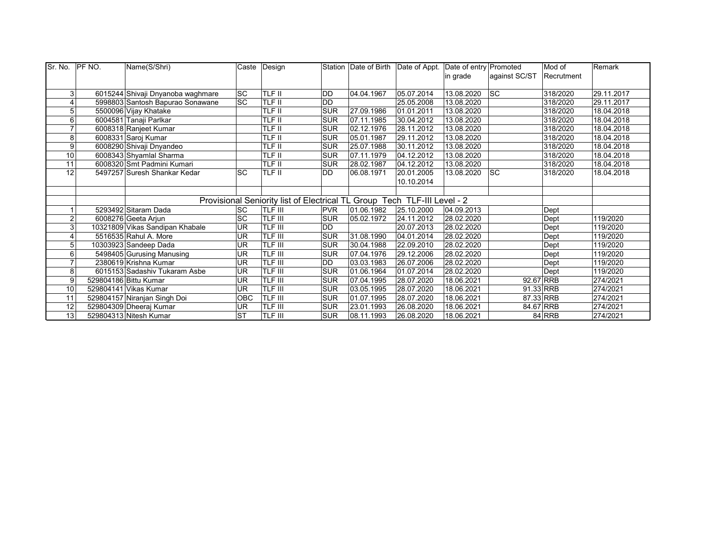| Sr. No. | PF NO. | Name(S/Shri)                      |           | Caste Design                                                             |            |                     | Station Date of Birth Date of Appt. Date of entry Promoted |            |               | Mod of     | Remark     |
|---------|--------|-----------------------------------|-----------|--------------------------------------------------------------------------|------------|---------------------|------------------------------------------------------------|------------|---------------|------------|------------|
|         |        |                                   |           |                                                                          |            |                     |                                                            | in grade   | against SC/ST | Recrutment |            |
|         |        |                                   |           |                                                                          |            |                     |                                                            |            |               |            |            |
| 3       |        | 6015244 Shivaji Dnyanoba waghmare | <b>SC</b> | TLF II                                                                   | <b>DD</b>  | 04.04.1967          | 05.07.2014                                                 | 13.08.2020 | <b>SC</b>     | 318/2020   | 29.11.2017 |
|         |        | 5998803 Santosh Bapurao Sonawane  | <b>SC</b> | TLF II                                                                   | <b>DD</b>  |                     | 25.05.2008                                                 | 13.08.2020 |               | 318/2020   | 29.11.2017 |
| 5       |        | 5500096 Vijay Khatake             |           | TLF II                                                                   | <b>SUR</b> | 27.09.1986          | 01.01.2011                                                 | 13.08.2020 |               | 318/2020   | 18.04.2018 |
| 6       |        | 6004581 Tanaji Parlkar            |           | TLF II                                                                   | <b>SUR</b> | 07.11.1985          | 30.04.2012                                                 | 13.08.2020 |               | 318/2020   | 18.04.2018 |
|         |        | 6008318 Ranjeet Kumar             |           | TLF II                                                                   | <b>SUR</b> | 02.12.1976          | 28.11.2012                                                 | 13.08.2020 |               | 318/2020   | 18.04.2018 |
| 8       |        | 6008331 Saroj Kumar               |           | TLF II                                                                   | <b>SUR</b> | 05.01.1987          | 29.11.2012                                                 | 13.08.2020 |               | 318/2020   | 18.04.2018 |
| 9       |        | 6008290 Shivaji Dnyandeo          |           | TLF II                                                                   | <b>SUR</b> | 25.07.1988          | 30.11.2012                                                 | 13.08.2020 |               | 318/2020   | 18.04.2018 |
| 10      |        | 6008343 Shyamlal Sharma           |           | TLF II                                                                   | SUR        | 07.11.1979          | 04.12.2012                                                 | 13.08.2020 |               | 318/2020   | 18.04.2018 |
| 11      |        | 6008320 Smt Padmini Kumari        |           | TLF II                                                                   | <b>SUR</b> | 28.02.1987          | 04.12.2012                                                 | 13.08.2020 |               | 318/2020   | 18.04.2018 |
| 12      |        | 5497257 Suresh Shankar Kedar      | <b>SC</b> | TLF II                                                                   | DD         | 06.08.1971          | 20.01.2005                                                 | 13.08.2020 | <b>SC</b>     | 318/2020   | 18.04.2018 |
|         |        |                                   |           |                                                                          |            |                     | 10.10.2014                                                 |            |               |            |            |
|         |        |                                   |           |                                                                          |            |                     |                                                            |            |               |            |            |
|         |        |                                   |           | Provisional Seniority list of Electrical TL Group Tech TLF-III Level - 2 |            |                     |                                                            |            |               |            |            |
|         |        | 5293492 Sitaram Dada              | <b>SC</b> | <b>TLF III</b>                                                           | <b>PVR</b> | 01.06.1982          | 25.10.2000                                                 | 04.09.2013 |               | Dept       |            |
| 2       |        | 6008276 Geeta Arjun               | <b>SC</b> | TLF III                                                                  | <b>SUR</b> | 05.02.1972          | 24.11.2012                                                 | 28.02.2020 |               | Dept       | 119/2020   |
|         |        | 10321809 Vikas Sandipan Khabale   | UR        | TLF III                                                                  | <b>DD</b>  |                     | 20.07.2013                                                 | 28.02.2020 |               | Dept       | 119/2020   |
|         |        | 5516535 Rahul A. More             | UR        | TLF III                                                                  | <b>SUR</b> | 31.08.1990          | 04.01.2014                                                 | 28.02.2020 |               | Dept       | 119/2020   |
|         |        | 10303923 Sandeep Dada             | UR        | TLF III                                                                  | <b>SUR</b> | 30.04.1988          | 22.09.2010                                                 | 28.02.2020 |               | Dept       | 119/2020   |
| 6       |        | 5498405 Gurusing Manusing         | UR        | TLF III                                                                  | <b>SUR</b> | 07.04.1976          | 29.12.2006                                                 | 28.02.2020 |               | Dept       | 119/2020   |
|         |        | 2380619 Krishna Kumar             | UR        | TLF III                                                                  | <b>DD</b>  | 03.03.1983          | 26.07.2006                                                 | 28.02.2020 |               | Dept       | 119/2020   |
| 8       |        | 6015153 Sadashiv Tukaram Asbe     | UR        | TLF III                                                                  | SUR        | $\sqrt{01.06.1964}$ | 01.07.2014                                                 | 28.02.2020 |               | Dept       | 119/2020   |
| 9       |        | 529804186 Bittu Kumar             | UR        | TLF III                                                                  | SUR        | 07.04.1995          | 28.07.2020                                                 | 18.06.2021 |               | 92.67 RRB  | 274/2021   |
| 10      |        | 529804141 Vikas Kumar             | UR        | TLF III                                                                  | <b>SUR</b> | 03.05.1995          | 28.07.2020                                                 | 18.06.2021 |               | 91.33 RRB  | 274/2021   |
| 11      |        | 529804157 Niranjan Singh Doi      | OBC       | TLF III                                                                  | <b>SUR</b> | 01.07.1995          | 28.07.2020                                                 | 18.06.2021 |               | 87.33 RRB  | 274/2021   |
| 12      |        | 529804309 Dheeraj Kumar           | UR        | TLF III                                                                  | <b>SUR</b> | 23.01.1993          | 26.08.2020                                                 | 18.06.2021 |               | 84.67 RRB  | 274/2021   |
| 13      |        | 529804313 Nitesh Kumar            | <b>ST</b> | TLF III                                                                  | SUR        | 08.11.1993          | 26.08.2020                                                 | 18.06.2021 |               | 84 RRB     | 274/2021   |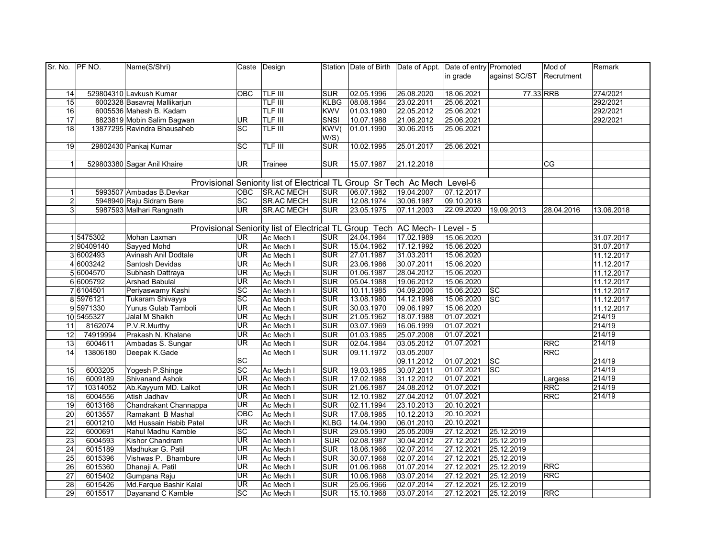| Sr. No. PF NO.  |            | Name(S/Shri)                 |                          | Caste Design                                                                |                  |            | Station Date of Birth Date of Appt. Date of entry Promoted |            |               | Mod of     | Remark                   |
|-----------------|------------|------------------------------|--------------------------|-----------------------------------------------------------------------------|------------------|------------|------------------------------------------------------------|------------|---------------|------------|--------------------------|
|                 |            |                              |                          |                                                                             |                  |            |                                                            | in grade   | against SC/ST | Recrutment |                          |
|                 |            |                              |                          |                                                                             |                  |            |                                                            |            |               |            |                          |
| 14              |            | 529804310 Lavkush Kumar      | <b>OBC</b>               | <b>TLF III</b>                                                              | <b>SUR</b>       | 02.05.1996 | 26.08.2020                                                 | 18.06.2021 | 77.33 RRB     |            | 274/2021                 |
| 15              |            | 6002328 Basavraj Mallikarjun |                          | TLF III                                                                     | <b>KLBG</b>      | 08.08.1984 | 23.02.2011                                                 | 25.06.2021 |               |            | 292/2021                 |
| 16              |            | 6005536 Mahesh B. Kadam      |                          | <b>TLF III</b>                                                              | <b>KWV</b>       | 01.03.1980 | 22.05.2012                                                 | 25.06.2021 |               |            | 292/2021                 |
| $\overline{17}$ |            | 8823819 Mobin Salim Bagwan   | UR                       | <b>TLF III</b>                                                              | SNSI             | 10.07.1988 | 21.06.2012                                                 | 25.06.2021 |               |            | 292/2021                 |
| 18              |            | 13877295 Ravindra Bhausaheb  | <b>SC</b>                | <b>TLF III</b>                                                              | KWV <sub>(</sub> | 01.01.1990 | 30.06.2015                                                 | 25.06.2021 |               |            |                          |
|                 |            |                              |                          |                                                                             | W/S)             |            |                                                            |            |               |            |                          |
| $\overline{19}$ |            | 29802430 Pankaj Kumar        | $\overline{SC}$          | <b>TLF III</b>                                                              | <b>SUR</b>       | 10.02.1995 | 25.01.2017                                                 | 25.06.2021 |               |            |                          |
|                 |            |                              |                          |                                                                             |                  |            |                                                            |            |               |            |                          |
| $\mathbf{1}$    |            | 529803380 Sagar Anil Khaire  | UR                       | Trainee                                                                     | SUR              | 15.07.1987 | 21.12.2018                                                 |            |               | <b>CG</b>  |                          |
|                 |            |                              |                          |                                                                             |                  |            |                                                            |            |               |            |                          |
|                 |            |                              |                          | Provisional Seniority list of Electrical TL Group Sr Tech Ac Mech Level-6   |                  |            |                                                            |            |               |            |                          |
| $\mathbf{1}$    |            | 5993507 Ambadas B.Devkar     | <b>OBC</b>               | <b>SR.AC MECH</b>                                                           | <b>SUR</b>       | 06.07.1982 | 19.04.2007                                                 | 07.12.2017 |               |            |                          |
| $\overline{2}$  |            | 5948940 Raju Sidram Bere     | <b>SC</b>                | <b>SR.AC MECH</b>                                                           | <b>SUR</b>       | 12.08.1974 | 30.06.1987                                                 | 09.10.2018 |               |            |                          |
| 3               |            | 5987593 Malhari Rangnath     | UR <sup></sup>           | <b>SR.AC MECH</b>                                                           | <b>SUR</b>       | 23.05.1975 | 07.11.2003                                                 | 22.09.2020 | 19.09.2013    | 28.04.2016 | 13.06.2018               |
|                 |            |                              |                          |                                                                             |                  |            |                                                            |            |               |            |                          |
|                 |            |                              |                          | Provisional Seniority list of Electrical TL Group Tech AC Mech- I Level - 5 |                  |            |                                                            |            |               |            |                          |
|                 | 15475302   | Mohan Laxman                 | UR                       | Ac Mech I                                                                   | <b>SUR</b>       | 24.04.1964 | 17.02.1989                                                 | 15.06.2020 |               |            | 31.07.2017               |
|                 | 290409140  | Sayyed Mohd                  | UR                       | Ac Mech I                                                                   | <b>SUR</b>       | 15.04.1962 | 17.12.1992                                                 | 15.06.2020 |               |            | 31.07.2017               |
|                 | 3 6002493  | Avinash Anil Dodtale         | UR                       | Ac Mech I                                                                   | <b>SUR</b>       | 27.01.1987 | 31.03.2011                                                 | 15.06.2020 |               |            | 11.12.2017               |
|                 | 4 6003242  | Santosh Devidas              | UR                       |                                                                             | <b>SUR</b>       | 23.06.1986 | 30.07.2011                                                 | 15.06.2020 |               |            |                          |
|                 | 5 6004570  | Subhash Dattraya             | <b>UR</b>                | Ac Mech I<br>Ac Mech I                                                      | <b>SUR</b>       | 01.06.1987 | 28.04.2012                                                 | 15.06.2020 |               |            | 11.12.2017<br>11.12.2017 |
|                 | 6 6005792  | <b>Arshad Babulal</b>        | UR.                      | Ac Mech I                                                                   | <b>SUR</b>       | 05.04.1988 | 19.06.2012                                                 | 15.06.2020 |               |            | 11.12.2017               |
|                 | 7 6104501  | Periyaswamy Kashi            | <b>SC</b>                | Ac Mech I                                                                   | <b>SUR</b>       | 10.11.1985 | 04.09.2006                                                 | 15.06.2020 | sc            |            | 11.12.2017               |
|                 | 8 5976121  | Tukaram Shivayya             | SC                       | Ac Mech I                                                                   | <b>SUR</b>       | 13.08.1980 | 14.12.1998                                                 | 15.06.2020 | sc            |            | 11.12.2017               |
|                 | 95971330   | Yunus Gulab Tamboli          | <b>UR</b>                | Ac Mech I                                                                   | <b>SUR</b>       | 30.03.1970 | 09.06.1997                                                 | 15.06.2020 |               |            | 11.12.2017               |
|                 | 10 5455327 | Jalal M Shaikh               | $\overline{\mathsf{UR}}$ | Ac Mech I                                                                   | <b>SUR</b>       | 21.05.1962 | 18.07.1988                                                 | 01.07.2021 |               |            | 214/19                   |
| 11              | 8162074    | P.V.R.Murthy                 | $\overline{\mathsf{UR}}$ | Ac Mech I                                                                   | SUR              | 03.07.1969 | 16.06.1999                                                 | 01.07.2021 |               |            | 214/19                   |
| 12              | 74919994   | Prakash N. Khalane           | <b>UR</b>                | Ac Mech I                                                                   | <b>SUR</b>       | 01.03.1985 | 25.07.2008                                                 | 01.07.2021 |               |            | 214/19                   |
| 13              | 6004611    | Ambadas S. Sungar            | UR.                      | Ac Mech I                                                                   | <b>SUR</b>       | 02.04.1984 | 03.05.2012                                                 | 01.07.2021 |               | <b>RRC</b> | 214/19                   |
| 14              | 13806180   | Deepak K.Gade                |                          | Ac Mech I                                                                   | <b>SUR</b>       | 09.11.1972 | 03.05.2007                                                 |            |               | <b>RRC</b> |                          |
|                 |            |                              | SC                       |                                                                             |                  |            | 09.11.2012                                                 | 01.07.2021 | SC            |            | 214/19                   |
| 15              | 6003205    | Yogesh P.Shinge              | $\overline{SC}$          | Ac Mech I                                                                   | <b>SUR</b>       | 19.03.1985 | 30.07.2011                                                 | 01.07.2021 | SC            |            | 214/19                   |
| 16              | 6009189    | Shivanand Ashok              | UR.                      | Ac Mech I                                                                   | <b>SUR</b>       | 17.02.1988 | 31.12.2012                                                 | 01.07.2021 |               | Largess    | 214/19                   |
| 17              | 10314052   | Ab.Kayyum MD. Lalkot         | UR                       | Ac Mech I                                                                   | SUR              | 21.06.1987 | 24.08.2012                                                 | 01.07.2021 |               | <b>RRC</b> | 214/19                   |
| $\overline{18}$ | 6004556    | Atish Jadhav                 | UR                       | Ac Mech I                                                                   | <b>SUR</b>       | 12.10.1982 | 27.04.2012                                                 | 01.07.2021 |               | RRC        | 214/19                   |
| 19              | 6013168    | Chandrakant Channappa        | UR                       | Ac Mech I                                                                   | <b>SUR</b>       | 02.11.1994 | 23.10.2013                                                 | 20.10.2021 |               |            |                          |
| $\overline{20}$ | 6013557    | Ramakant B Mashal            | <b>OBC</b>               | Ac Mech I                                                                   | <b>SUR</b>       | 17.08.1985 | 10.12.2013                                                 | 20.10.2021 |               |            |                          |
| $\overline{21}$ | 6001210    | Md Hussain Habib Patel       | UR                       | Ac Mech I                                                                   | <b>KLBG</b>      | 14.04.1990 | 06.01.2010                                                 | 20.10.2021 |               |            |                          |
| $\overline{22}$ | 6000691    | Rahul Madhu Kamble           | SC                       | Ac Mech I                                                                   | <b>SUR</b>       | 29.05.1990 | 25.05.2009                                                 | 27.12.2021 | 25.12.2019    |            |                          |
| 23              | 6004593    | Kishor Chandram              | <b>UR</b>                | Ac Mech I                                                                   | <b>SUR</b>       | 02.08.1987 | 30.04.2012                                                 | 27.12.2021 | 25.12.2019    |            |                          |
| 24              | 6015189    | Madhukar G. Patil            | UR                       | Ac Mech I                                                                   | <b>SUR</b>       | 18.06.1966 | 02.07.2014                                                 | 27.12.2021 | 25.12.2019    |            |                          |
| $\overline{25}$ | 6015396    | Vishwas P. Bhambure          | UR                       | Ac Mech I                                                                   | <b>SUR</b>       | 30.07.1968 | 02.07.2014                                                 | 27.12.2021 | 25.12.2019    |            |                          |
| 26              | 6015360    | Dhanaji A. Patil             | <b>UR</b>                | Ac Mech I                                                                   | <b>SUR</b>       | 01.06.1968 | 01.07.2014                                                 | 27.12.2021 | 25.12.2019    | <b>RRC</b> |                          |
| 27              | 6015402    | Gumpana Raju                 | <b>UR</b>                | Ac Mech I                                                                   | <b>SUR</b>       | 10.06.1968 | 03.07.2014                                                 | 27.12.2021 | 25.12.2019    | <b>RRC</b> |                          |
| 28              | 6015426    | Md.Farque Bashir Kalal       | $\overline{\mathsf{UR}}$ | Ac Mech I                                                                   | <b>SUR</b>       | 25.06.1966 | 02.07.2014                                                 | 27.12.2021 | 25.12.2019    |            |                          |
| 29              | 6015517    |                              | <b>SC</b>                |                                                                             | <b>SUR</b>       |            | 03.07.2014                                                 | 27.12.2021 |               | <b>RRC</b> |                          |
|                 |            | Dayanand C Kamble            |                          | Ac Mech I                                                                   |                  | 15.10.1968 |                                                            |            | 25.12.2019    |            |                          |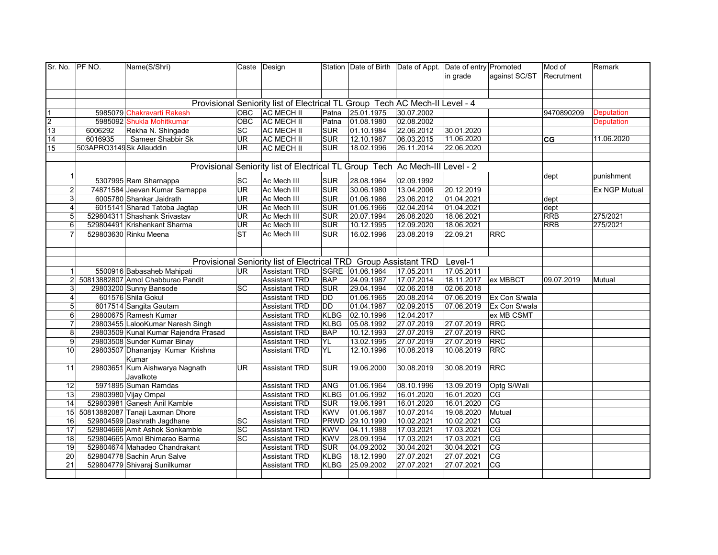| Sr. No.         | PF NO.                             | Name(S/Shri)                                                    |                          | Caste Design                                 |                           |                          | Station Date of Birth Date of Appt. Date of entry Promoted                   | in grade                 | against SC/ST            | Mod of<br>Recrutment | Remark               |
|-----------------|------------------------------------|-----------------------------------------------------------------|--------------------------|----------------------------------------------|---------------------------|--------------------------|------------------------------------------------------------------------------|--------------------------|--------------------------|----------------------|----------------------|
|                 |                                    |                                                                 |                          |                                              |                           |                          |                                                                              |                          |                          |                      |                      |
|                 |                                    |                                                                 |                          |                                              |                           |                          | Provisional Seniority list of Electrical TL Group Tech AC Mech-II Level - 4  |                          |                          |                      |                      |
| $\overline{1}$  |                                    | 5985079 Chakravarti Rakesh                                      | OBC                      | <b>AC MECH II</b>                            | Patna                     | 25.01.1975               | 30.07.2002                                                                   |                          |                          | 9470890209           | <b>Deputation</b>    |
| $\frac{2}{13}$  |                                    | 5985092 Shukla Mohitkumar                                       | <b>OBC</b>               | <b>AC MECH II</b>                            | Patna                     | 01.08.1980               | 02.08.2002                                                                   |                          |                          |                      | <b>Deputation</b>    |
| 14              | 6006292                            | Rekha N. Shingade                                               | SC                       | <b>AC MECH II</b>                            | <b>SUR</b>                | 01.10.1984               | 22.06.2012                                                                   | 30.01.2020<br>11.06.2020 |                          |                      | 11.06.2020           |
| 15              | 6016935<br>503APRO3149Sk Allauddin | Sameer Shabbir Sk                                               | <b>UR</b><br><b>UR</b>   | <b>AC MECH II</b><br><b>AC MECH II</b>       | <b>SUR</b><br><b>SUR</b>  | 12.10.1987<br>18.02.1996 | 06.03.2015<br>26.11.2014                                                     | 22.06.2020               |                          | CG                   |                      |
|                 |                                    |                                                                 |                          |                                              |                           |                          |                                                                              |                          |                          |                      |                      |
|                 |                                    |                                                                 |                          |                                              |                           |                          | Provisional Seniority list of Electrical TL Group Tech Ac Mech-III Level - 2 |                          |                          |                      |                      |
|                 | $\mathbf{1}$                       |                                                                 |                          |                                              |                           |                          |                                                                              |                          |                          | dept                 | punishment           |
|                 |                                    | 5307995 Ram Sharnappa                                           | SC                       | Ac Mech III                                  | <b>SUR</b>                | 28.08.1964               | 02.09.1992                                                                   |                          |                          |                      |                      |
|                 | 2 <sub>1</sub>                     | 74871584 Jeevan Kumar Sarnappa                                  | UR                       | Ac Mech III                                  | <b>SUR</b>                | 30.06.1980               | 13.04.2006                                                                   | 20.12.2019               |                          |                      | <b>Ex NGP Mutual</b> |
|                 | $\mathbf{3}$                       | 6005780 Shankar Jaidrath                                        | UR                       | Ac Mech III                                  | <b>SUR</b>                | 01.06.1986               | 23.06.2012                                                                   | 01.04.2021               |                          | dept                 |                      |
|                 | $\overline{4}$                     | 6015141 Sharad Tatoba Jagtap                                    | UR                       | Ac Mech III                                  | <b>SUR</b>                | 01.06.1966               | 02.04.2014                                                                   | 01.04.2021               |                          | dept                 |                      |
|                 | 5                                  | 529804311 Shashank Srivastav                                    | UR                       | Ac Mech III                                  | <b>SUR</b>                | 20.07.1994               | 26.08.2020                                                                   | 18.06.2021               |                          | <b>RRB</b>           | 275/2021             |
|                 | $\overline{6}$                     | 529804491 Krishenkant Sharma                                    | $\overline{\mathsf{UR}}$ | Ac Mech III                                  | <b>SUR</b>                | 10.12.1995               | 12.09.2020                                                                   | 18.06.2021               |                          | <b>RRB</b>           | 275/2021             |
|                 | $\overline{7}$                     | 529803630 Rinku Meena                                           | <b>ST</b>                | Ac Mech III                                  | <b>SUR</b>                | 16.02.1996               | 23.08.2019                                                                   | 22.09.21                 | <b>RRC</b>               |                      |                      |
|                 |                                    |                                                                 |                          |                                              |                           |                          |                                                                              |                          |                          |                      |                      |
|                 |                                    |                                                                 |                          |                                              |                           |                          |                                                                              |                          |                          |                      |                      |
|                 |                                    |                                                                 |                          |                                              |                           |                          | Provisional Seniority list of Electrical TRD Group Assistant TRD             | Level-1                  |                          |                      |                      |
|                 | $\mathbf{1}$                       | 5500916 Babasaheb Mahipati                                      | UR.                      | <b>Assistant TRD</b>                         |                           | SGRE 01.06.1964          | 17.05.2011                                                                   | 17.05.2011               |                          |                      |                      |
|                 |                                    | 50813882807 Amol Chabburao Pandit                               |                          | <b>Assistant TRD</b>                         | <b>BAP</b>                | 24.09.1987               | 17.07.2014                                                                   | 18.11.2017               | ex MBBCT                 | 09.07.2019           | Mutual               |
|                 | 3 <sup>1</sup>                     | 29803200 Sunny Bansode                                          | <b>SC</b>                | <b>Assistant TRD</b>                         | <b>SUR</b>                | 29.04.1994               | 02.06.2018                                                                   | 02.06.2018               |                          |                      |                      |
|                 | 4                                  | 601576 Shila Gokul                                              |                          | <b>Assistant TRD</b>                         | <b>DD</b>                 | 01.06.1965               | 20.08.2014                                                                   | 07.06.2019               | Ex Con S/wala            |                      |                      |
|                 | 5 <sup>1</sup><br>$6 \mid$         | 6017514 Sangita Gautam<br>29800675 Ramesh Kumar                 |                          | <b>Assistant TRD</b>                         | <b>DD</b>                 | 01.04.1987               | 02.09.2015                                                                   | 07.06.2019               | Ex Con S/wala            |                      |                      |
|                 |                                    |                                                                 |                          | <b>Assistant TRD</b>                         | <b>KLBG</b>               | 02.10.1996               | 12.04.2017                                                                   |                          | ex MB CSMT<br><b>RRC</b> |                      |                      |
|                 | $\overline{7}$<br>8                | 29803455 LalooKumar Naresh Singh                                |                          | <b>Assistant TRD</b>                         | <b>KLBG</b><br><b>BAP</b> | 05.08.1992               | 27.07.2019<br>27.07.2019                                                     | 27.07.2019<br>27.07.2019 | <b>RRC</b>               |                      |                      |
|                 |                                    | 29803509 Kunal Kumar Rajendra Prasad                            |                          | <b>Assistant TRD</b>                         |                           | 10.12.1993               |                                                                              |                          | <b>RRC</b>               |                      |                      |
| 10              | $\overline{9}$                     | 29803508 Sunder Kumar Binay<br>29803507 Dhananjay Kumar Krishna |                          | <b>Assistant TRD</b><br><b>Assistant TRD</b> | YL<br>YL                  | 13.02.1995<br>12.10.1996 | 27.07.2019<br>10.08.2019                                                     | 27.07.2019<br>10.08.2019 | <b>RRC</b>               |                      |                      |
|                 |                                    | Kumar                                                           |                          |                                              |                           |                          |                                                                              |                          |                          |                      |                      |
| 11              |                                    | 29803651 Kum Aishwarya Nagnath<br>Javalkote                     | <b>UR</b>                | <b>Assistant TRD</b>                         | SUR                       | 19.06.2000               | 30.08.2019                                                                   | 30.08.2019               | <b>RRC</b>               |                      |                      |
| 12              |                                    | 5971895 Suman Ramdas                                            |                          | <b>Assistant TRD</b>                         | <b>ANG</b>                | 01.06.1964               | 08.10.1996                                                                   | 13.09.2019               | Optg S/Wali              |                      |                      |
| 13              |                                    | 29803980 Vijay Ompal                                            |                          | <b>Assistant TRD</b>                         | <b>KLBG</b>               | 01.06.1992               | 16.01.2020                                                                   | 16.01.2020               | CG                       |                      |                      |
| 14              |                                    | 529803981 Ganesh Anil Kamble                                    |                          | <b>Assistant TRD</b>                         | SUR                       | 19.06.1991               | 16.01.2020                                                                   | 16.01.2020               | CG                       |                      |                      |
|                 |                                    | 15 50813882087 Tanaji Laxman Dhore                              |                          | <b>Assistant TRD</b>                         | <b>KWV</b>                | 01.06.1987               | 10.07.2014                                                                   | 19.08.2020               | Mutual                   |                      |                      |
| 16              |                                    | 529804599 Dashrath Jagdhane                                     | SC                       | <b>Assistant TRD</b>                         | PRWD                      | 29.10.1990               | 10.02.2021                                                                   | 10.02.2021               | CG                       |                      |                      |
| 17              |                                    | 529804666 Amit Ashok Sonkamble                                  | SC                       | <b>Assistant TRD</b>                         | <b>KWV</b>                | 04.11.1988               | 17.03.2021                                                                   | 17.03.2021               | CG                       |                      |                      |
| 18              |                                    | 529804665 Amol Bhimarao Barma                                   | $\overline{SC}$          | <b>Assistant TRD</b>                         | <b>KWV</b>                | 28.09.1994               | 17.03.2021                                                                   | 17.03.2021               | CG                       |                      |                      |
| 19              |                                    | 529804674 Mahadeo Chandrakant                                   |                          | <b>Assistant TRD</b>                         | <b>SUR</b>                | 04.09.2002               | 30.04.2021                                                                   | 30.04.2021               | CG                       |                      |                      |
| 20              |                                    | 529804778 Sachin Arun Salve                                     |                          | <b>Assistant TRD</b>                         | <b>KLBG</b>               | 18.12.1990               | 27.07.2021                                                                   | 27.07.2021               | CG                       |                      |                      |
| $\overline{21}$ |                                    | 529804779 Shivaraj Sunilkumar                                   |                          | <b>Assistant TRD</b>                         | <b>KLBG</b>               | 25.09.2002               | 27.07.2021                                                                   | 27.07.2021               | CG                       |                      |                      |
|                 |                                    |                                                                 |                          |                                              |                           |                          |                                                                              |                          |                          |                      |                      |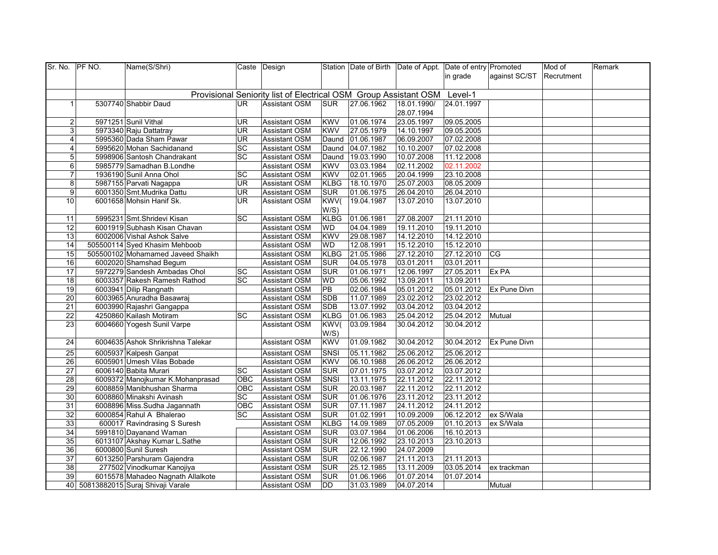| Sr. No. PF NO.  | Name(S/Shri)                        |            | Caste Design                                                     |             |            | Station Date of Birth Date of Appt. Date of entry Promoted |            |               | Mod of     | Remark |
|-----------------|-------------------------------------|------------|------------------------------------------------------------------|-------------|------------|------------------------------------------------------------|------------|---------------|------------|--------|
|                 |                                     |            |                                                                  |             |            |                                                            | in grade   | against SC/ST | Recrutment |        |
|                 |                                     |            |                                                                  |             |            |                                                            |            |               |            |        |
|                 |                                     |            | Provisional Seniority list of Electrical OSM Group Assistant OSM |             |            |                                                            | Level-1    |               |            |        |
| $\mathbf 1$     | 5307740 Shabbir Daud                | <b>UR</b>  | <b>Assistant OSM</b>                                             | <b>SUR</b>  | 27.06.1962 | 18.01.1990/                                                | 24.01.1997 |               |            |        |
|                 |                                     |            |                                                                  |             |            | 28.07.1994                                                 |            |               |            |        |
| $\overline{c}$  | 5971251 Sunil Vithal                | UR         | Assistant OSM                                                    | <b>KWV</b>  | 01.06.1974 | 23.05.1997                                                 | 09.05.2005 |               |            |        |
| 3 <sup>1</sup>  | 5973340 Raju Dattatray              | <b>UR</b>  | Assistant OSM                                                    | <b>KWV</b>  | 27.05.1979 | 14.10.1997                                                 | 09.05.2005 |               |            |        |
| $\overline{4}$  | 5995360 Dada Sham Pawar             | UR         | <b>Assistant OSM</b>                                             | Daund       | 01.06.1987 | 06.09.2007                                                 | 07.02.2008 |               |            |        |
| 4 <sup>1</sup>  | 5995620 Mohan Sachidanand           | <b>SC</b>  | <b>Assistant OSM</b>                                             | Daund       | 04.07.1982 | 10.10.2007                                                 | 07.02.2008 |               |            |        |
| 5               | 5998906 Santosh Chandrakant         | <b>SC</b>  | <b>Assistant OSM</b>                                             | Daund       | 19.03.1990 | 10.07.2008                                                 | 11.12.2008 |               |            |        |
| 6 <sup>1</sup>  | 5985779 Samadhan B.Londhe           |            | Assistant OSM                                                    | <b>KWV</b>  | 03.03.1984 | 02.11.2002                                                 | 02.11.2002 |               |            |        |
| $\overline{7}$  | 1936190 Sunil Anna Ohol             | SC         | <b>Assistant OSM</b>                                             | <b>KWV</b>  | 02.01.1965 | 20.04.1999                                                 | 23.10.2008 |               |            |        |
| 8 <sup>1</sup>  | 5987155 Parvati Nagappa             | UR         | <b>Assistant OSM</b>                                             | <b>KLBG</b> | 18.10.1970 | 25.07.2003                                                 | 08.05.2009 |               |            |        |
| 9               | 6001350 Smt.Mudrika Dattu           | <b>UR</b>  | <b>Assistant OSM</b>                                             | <b>SUR</b>  | 01.06.1975 | 26.04.2010                                                 | 26.04.2010 |               |            |        |
| 10              | 6001658 Mohsin Hanif Sk.            | UR.        | <b>Assistant OSM</b>                                             | KWV(        | 19.04.1987 | 13.07.2010                                                 | 13.07.2010 |               |            |        |
|                 |                                     |            |                                                                  | W/S)        |            |                                                            |            |               |            |        |
| 11              | 5995231 Smt.Shridevi Kisan          | SC         | <b>Assistant OSM</b>                                             | <b>KLBG</b> | 01.06.1981 | 27.08.2007                                                 | 21.11.2010 |               |            |        |
| 12              | 6001919 Subhash Kisan Chavan        |            | <b>Assistant OSM</b>                                             | WD          | 04.04.1989 | 19.11.2010                                                 | 19.11.2010 |               |            |        |
| 13              | 6002006 Vishal Ashok Salve          |            | Assistant OSM                                                    | <b>KWV</b>  | 29.08.1987 | 14.12.2010                                                 | 14.12.2010 |               |            |        |
| 14              | 505500114 Syed Khasim Mehboob       |            | Assistant OSM                                                    | WD          | 12.08.1991 | 15.12.2010                                                 | 15.12.2010 |               |            |        |
| 15              | 505500102 Mohamamed Javeed Shaikh   |            | Assistant OSM                                                    | <b>KLBG</b> | 21.05.1986 | 27.12.2010                                                 | 27.12.2010 | CG            |            |        |
| 16              | 6002020 Shamshad Begum              |            | Assistant OSM                                                    | <b>SUR</b>  | 04.05.1978 | 03.01.2011                                                 | 03.01.2011 |               |            |        |
| 17              | 5972279 Sandesh Ambadas Ohol        | SC         | <b>Assistant OSM</b>                                             | <b>SUR</b>  | 01.06.1971 | 12.06.1997                                                 | 27.05.2011 | Ex PA         |            |        |
| 18              | 6003357 Rakesh Ramesh Rathod        | SC         | <b>Assistant OSM</b>                                             | WD          | 05.06.1992 | 13.09.2011                                                 | 13.09.2011 |               |            |        |
| 19              | 6003941 Dilip Rangnath              |            | Assistant OSM                                                    | PB          | 02.06.1984 | 05.01.2012                                                 | 05.01.2012 | Ex Pune Divn  |            |        |
| $\overline{20}$ | 6003965 Anuradha Basawraj           |            | <b>Assistant OSM</b>                                             | <b>SDB</b>  | 11.07.1989 | 23.02.2012                                                 | 23.02.2012 |               |            |        |
| 21              | 6003990 Rajashri Gangappa           |            | <b>Assistant OSM</b>                                             | <b>SDB</b>  | 13.07.1992 | 03.04.2012                                                 | 03.04.2012 |               |            |        |
| 22              | 4250860 Kailash Motiram             | SC         | Assistant OSM                                                    | <b>KLBG</b> | 01.06.1983 | 25.04.2012                                                 | 25.04.2012 | Mutual        |            |        |
| 23              | 6004660 Yogesh Sunil Varpe          |            | <b>Assistant OSM</b>                                             | KWV(        | 03.09.1984 | 30.04.2012                                                 | 30.04.2012 |               |            |        |
|                 |                                     |            |                                                                  | W/S)        |            |                                                            |            |               |            |        |
| 24              | 6004635 Ashok Shrikrishna Talekar   |            | <b>Assistant OSM</b>                                             | <b>KWV</b>  | 01.09.1982 | 30.04.2012                                                 | 30.04.2012 | Ex Pune Divn  |            |        |
| 25              | 6005937 Kalpesh Ganpat              |            | <b>Assistant OSM</b>                                             | SNSI        | 05.11.1982 | 25.06.2012                                                 | 25.06.2012 |               |            |        |
| 26              | 6005901 Umesh Vilas Bobade          |            | <b>Assistant OSM</b>                                             | <b>KWV</b>  | 06.10.1988 | 26.06.2012                                                 | 26.06.2012 |               |            |        |
| 27              | 6006140 Babita Murari               | SC         | <b>Assistant OSM</b>                                             | <b>SUR</b>  | 07.01.1975 | 03.07.2012                                                 | 03.07.2012 |               |            |        |
| 28              | 6009372 Manojkumar K.Mohanprasad    | <b>OBC</b> | <b>Assistant OSM</b>                                             | SNSI        | 13.11.1975 | 22.11.2012                                                 | 22.11.2012 |               |            |        |
| 29              | 6008859 Manibhushan Sharma          | OBC        | <b>Assistant OSM</b>                                             | <b>SUR</b>  | 20.03.1987 | 22.11.2012                                                 | 22.11.2012 |               |            |        |
| 30              | 6008860 Minakshi Avinash            | <b>SC</b>  | <b>Assistant OSM</b>                                             | <b>SUR</b>  | 01.06.1976 | 23.11.2012                                                 | 23.11.2012 |               |            |        |
| 31              | 6008896 Miss.Sudha Jagannath        | OBC        | <b>Assistant OSM</b>                                             | <b>SUR</b>  | 07.11.1987 | 24.11.2012                                                 | 24.11.2012 |               |            |        |
| 32              | 6000854 Rahul A Bhalerao            | SC         | <b>Assistant OSM</b>                                             | <b>SUR</b>  | 01.02.1991 | 10.09.2009                                                 | 06.12.2012 | ex S/Wala     |            |        |
| 33              | 600017 Ravindrasing S Suresh        |            | <b>Assistant OSM</b>                                             | <b>KLBG</b> | 14.09.1989 | 07.05.2009                                                 | 01.10.2013 | ex S/Wala     |            |        |
| 34              | 5991810 Dayanand Waman              |            | <b>Assistant OSM</b>                                             | <b>SUR</b>  | 03.07.1984 | 01.06.2006                                                 | 16.10.2013 |               |            |        |
| 35              | 6013107 Akshay Kumar L.Sathe        |            | Assistant OSM                                                    | <b>SUR</b>  | 12.06.1992 | 23.10.2013                                                 | 23.10.2013 |               |            |        |
| 36              | 6000800 Sunil Suresh                |            | Assistant OSM                                                    | <b>SUR</b>  | 22.12.1990 | 24.07.2009                                                 |            |               |            |        |
| 37              | 6013250 Parshuram Gajendra          |            | Assistant OSM                                                    | <b>SUR</b>  | 02.06.1987 | 21.11.2013                                                 | 21.11.2013 |               |            |        |
| $\frac{3}{8}$   | 277502 Vinodkumar Kanojiya          |            | <b>Assistant OSM</b>                                             | <b>SUR</b>  | 25.12.1985 | 13.11.2009                                                 | 03.05.2014 | ex trackman   |            |        |
| 39              | 6015578 Mahadeo Nagnath Allalkote   |            | Assistant OSM                                                    | <b>SUR</b>  | 01.06.1966 | 01.07.2014                                                 | 01.07.2014 |               |            |        |
|                 | 40 50813882015 Suraj Shivaji Varale |            | Assistant OSM                                                    | <b>DD</b>   | 31.03.1989 | 04.07.2014                                                 |            | Mutual        |            |        |
|                 |                                     |            |                                                                  |             |            |                                                            |            |               |            |        |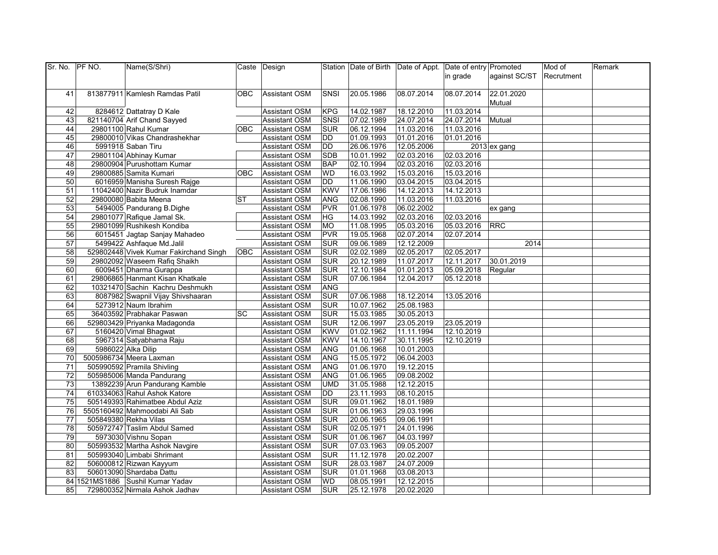| Sr. No.         | PF NO. | Name(S/Shri)                           |            | Caste Design                                 |             |            | Station Date of Birth Date of Appt. Date of entry Promoted |            |                | Mod of     | Remark |
|-----------------|--------|----------------------------------------|------------|----------------------------------------------|-------------|------------|------------------------------------------------------------|------------|----------------|------------|--------|
|                 |        |                                        |            |                                              |             |            |                                                            | in grade   | against SC/ST  | Recrutment |        |
|                 |        |                                        |            |                                              |             |            |                                                            |            |                |            |        |
| 41              |        | 813877911 Kamlesh Ramdas Patil         | OBC.       | <b>Assistant OSM</b>                         | <b>SNSI</b> | 20.05.1986 | 08.07.2014                                                 | 08.07.2014 | 22.01.2020     |            |        |
|                 |        |                                        |            |                                              |             |            |                                                            |            | Mutual         |            |        |
| 42              |        | 8284612 Dattatray D Kale               |            | <b>Assistant OSM</b>                         | <b>KPG</b>  | 14.02.1987 | 18.12.2010                                                 | 11.03.2014 |                |            |        |
| 43              |        | 821140704 Arif Chand Sayyed            |            | <b>Assistant OSM</b>                         | SNSI        | 07.02.1989 | 24.07.2014                                                 | 24.07.2014 | Mutual         |            |        |
| 44              |        | 29801100 Rahul Kumar                   | <b>OBC</b> | <b>Assistant OSM</b>                         | <b>SUR</b>  | 06.12.1994 | 11.03.2016                                                 | 11.03.2016 |                |            |        |
| 45              |        | 29800010 Vikas Chandrashekhar          |            | <b>Assistant OSM</b>                         | DD          | 01.09.1993 | 01.01.2016                                                 | 01.01.2016 |                |            |        |
| 46              |        | 5991918 Saban Tiru                     |            | <b>Assistant OSM</b>                         | <b>DD</b>   | 26.06.1976 | 12.05.2006                                                 |            | $2013$ ex gang |            |        |
| 47              |        | 29801104 Abhinay Kumar                 |            | <b>Assistant OSM</b>                         | <b>SDB</b>  | 10.01.1992 | 02.03.2016                                                 | 02.03.2016 |                |            |        |
| 48              |        | 29800904 Purushottam Kumar             |            | <b>Assistant OSM</b>                         | <b>BAP</b>  | 02.10.1994 | 02.03.2016                                                 | 02.03.2016 |                |            |        |
| 49              |        | 29800885 Samita Kumari                 | <b>OBC</b> | <b>Assistant OSM</b>                         | <b>WD</b>   | 16.03.1992 | 15.03.2016                                                 | 15.03.2016 |                |            |        |
| 50              |        | 6016959 Manisha Suresh Rajge           |            | <b>Assistant OSM</b>                         | DD          | 11.06.1990 | 03.04.2015                                                 | 03.04.2015 |                |            |        |
| 51              |        | 11042400 Nazir Budruk Inamdar          |            | <b>Assistant OSM</b>                         | <b>KWV</b>  | 17.06.1986 | 14.12.2013                                                 | 14.12.2013 |                |            |        |
| 52              |        | 29800080 Babita Meena                  | <b>ST</b>  | <b>Assistant OSM</b>                         | <b>ANG</b>  | 02.08.1990 | 11.03.2016                                                 | 11.03.2016 |                |            |        |
| 53              |        | 5494005 Pandurang B.Dighe              |            | <b>Assistant OSM</b>                         | <b>PVR</b>  | 01.06.1978 | 06.02.2002                                                 |            | ex gang        |            |        |
| 54              |        | 29801077 Rafique Jamal Sk.             |            | <b>Assistant OSM</b>                         | ΗG          | 14.03.1992 | 02.03.2016                                                 | 02.03.2016 |                |            |        |
| $\overline{55}$ |        | 29801099 Rushikesh Kondiba             |            | <b>Assistant OSM</b>                         | MO          | 11.08.1995 | 05.03.2016                                                 | 05.03.2016 | <b>RRC</b>     |            |        |
| 56              |        | 6015451 Jagtap Sanjay Mahadeo          |            | <b>Assistant OSM</b>                         | <b>PVR</b>  | 19.05.1968 | 02.07.2014                                                 | 02.07.2014 |                |            |        |
| 57              |        | 5499422 Ashfaque Md.Jalil              |            | <b>Assistant OSM</b>                         | <b>SUR</b>  | 09.06.1989 | 12.12.2009                                                 |            | 2014           |            |        |
| 58              |        | 529802448 Vivek Kumar Fakirchand Singh | <b>OBC</b> | <b>Assistant OSM</b>                         | <b>SUR</b>  | 02.02.1989 | 02.05.2017                                                 | 02.05.2017 |                |            |        |
| 59              |        | 29802092 Waseem Rafiq Shaikh           |            | <b>Assistant OSM</b>                         | <b>SUR</b>  | 20.12.1989 | 11.07.2017                                                 | 12.11.2017 | 30.01.2019     |            |        |
| 60              |        | 6009451 Dharma Gurappa                 |            | <b>Assistant OSM</b>                         | <b>SUR</b>  | 12.10.1984 | 01.01.2013                                                 | 05.09.2018 | Regular        |            |        |
| 61              |        | 29806865 Hanmant Kisan Khatkale        |            | <b>Assistant OSM</b>                         | <b>SUR</b>  | 07.06.1984 | 12.04.2017                                                 | 05.12.2018 |                |            |        |
| 62              |        | 10321470 Sachin Kachru Deshmukh        |            |                                              | <b>ANG</b>  |            |                                                            |            |                |            |        |
| 63              |        | 8087982 Swapnil Vijay Shivshaaran      |            | <b>Assistant OSM</b><br><b>Assistant OSM</b> | <b>SUR</b>  | 07.06.1988 | 18.12.2014                                                 | 13.05.2016 |                |            |        |
|                 |        |                                        |            |                                              |             |            |                                                            |            |                |            |        |
| 64              |        | 5273912 Naum Ibrahim                   | SC         | <b>Assistant OSM</b>                         | <b>SUR</b>  | 10.07.1962 | 25.08.1983                                                 |            |                |            |        |
| 65              |        | 36403592 Prabhakar Paswan              |            | <b>Assistant OSM</b>                         | <b>SUR</b>  | 15.03.1985 | 30.05.2013                                                 |            |                |            |        |
| 66<br>67        |        | 529803429 Priyanka Madagonda           |            | <b>Assistant OSM</b>                         | <b>SUR</b>  | 12.06.1997 | 23.05.2019                                                 | 23.05.2019 |                |            |        |
|                 |        | 5160420 Vimal Bhagwat                  |            | <b>Assistant OSM</b>                         | <b>KWV</b>  | 01.02.1962 | 11.11.1994                                                 | 12.10.2019 |                |            |        |
| 68              |        | 5967314 Satyabhama Raju                |            | <b>Assistant OSM</b>                         | <b>KWV</b>  | 14.10.1967 | 30.11.1995                                                 | 12.10.2019 |                |            |        |
| 69              |        | 5986022 Alka Dilip                     |            | <b>Assistant OSM</b>                         | <b>ANG</b>  | 01.06.1968 | 10.01.2003                                                 |            |                |            |        |
| 70              |        | 5005986734 Meera Laxman                |            | <b>Assistant OSM</b>                         | <b>ANG</b>  | 15.05.1972 | 06.04.2003                                                 |            |                |            |        |
| 71              |        | 505990592 Pramila Shivling             |            | <b>Assistant OSM</b>                         | ANG         | 01.06.1970 | 19.12.2015                                                 |            |                |            |        |
| 72              |        | 505985006 Manda Pandurang              |            | <b>Assistant OSM</b>                         | <b>ANG</b>  | 01.06.1965 | 09.08.2002                                                 |            |                |            |        |
| $\overline{73}$ |        | 13892239 Arun Pandurang Kamble         |            | <b>Assistant OSM</b>                         | <b>UMD</b>  | 31.05.1988 | 12.12.2015                                                 |            |                |            |        |
| 74              |        | 610334063 Rahul Ashok Katore           |            | <b>Assistant OSM</b>                         | DD          | 23.11.1993 | 08.10.2015                                                 |            |                |            |        |
| 75              |        | 505149393 Rahimatbee Abdul Aziz        |            | <b>Assistant OSM</b>                         | <b>SUR</b>  | 09.01.1962 | 18.01.1989                                                 |            |                |            |        |
| 76              |        | 5505160492 Mahmoodabi Ali Sab          |            | <b>Assistant OSM</b>                         | <b>SUR</b>  | 01.06.1963 | 29.03.1996                                                 |            |                |            |        |
| $\overline{77}$ |        | 505849380 Rekha Vilas                  |            | <b>Assistant OSM</b>                         | <b>SUR</b>  | 20.06.1965 | 09.06.1991                                                 |            |                |            |        |
| 78              |        | 505972747 Taslim Abdul Samed           |            | <b>Assistant OSM</b>                         | <b>SUR</b>  | 02.05.1971 | 24.01.1996                                                 |            |                |            |        |
| 79              |        | 5973030 Vishnu Sopan                   |            | <b>Assistant OSM</b>                         | <b>SUR</b>  | 01.06.1967 | 04.03.1997                                                 |            |                |            |        |
| 80              |        | 505993532 Martha Ashok Navgire         |            | <b>Assistant OSM</b>                         | <b>SUR</b>  | 07.03.1963 | 09.05.2007                                                 |            |                |            |        |
| 81              |        | 505993040 Limbabi Shrimant             |            | <b>Assistant OSM</b>                         | <b>SUR</b>  | 11.12.1978 | 20.02.2007                                                 |            |                |            |        |
| 82              |        | 506000812 Rizwan Kayyum                |            | <b>Assistant OSM</b>                         | <b>SUR</b>  | 28.03.1987 | 24.07.2009                                                 |            |                |            |        |
| 83              |        | 506013090 Shardaba Dattu               |            | <b>Assistant OSM</b>                         | <b>SUR</b>  | 01.01.1968 | 03.08.2013                                                 |            |                |            |        |
|                 |        | 84 1521MS1886 Sushil Kumar Yadav       |            | <b>Assistant OSM</b>                         | <b>WD</b>   | 08.05.1991 | 12.12.2015                                                 |            |                |            |        |
| 85              |        | 729800352 Nirmala Ashok Jadhav         |            | <b>Assistant OSM</b>                         | <b>SUR</b>  | 25.12.1978 | 20.02.2020                                                 |            |                |            |        |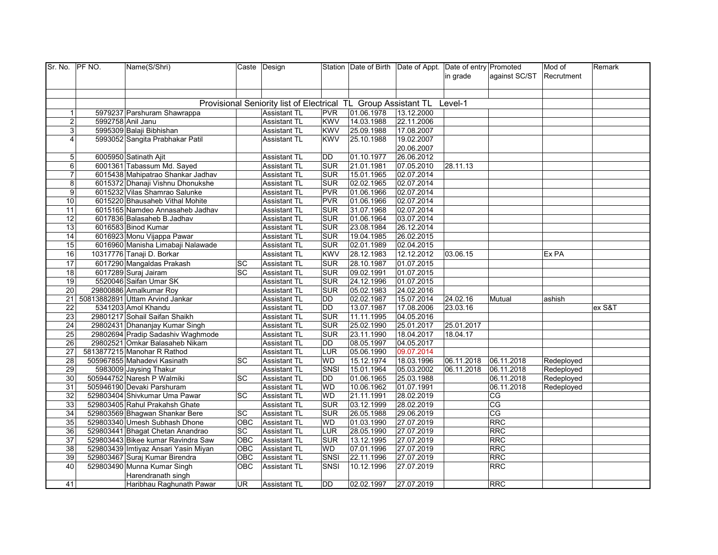| Sr. No. PF NO.  | Name(S/Shri)                         |            | Caste Design                                                   |             |            | Station   Date of Birth   Date of Appt.   Date of entry   Promoted |            |                 | Mod of     | Remark |
|-----------------|--------------------------------------|------------|----------------------------------------------------------------|-------------|------------|--------------------------------------------------------------------|------------|-----------------|------------|--------|
|                 |                                      |            |                                                                |             |            |                                                                    | in grade   | against SC/ST   | Recrutment |        |
|                 |                                      |            |                                                                |             |            |                                                                    |            |                 |            |        |
|                 |                                      |            |                                                                |             |            |                                                                    |            |                 |            |        |
|                 |                                      |            | Provisional Seniority list of Electrical TL Group Assistant TL |             |            |                                                                    | Level-1    |                 |            |        |
| 1               | 5979237 Parshuram Shawrappa          |            | <b>Assistant TL</b>                                            | <b>PVR</b>  | 01.06.1978 | 13.12.2000                                                         |            |                 |            |        |
| $\mathbf{p}$    | 5992758 Anil Janu                    |            | <b>Assistant TL</b>                                            | <b>KWV</b>  | 14.03.1988 | 22.11.2006                                                         |            |                 |            |        |
| 3               | 5995309 Balaji Bibhishan             |            | <b>Assistant TL</b>                                            | <b>KWV</b>  | 25.09.1988 | 17.08.2007                                                         |            |                 |            |        |
| 4               | 5993052 Sangita Prabhakar Patil      |            | <b>Assistant TL</b>                                            | <b>KWV</b>  | 25.10.1988 | 19.02.2007                                                         |            |                 |            |        |
|                 |                                      |            |                                                                |             |            | 20.06.2007                                                         |            |                 |            |        |
| 5               | 6005950 Satinath Ajit                |            | <b>Assistant TL</b>                                            | DD          | 01.10.1977 | 26.06.2012                                                         |            |                 |            |        |
| 6               | 6001361 Tabassum Md. Sayed           |            | <b>Assistant TL</b>                                            | <b>SUR</b>  | 21.01.1981 | 07.05.2010                                                         | 28.11.13   |                 |            |        |
| $\overline{7}$  | 6015438 Mahipatrao Shankar Jadhav    |            | <b>Assistant TL</b>                                            | SUR         | 15.01.1965 | 02.07.2014                                                         |            |                 |            |        |
| 8               | 6015372 Dhanaji Vishnu Dhonukshe     |            | <b>Assistant TL</b>                                            | <b>SUR</b>  | 02.02.1965 | 02.07.2014                                                         |            |                 |            |        |
| 9               | 6015232 Vilas Shamrao Salunke        |            | <b>Assistant TL</b>                                            | <b>PVR</b>  | 01.06.1966 | 02.07.2014                                                         |            |                 |            |        |
| 10              | 6015220 Bhausaheb Vithal Mohite      |            | <b>Assistant TL</b>                                            | <b>PVR</b>  | 01.06.1966 | 02.07.2014                                                         |            |                 |            |        |
| 11              | 6015165 Namdeo Annasaheb Jadhav      |            | <b>Assistant TL</b>                                            | <b>SUR</b>  | 31.07.1968 | 02.07.2014                                                         |            |                 |            |        |
| 12              | 6017836 Balasaheb B.Jadhav           |            | <b>Assistant TL</b>                                            | <b>SUR</b>  | 01.06.1964 | 03.07.2014                                                         |            |                 |            |        |
| 13              | 6016583 Binod Kumar                  |            | <b>Assistant TL</b>                                            | <b>SUR</b>  | 23.08.1984 | 26.12.2014                                                         |            |                 |            |        |
| $\overline{14}$ | 6016923 Monu Vijappa Pawar           |            | <b>Assistant TL</b>                                            | <b>SUR</b>  | 19.04.1985 | 26.02.2015                                                         |            |                 |            |        |
| 15              | 6016960 Manisha Limabaji Nalawade    |            | <b>Assistant TL</b>                                            | <b>SUR</b>  | 02.01.1989 | 02.04.2015                                                         |            |                 |            |        |
| 16              | 10317776 Tanaji D. Borkar            |            | <b>Assistant TL</b>                                            | <b>KWV</b>  | 28.12.1983 | 12.12.2012                                                         | 03.06.15   |                 | Ex PA      |        |
| $\overline{17}$ | 6017290 Mangaldas Prakash            | SC         | <b>Assistant TL</b>                                            | <b>SUR</b>  | 28.10.1987 | 01.07.2015                                                         |            |                 |            |        |
| $\frac{1}{8}$   | 6017289 Suraj Jairam                 | SC         | <b>Assistant TL</b>                                            | <b>SUR</b>  | 09.02.1991 | 01.07.2015                                                         |            |                 |            |        |
| $\overline{19}$ | 5520046 Saifan Umar SK               |            | <b>Assistant TL</b>                                            | <b>SUR</b>  | 24.12.1996 | 01.07.2015                                                         |            |                 |            |        |
| 20              | 29800886 Amalkumar Roy               |            | <b>Assistant TL</b>                                            | <b>SUR</b>  | 05.02.1983 | 24.02.2016                                                         |            |                 |            |        |
| 21              | 50813882891 Uttam Arvind Jankar      |            | <b>Assistant TL</b>                                            | DD          | 02.02.1987 | 15.07.2014                                                         | 24.02.16   | Mutual          | ashish     |        |
| $\overline{22}$ | 5341203 Amol Khandu                  |            | <b>Assistant TL</b>                                            | DD          | 13.07.1987 | 17.08.2006                                                         | 23.03.16   |                 |            | ex S&T |
| 23              | 29801217 Sohail Saifan Shaikh        |            | <b>Assistant TL</b>                                            | <b>SUR</b>  | 11.11.1995 | 04.05.2016                                                         |            |                 |            |        |
| 24              | 29802431 Dhananjay Kumar Singh       |            | <b>Assistant TL</b>                                            | <b>SUR</b>  | 25.02.1990 | 25.01.2017                                                         | 25.01.2017 |                 |            |        |
| 25              | 29802694 Pradip Sadashiv Waghmode    |            | <b>Assistant TL</b>                                            | <b>SUR</b>  | 23.11.1990 | 18.04.2017                                                         | 18.04.17   |                 |            |        |
| 26              | 29802521 Omkar Balasaheb Nikam       |            | <b>Assistant TL</b>                                            | <b>DD</b>   | 08.05.1997 | 04.05.2017                                                         |            |                 |            |        |
| 27              | 5813877215 Manohar R Rathod          |            | <b>Assistant TL</b>                                            | LUR         | 05.06.1990 | 09.07.2014                                                         |            |                 |            |        |
| $\overline{28}$ | 505967855 Mahadevi Kasinath          | <b>SC</b>  | <b>Assistant TL</b>                                            | WD          | 15.12.1974 | 18.03.1996                                                         | 06.11.2018 | 06.11.2018      | Redeployed |        |
| 29              | 5983009 Jaysing Thakur               |            | <b>Assistant TL</b>                                            | <b>SNSI</b> | 15.01.1964 | 05.03.2002                                                         | 06.11.2018 | 06.11.2018      | Redeployed |        |
| 30              | 505944752 Naresh P Walmiki           | SC         | <b>Assistant TL</b>                                            | DD          | 01.06.1965 | 25.03.1988                                                         |            | 06.11.2018      | Redeployed |        |
| 31              | 505946190 Devaki Parshuram           |            | <b>Assistant TL</b>                                            | <b>WD</b>   | 10.06.1962 | 01.07.1991                                                         |            | 06.11.2018      | Redeployed |        |
| 32              | 529803404 Shivkumar Uma Pawar        | SC         | <b>Assistant TL</b>                                            | <b>WD</b>   | 21.11.1991 | 28.02.2019                                                         |            | <b>CG</b>       |            |        |
| 33              | 529803405 Rahul Prakahsh Ghate       |            | <b>Assistant TL</b>                                            | <b>SUR</b>  | 03.12.1999 | 28.02.2019                                                         |            | $\overline{CG}$ |            |        |
| 34              | 529803569 Bhagwan Shankar Bere       | SC         | Assistant TL                                                   | <b>SUR</b>  | 26.05.1988 | 29.06.2019                                                         |            | $\overline{CG}$ |            |        |
| 35              | 529803340 Umesh Subhash Dhone        | <b>OBC</b> | <b>Assistant TL</b>                                            | <b>WD</b>   | 01.03.1990 | 27.07.2019                                                         |            | RRC             |            |        |
| 36              | 529803441 Bhagat Chetan Anandrao     | SC         | <b>Assistant TL</b>                                            | LUR         | 28.05.1990 | 27.07.2019                                                         |            | <b>RRC</b>      |            |        |
| $\overline{37}$ | 529803443 Bikee kumar Ravindra Saw   | OBC        | <b>Assistant TL</b>                                            | <b>SUR</b>  | 13.12.1995 | 27.07.2019                                                         |            | <b>RRC</b>      |            |        |
| 38              | 529803439 Imtiyaz Ansari Yasin Miyan | <b>OBC</b> | <b>Assistant TL</b>                                            | <b>WD</b>   | 07.01.1996 | 27.07.2019                                                         |            | <b>RRC</b>      |            |        |
| 39              | 529803467 Suraj Kumar Birendra       | OBC        | <b>Assistant TL</b>                                            | SNSI        | 22.11.1996 | 27.07.2019                                                         |            | <b>RRC</b>      |            |        |
| 40              | 529803490 Munna Kumar Singh          | OBC        | <b>Assistant TL</b>                                            | SNSI        | 10.12.1996 | 27.07.2019                                                         |            | RRC             |            |        |
|                 | Harendranath singh                   |            |                                                                |             |            |                                                                    |            |                 |            |        |
| 41              | Haribhau Raghunath Pawar             | <b>UR</b>  | <b>Assistant TL</b>                                            | DD          | 02.02.1997 | 27.07.2019                                                         |            | <b>RRC</b>      |            |        |
|                 |                                      |            |                                                                |             |            |                                                                    |            |                 |            |        |